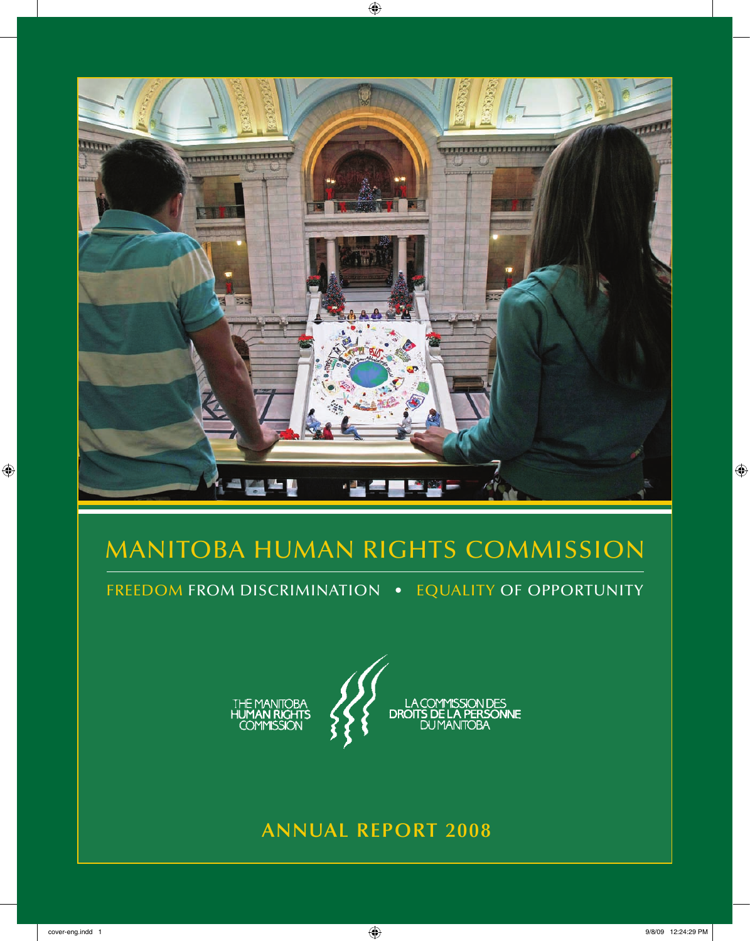

### Manitoba Human Rights Commission

FREEDOM FROM DISCRIMINATION • EQUALITY OF OPPORTUNITY



### **ANNUAL REPORT 2008**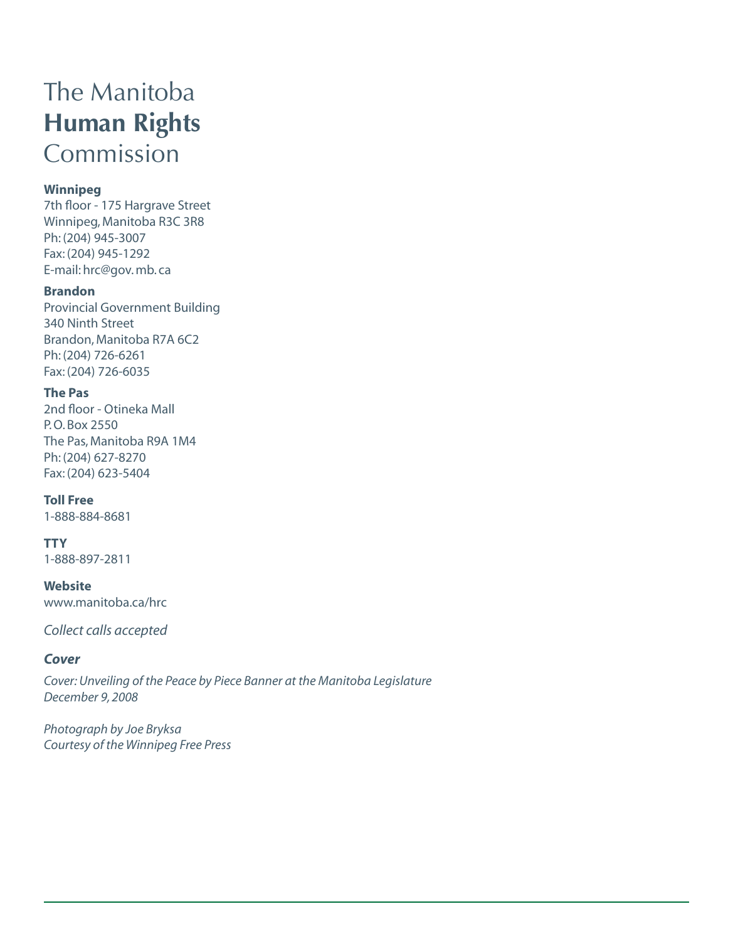### The Manitoba **Human Rights**  Commission

### **Winnipeg**

7th floor - 175 Hargrave Street Winnipeg, Manitoba R3C 3R8 Ph: (204) 945-3007 Fax: (204) 945-1292 E-mail: hrc@gov. mb. ca

### **Brandon**

Provincial Government Building 340 Ninth Street Brandon, Manitoba R7A 6C2 Ph: (204) 726-6261 Fax: (204) 726-6035

### **The Pas**

2nd floor - Otineka Mall P. O. Box 2550 The Pas, Manitoba R9A 1M4 Ph: (204) 627-8270 Fax: (204) 623-5404

### **Toll Free**

1-888-884-8681

### **TTY**

1-888-897-2811

**Website**

www.manitoba.ca/hrc

*Collect calls accepted*

### *Cover*

*Cover: Unveiling of the Peace by Piece Banner at the Manitoba Legislature December 9, 2008*

*Photograph by Joe Bryksa Courtesy of the Winnipeg Free Press*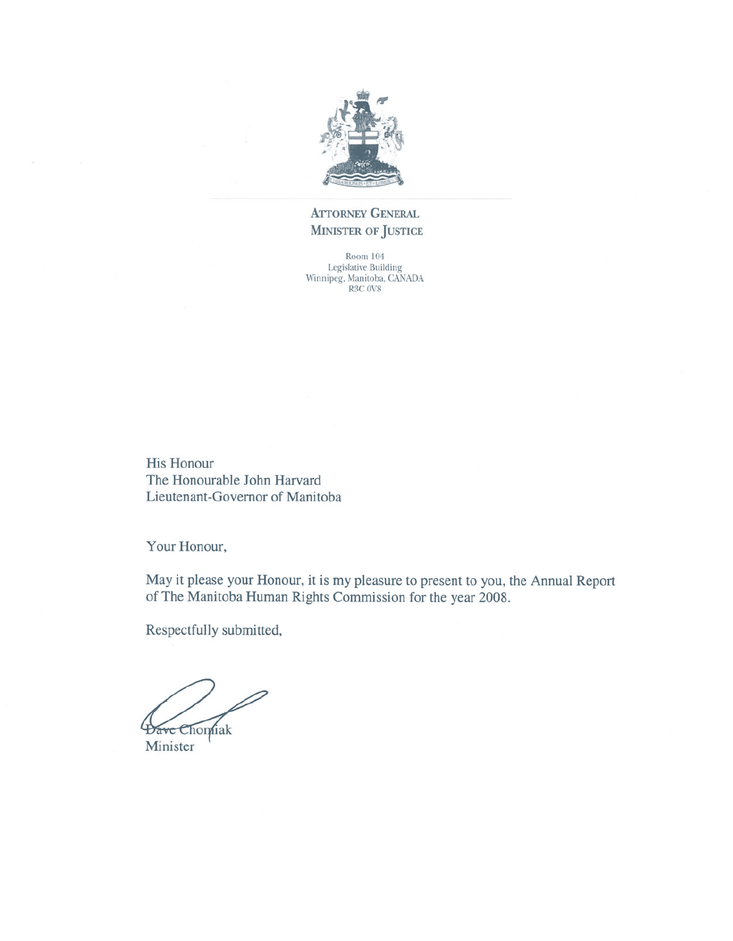

### **ATTORNEY GENERAL MINISTER OF JUSTICE**

Room $104\,$ Legislative Building<br>Winnipeg, Manitoba, CANADA<br>R3C 0V8

His Honour The Honourable John Harvard Lieutenant-Governor of Manitoba

Your Honour,

May it please your Honour, it is my pleasure to present to you, the Annual Report of The Manitoba Human Rights Commission for the year 2008.

Respectfully submitted,

ave Chomiak

Minister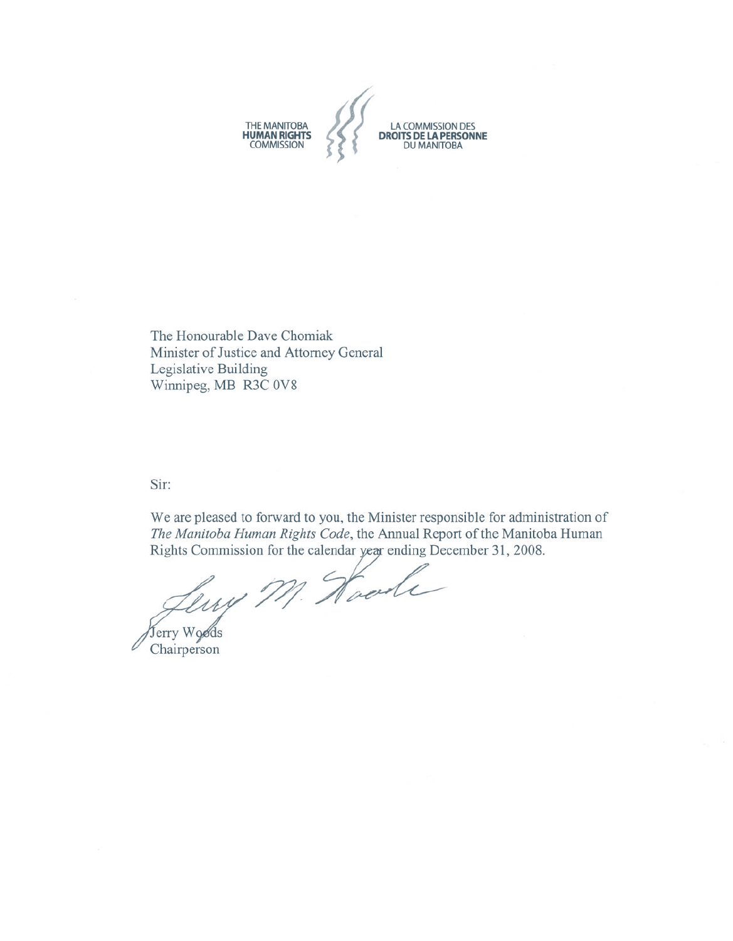

The Honourable Dave Chomiak Minister of Justice and Attorney General Legislative Building Winnipeg, MB R3C 0V8

Sir:

We are pleased to forward to you, the Minister responsible for administration of The Manitoba Human Rights Code, the Annual Report of the Manitoba Human Rights Commission for the calendar year ending December 31, 2008.

Lewy M. Hoode

Ferry Woods Chairperson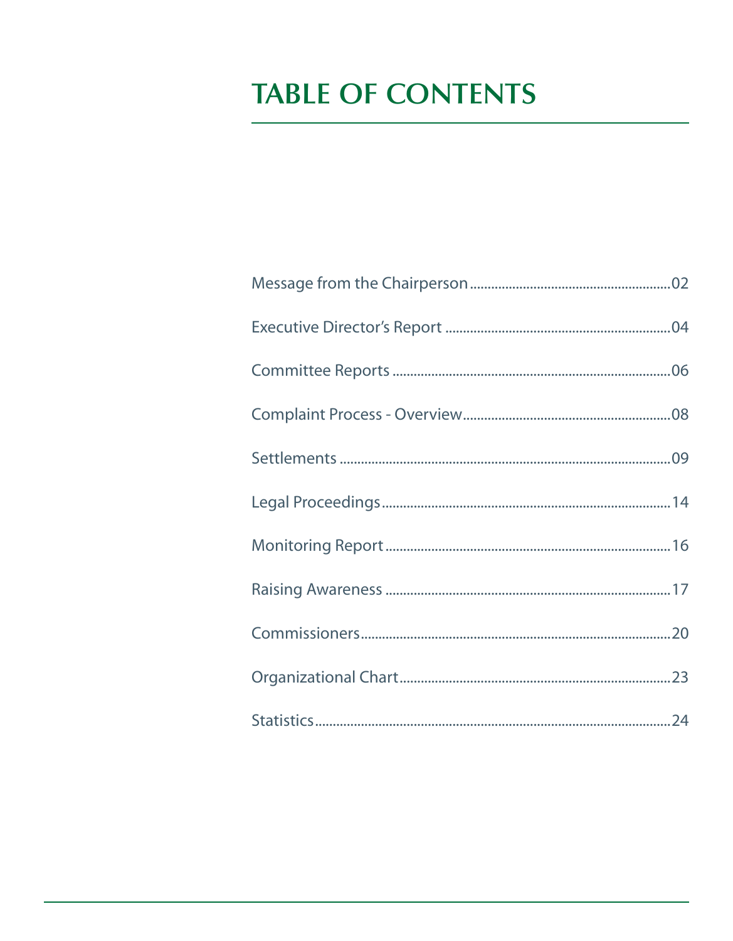### **TABLE OF CONTENTS**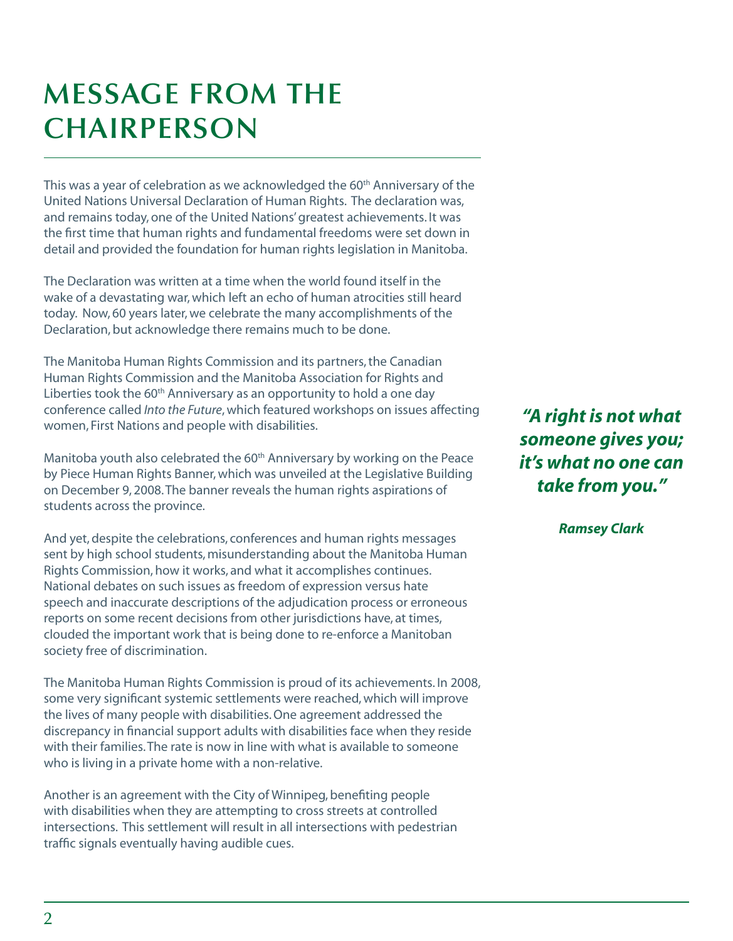### **message from the chairperson**

This was a year of celebration as we acknowledged the 60<sup>th</sup> Anniversary of the United Nations Universal Declaration of Human Rights. The declaration was, and remains today, one of the United Nations' greatest achievements. It was the first time that human rights and fundamental freedoms were set down in detail and provided the foundation for human rights legislation in Manitoba.

The Declaration was written at a time when the world found itself in the wake of a devastating war, which left an echo of human atrocities still heard today. Now, 60 years later, we celebrate the many accomplishments of the Declaration, but acknowledge there remains much to be done.

The Manitoba Human Rights Commission and its partners, the Canadian Human Rights Commission and the Manitoba Association for Rights and Liberties took the 60<sup>th</sup> Anniversary as an opportunity to hold a one day conference called *Into the Future*, which featured workshops on issues affecting women, First Nations and people with disabilities.

Manitoba youth also celebrated the 60<sup>th</sup> Anniversary by working on the Peace by Piece Human Rights Banner, which was unveiled at the Legislative Building on December 9, 2008. The banner reveals the human rights aspirations of students across the province.

And yet, despite the celebrations, conferences and human rights messages sent by high school students, misunderstanding about the Manitoba Human Rights Commission, how it works, and what it accomplishes continues. National debates on such issues as freedom of expression versus hate speech and inaccurate descriptions of the adjudication process or erroneous reports on some recent decisions from other jurisdictions have, at times, clouded the important work that is being done to re-enforce a Manitoban society free of discrimination.

The Manitoba Human Rights Commission is proud of its achievements. In 2008, some very significant systemic settlements were reached, which will improve the lives of many people with disabilities. One agreement addressed the discrepancy in financial support adults with disabilities face when they reside with their families. The rate is now in line with what is available to someone who is living in a private home with a non-relative.

Another is an agreement with the City of Winnipeg, benefiting people with disabilities when they are attempting to cross streets at controlled intersections. This settlement will result in all intersections with pedestrian traffic signals eventually having audible cues.

*"A right is not what someone gives you; it's what no one can take from you."*

*Ramsey Clark*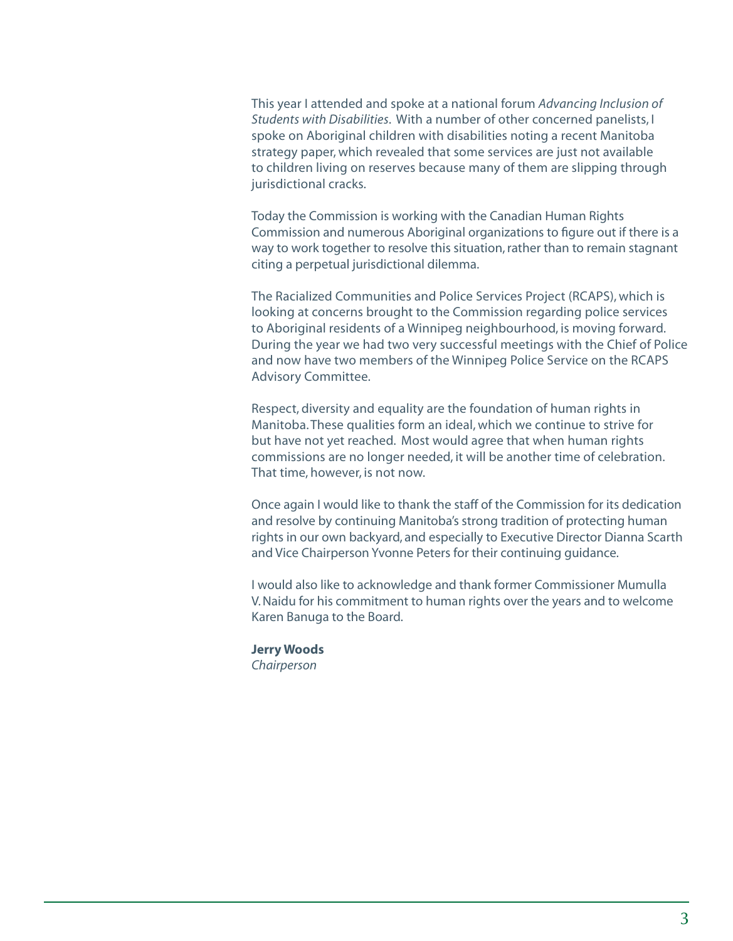This year I attended and spoke at a national forum *Advancing Inclusion of Students with Disabilities*. With a number of other concerned panelists, I spoke on Aboriginal children with disabilities noting a recent Manitoba strategy paper, which revealed that some services are just not available to children living on reserves because many of them are slipping through jurisdictional cracks.

Today the Commission is working with the Canadian Human Rights Commission and numerous Aboriginal organizations to figure out if there is a way to work together to resolve this situation, rather than to remain stagnant citing a perpetual jurisdictional dilemma.

The Racialized Communities and Police Services Project (RCAPS), which is looking at concerns brought to the Commission regarding police services to Aboriginal residents of a Winnipeg neighbourhood, is moving forward. During the year we had two very successful meetings with the Chief of Police and now have two members of the Winnipeg Police Service on the RCAPS Advisory Committee.

Respect, diversity and equality are the foundation of human rights in Manitoba. These qualities form an ideal, which we continue to strive for but have not yet reached. Most would agree that when human rights commissions are no longer needed, it will be another time of celebration. That time, however, is not now.

Once again I would like to thank the staff of the Commission for its dedication and resolve by continuing Manitoba's strong tradition of protecting human rights in our own backyard, and especially to Executive Director Dianna Scarth and Vice Chairperson Yvonne Peters for their continuing guidance.

I would also like to acknowledge and thank former Commissioner Mumulla V. Naidu for his commitment to human rights over the years and to welcome Karen Banuga to the Board.

### **Jerry Woods**

*Chairperson*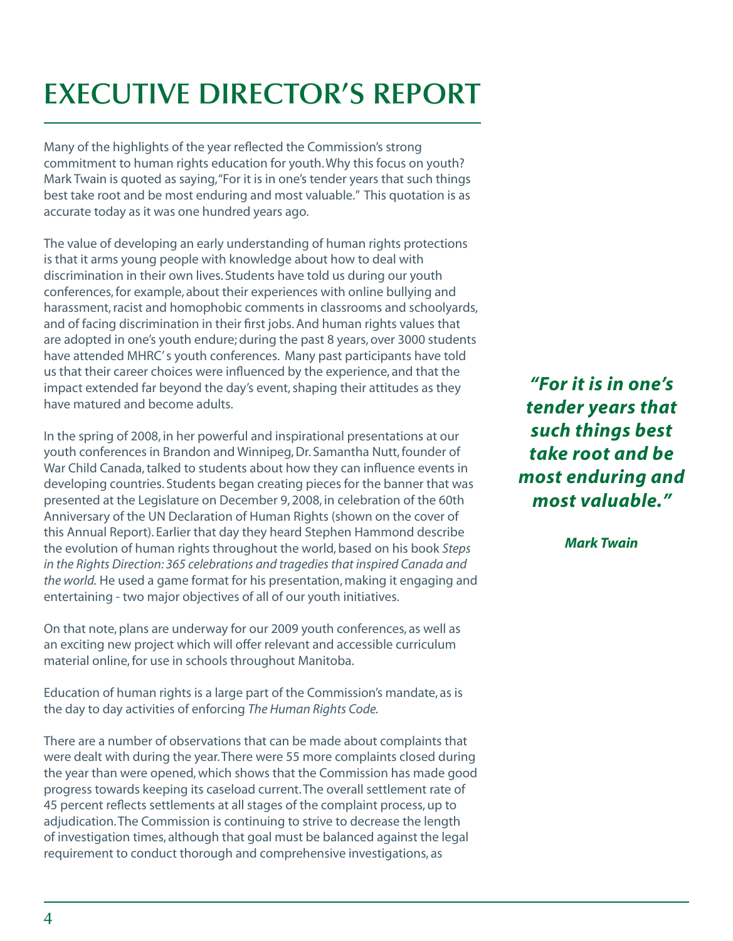## **Executive Director's Report**

Many of the highlights of the year reflected the Commission's strong commitment to human rights education for youth. Why this focus on youth? Mark Twain is quoted as saying, "For it is in one's tender years that such things best take root and be most enduring and most valuable." This quotation is as accurate today as it was one hundred years ago.

The value of developing an early understanding of human rights protections is that it arms young people with knowledge about how to deal with discrimination in their own lives. Students have told us during our youth conferences, for example, about their experiences with online bullying and harassment, racist and homophobic comments in classrooms and schoolyards, and of facing discrimination in their first jobs. And human rights values that are adopted in one's youth endure; during the past 8 years, over 3000 students have attended MHRC' s youth conferences. Many past participants have told us that their career choices were influenced by the experience, and that the impact extended far beyond the day's event, shaping their attitudes as they have matured and become adults.

In the spring of 2008, in her powerful and inspirational presentations at our youth conferences in Brandon and Winnipeg, Dr. Samantha Nutt, founder of War Child Canada, talked to students about how they can influence events in developing countries. Students began creating pieces for the banner that was presented at the Legislature on December 9, 2008, in celebration of the 60th Anniversary of the UN Declaration of Human Rights (shown on the cover of this Annual Report). Earlier that day they heard Stephen Hammond describe the evolution of human rights throughout the world, based on his book *Steps in the Rights Direction: 365 celebrations and tragedies that inspired Canada and the world.* He used a game format for his presentation, making it engaging and entertaining - two major objectives of all of our youth initiatives.

On that note, plans are underway for our 2009 youth conferences, as well as an exciting new project which will offer relevant and accessible curriculum material online, for use in schools throughout Manitoba.

Education of human rights is a large part of the Commission's mandate, as is the day to day activities of enforcing *The Human Rights Code.*

There are a number of observations that can be made about complaints that were dealt with during the year. There were 55 more complaints closed during the year than were opened, which shows that the Commission has made good progress towards keeping its caseload current. The overall settlement rate of 45 percent reflects settlements at all stages of the complaint process, up to adjudication. The Commission is continuing to strive to decrease the length of investigation times, although that goal must be balanced against the legal requirement to conduct thorough and comprehensive investigations, as

*"For it is in one's tender years that such things best take root and be most enduring and most valuable."*

*Mark Twain*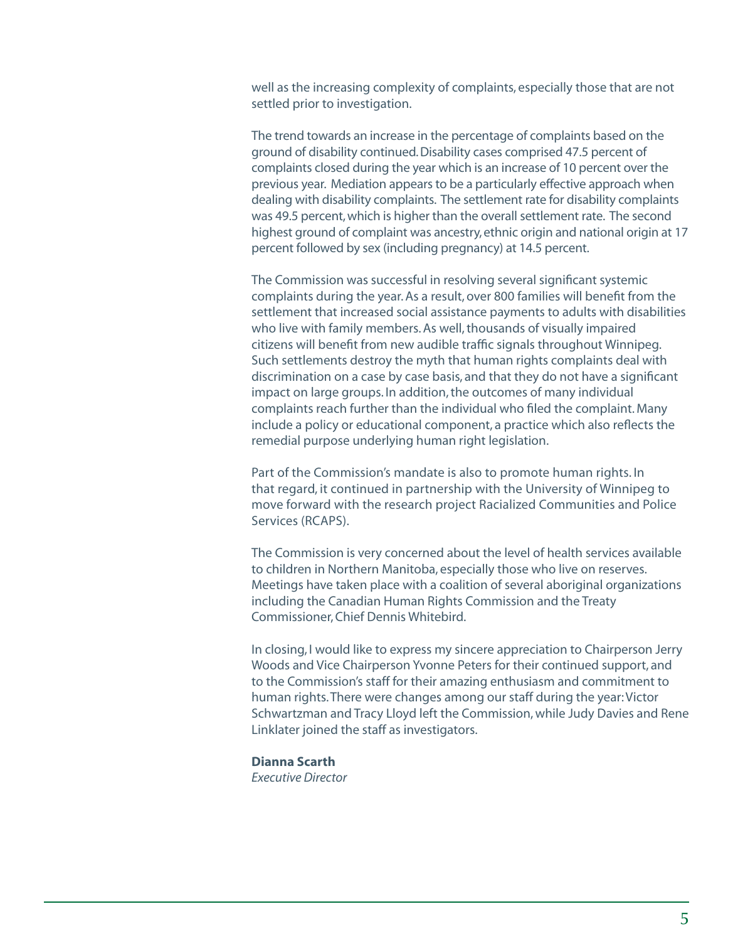well as the increasing complexity of complaints, especially those that are not settled prior to investigation.

The trend towards an increase in the percentage of complaints based on the ground of disability continued. Disability cases comprised 47.5 percent of complaints closed during the year which is an increase of 10 percent over the previous year. Mediation appears to be a particularly effective approach when dealing with disability complaints. The settlement rate for disability complaints was 49.5 percent, which is higher than the overall settlement rate. The second highest ground of complaint was ancestry, ethnic origin and national origin at 17 percent followed by sex (including pregnancy) at 14.5 percent.

The Commission was successful in resolving several significant systemic complaints during the year. As a result, over 800 families will benefit from the settlement that increased social assistance payments to adults with disabilities who live with family members. As well, thousands of visually impaired citizens will benefit from new audible traffic signals throughout Winnipeg. Such settlements destroy the myth that human rights complaints deal with discrimination on a case by case basis, and that they do not have a significant impact on large groups. In addition, the outcomes of many individual complaints reach further than the individual who filed the complaint. Many include a policy or educational component, a practice which also reflects the remedial purpose underlying human right legislation.

Part of the Commission's mandate is also to promote human rights. In that regard, it continued in partnership with the University of Winnipeg to move forward with the research project Racialized Communities and Police Services (RCAPS).

The Commission is very concerned about the level of health services available to children in Northern Manitoba, especially those who live on reserves. Meetings have taken place with a coalition of several aboriginal organizations including the Canadian Human Rights Commission and the Treaty Commissioner, Chief Dennis Whitebird.

In closing, I would like to express my sincere appreciation to Chairperson Jerry Woods and Vice Chairperson Yvonne Peters for their continued support, and to the Commission's staff for their amazing enthusiasm and commitment to human rights. There were changes among our staff during the year: Victor Schwartzman and Tracy Lloyd left the Commission, while Judy Davies and Rene Linklater joined the staff as investigators.

### **Dianna Scarth**

*Executive Director*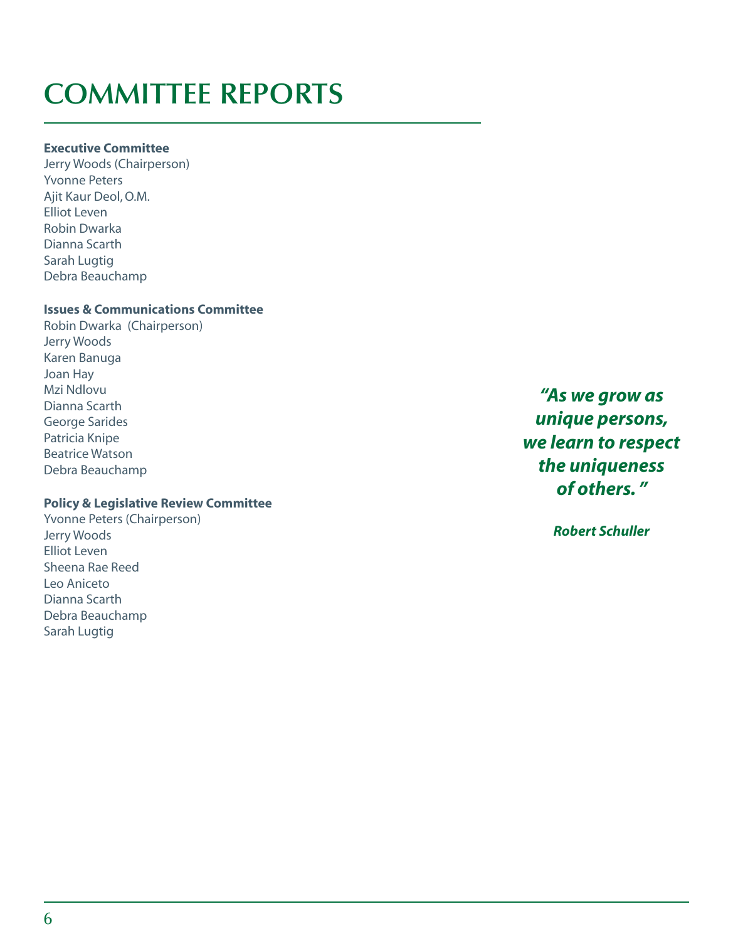### **Committee Reports**

### **Executive Committee**

Jerry Woods (Chairperson) Yvonne Peters Ajit Kaur Deol, O.M. Elliot Leven Robin Dwarka Dianna Scarth Sarah Lugtig Debra Beauchamp

### **Issues & Communications Committee**

Robin Dwarka (Chairperson) Jerry Woods Karen Banuga Joan Hay Mzi Ndlovu Dianna Scarth George Sarides Patricia Knipe Beatrice Watson Debra Beauchamp

### **Policy & Legislative Review Committee**

Yvonne Peters (Chairperson) Jerry Woods Elliot Leven Sheena Rae Reed Leo Aniceto Dianna Scarth Debra Beauchamp Sarah Lugtig

*"As we grow as unique persons, we learn to respect the uniqueness of others. "*

*Robert Schuller*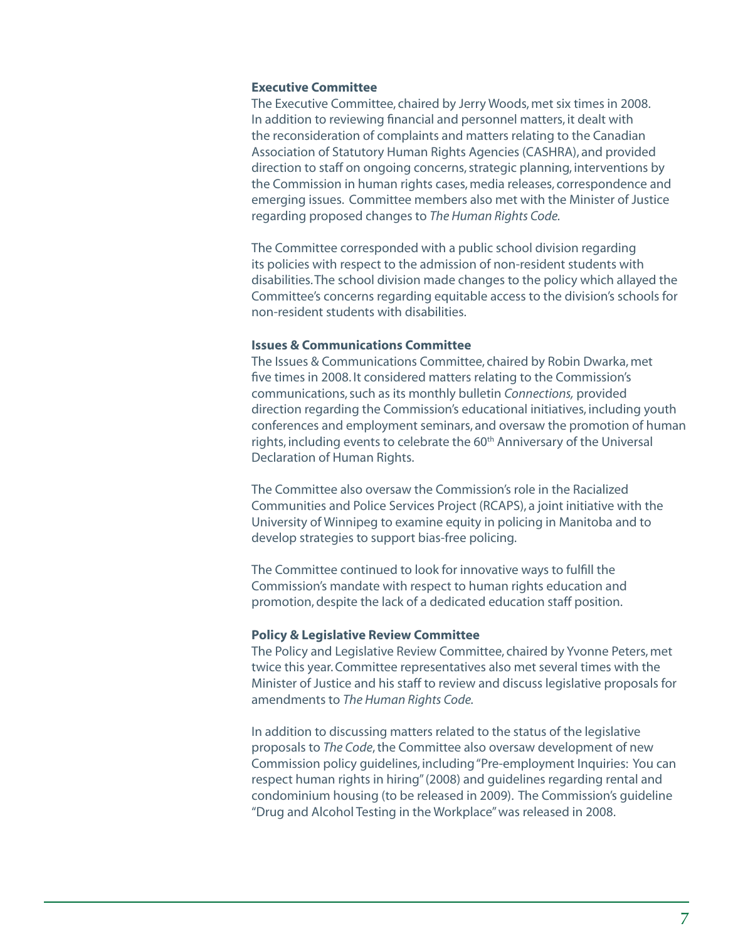### **Executive Committee**

The Executive Committee, chaired by Jerry Woods, met six times in 2008. In addition to reviewing financial and personnel matters, it dealt with the reconsideration of complaints and matters relating to the Canadian Association of Statutory Human Rights Agencies (CASHRA), and provided direction to staff on ongoing concerns, strategic planning, interventions by the Commission in human rights cases, media releases, correspondence and emerging issues. Committee members also met with the Minister of Justice regarding proposed changes to *The Human Rights Code.* 

The Committee corresponded with a public school division regarding its policies with respect to the admission of non-resident students with disabilities. The school division made changes to the policy which allayed the Committee's concerns regarding equitable access to the division's schools for non-resident students with disabilities.

#### **Issues & Communications Committee**

The Issues & Communications Committee, chaired by Robin Dwarka, met five times in 2008. It considered matters relating to the Commission's communications, such as its monthly bulletin *Connections,* provided direction regarding the Commission's educational initiatives, including youth conferences and employment seminars, and oversaw the promotion of human rights, including events to celebrate the 60<sup>th</sup> Anniversary of the Universal Declaration of Human Rights.

The Committee also oversaw the Commission's role in the Racialized Communities and Police Services Project (RCAPS), a joint initiative with the University of Winnipeg to examine equity in policing in Manitoba and to develop strategies to support bias-free policing.

The Committee continued to look for innovative ways to fulfill the Commission's mandate with respect to human rights education and promotion, despite the lack of a dedicated education staff position.

#### **Policy & Legislative Review Committee**

The Policy and Legislative Review Committee, chaired by Yvonne Peters, met twice this year. Committee representatives also met several times with the Minister of Justice and his staff to review and discuss legislative proposals for amendments to *The Human Rights Code.*

In addition to discussing matters related to the status of the legislative proposals to *The Code*, the Committee also oversaw development of new Commission policy guidelines, including "Pre-employment Inquiries: You can respect human rights in hiring" (2008) and guidelines regarding rental and condominium housing (to be released in 2009). The Commission's guideline "Drug and Alcohol Testing in the Workplace" was released in 2008.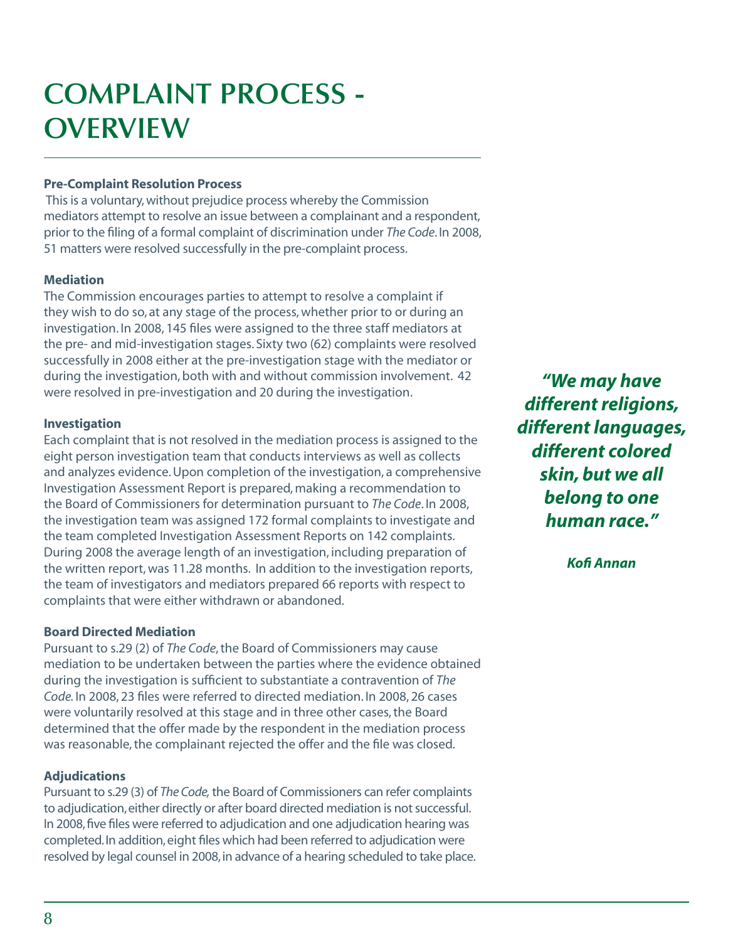### **Complaint Process - Overview**

### **Pre-Complaint Resolution Process**

 This is a voluntary, without prejudice process whereby the Commission mediators attempt to resolve an issue between a complainant and a respondent, prior to the filing of a formal complaint of discrimination under *The Code*. In 2008, 51 matters were resolved successfully in the pre-complaint process.

### **Mediation**

The Commission encourages parties to attempt to resolve a complaint if they wish to do so, at any stage of the process, whether prior to or during an investigation. In 2008, 145 files were assigned to the three staff mediators at the pre- and mid-investigation stages. Sixty two (62) complaints were resolved successfully in 2008 either at the pre-investigation stage with the mediator or during the investigation, both with and without commission involvement. 42 were resolved in pre-investigation and 20 during the investigation.

### **Investigation**

Each complaint that is not resolved in the mediation process is assigned to the eight person investigation team that conducts interviews as well as collects and analyzes evidence. Upon completion of the investigation, a comprehensive Investigation Assessment Report is prepared, making a recommendation to the Board of Commissioners for determination pursuant to *The Code*. In 2008, the investigation team was assigned 172 formal complaints to investigate and the team completed Investigation Assessment Reports on 142 complaints. During 2008 the average length of an investigation, including preparation of the written report, was 11.28 months. In addition to the investigation reports, the team of investigators and mediators prepared 66 reports with respect to complaints that were either withdrawn or abandoned.

### **Board Directed Mediation**

Pursuant to s.29 (2) of *The Code*, the Board of Commissioners may cause mediation to be undertaken between the parties where the evidence obtained during the investigation is sufficient to substantiate a contravention of *The Code.* In 2008, 23 files were referred to directed mediation. In 2008, 26 cases were voluntarily resolved at this stage and in three other cases, the Board determined that the offer made by the respondent in the mediation process was reasonable, the complainant rejected the offer and the file was closed.

### **Adjudications**

Pursuant to s.29 (3) of *The Code,* the Board of Commissioners can refer complaints to adjudication, either directly or after board directed mediation is not successful. In 2008, five files were referred to adjudication and one adjudication hearing was completed. In addition, eight files which had been referred to adjudication were resolved by legal counsel in 2008, in advance of a hearing scheduled to take place.

*"We may have different religions, different languages, different colored skin, but we all belong to one human race."*

*Kofi Annan*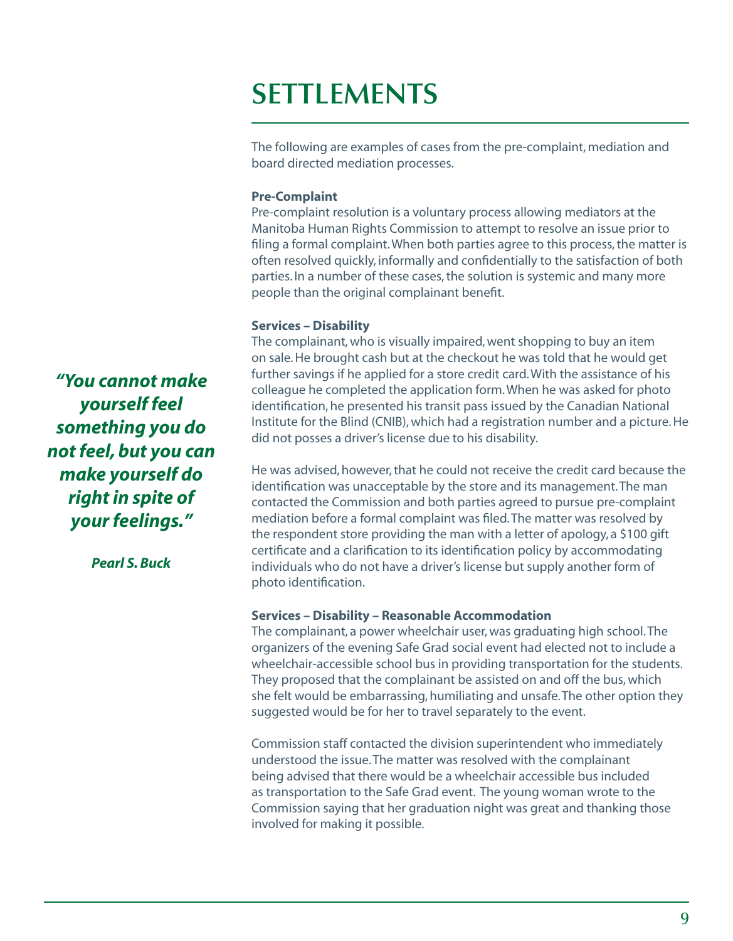### **Settlements**

The following are examples of cases from the pre-complaint, mediation and board directed mediation processes.

### **Pre-Complaint**

Pre-complaint resolution is a voluntary process allowing mediators at the Manitoba Human Rights Commission to attempt to resolve an issue prior to filing a formal complaint. When both parties agree to this process, the matter is often resolved quickly, informally and confidentially to the satisfaction of both parties. In a number of these cases, the solution is systemic and many more people than the original complainant benefit.

### **Services – Disability**

The complainant, who is visually impaired, went shopping to buy an item on sale. He brought cash but at the checkout he was told that he would get further savings if he applied for a store credit card. With the assistance of his colleague he completed the application form. When he was asked for photo identification, he presented his transit pass issued by the Canadian National Institute for the Blind (CNIB), which had a registration number and a picture. He did not posses a driver's license due to his disability.

He was advised, however, that he could not receive the credit card because the identification was unacceptable by the store and its management. The man contacted the Commission and both parties agreed to pursue pre-complaint mediation before a formal complaint was filed. The matter was resolved by the respondent store providing the man with a letter of apology, a \$100 gift certificate and a clarification to its identification policy by accommodating individuals who do not have a driver's license but supply another form of photo identification.

### **Services – Disability – Reasonable Accommodation**

The complainant, a power wheelchair user, was graduating high school. The organizers of the evening Safe Grad social event had elected not to include a wheelchair-accessible school bus in providing transportation for the students. They proposed that the complainant be assisted on and off the bus, which she felt would be embarrassing, humiliating and unsafe. The other option they suggested would be for her to travel separately to the event.

Commission staff contacted the division superintendent who immediately understood the issue. The matter was resolved with the complainant being advised that there would be a wheelchair accessible bus included as transportation to the Safe Grad event. The young woman wrote to the Commission saying that her graduation night was great and thanking those involved for making it possible.

*"You cannot make yourself feel something you do not feel, but you can make yourself do right in spite of your feelings."* 

*Pearl S. Buck*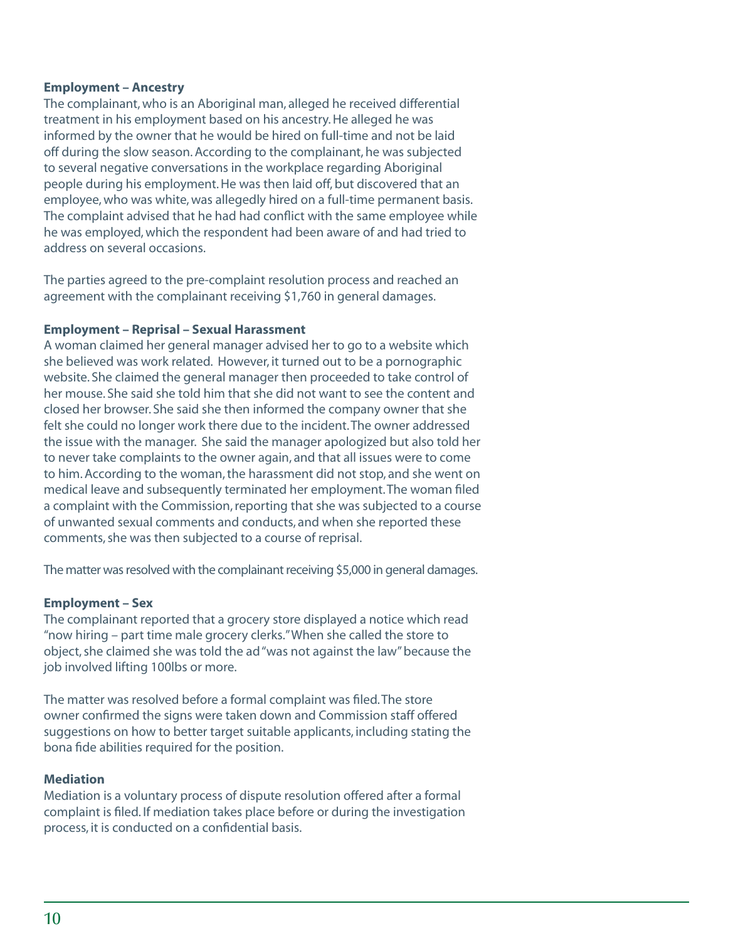#### **Employment – Ancestry**

The complainant, who is an Aboriginal man, alleged he received differential treatment in his employment based on his ancestry. He alleged he was informed by the owner that he would be hired on full-time and not be laid off during the slow season. According to the complainant, he was subjected to several negative conversations in the workplace regarding Aboriginal people during his employment. He was then laid off, but discovered that an employee, who was white, was allegedly hired on a full-time permanent basis. The complaint advised that he had had conflict with the same employee while he was employed, which the respondent had been aware of and had tried to address on several occasions.

The parties agreed to the pre-complaint resolution process and reached an agreement with the complainant receiving \$1,760 in general damages.

### **Employment – Reprisal – Sexual Harassment**

A woman claimed her general manager advised her to go to a website which she believed was work related. However, it turned out to be a pornographic website. She claimed the general manager then proceeded to take control of her mouse. She said she told him that she did not want to see the content and closed her browser. She said she then informed the company owner that she felt she could no longer work there due to the incident. The owner addressed the issue with the manager. She said the manager apologized but also told her to never take complaints to the owner again, and that all issues were to come to him. According to the woman, the harassment did not stop, and she went on medical leave and subsequently terminated her employment. The woman filed a complaint with the Commission, reporting that she was subjected to a course of unwanted sexual comments and conducts, and when she reported these comments, she was then subjected to a course of reprisal.

The matter was resolved with the complainant receiving \$5,000 in general damages.

### **Employment – Sex**

The complainant reported that a grocery store displayed a notice which read "now hiring – part time male grocery clerks." When she called the store to object, she claimed she was told the ad "was not against the law" because the job involved lifting 100lbs or more.

The matter was resolved before a formal complaint was filed. The store owner confirmed the signs were taken down and Commission staff offered suggestions on how to better target suitable applicants, including stating the bona fide abilities required for the position.

### **Mediation**

Mediation is a voluntary process of dispute resolution offered after a formal complaint is filed. If mediation takes place before or during the investigation process, it is conducted on a confidential basis.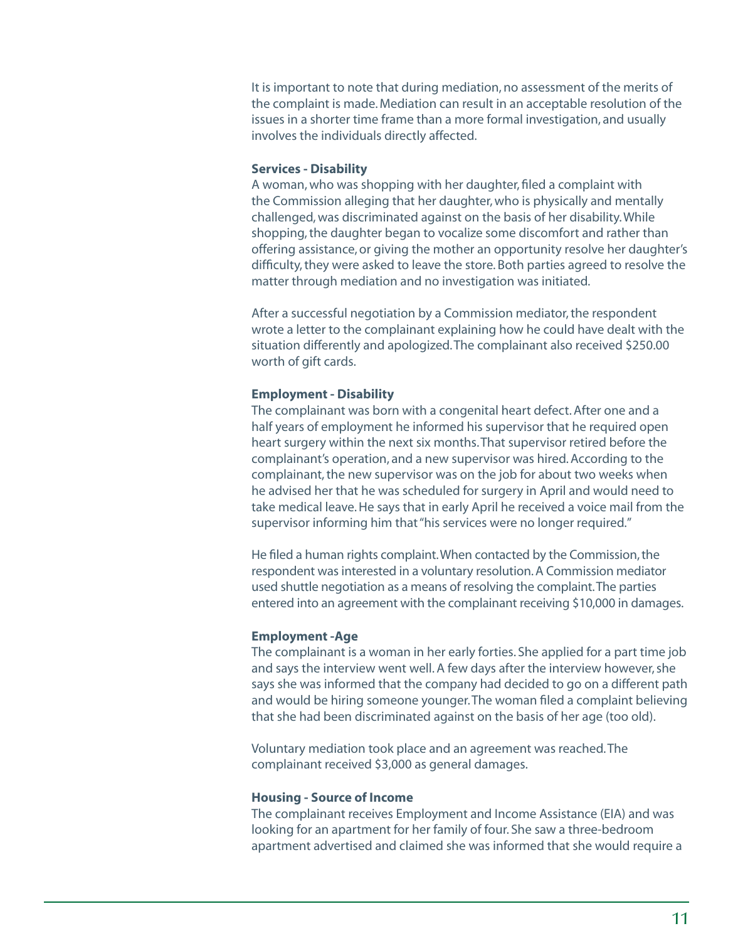It is important to note that during mediation, no assessment of the merits of the complaint is made. Mediation can result in an acceptable resolution of the issues in a shorter time frame than a more formal investigation, and usually involves the individuals directly affected.

### **Services - Disability**

A woman, who was shopping with her daughter, filed a complaint with the Commission alleging that her daughter, who is physically and mentally challenged, was discriminated against on the basis of her disability. While shopping, the daughter began to vocalize some discomfort and rather than offering assistance, or giving the mother an opportunity resolve her daughter's difficulty, they were asked to leave the store. Both parties agreed to resolve the matter through mediation and no investigation was initiated.

After a successful negotiation by a Commission mediator, the respondent wrote a letter to the complainant explaining how he could have dealt with the situation differently and apologized. The complainant also received \$250.00 worth of gift cards.

#### **Employment - Disability**

The complainant was born with a congenital heart defect. After one and a half years of employment he informed his supervisor that he required open heart surgery within the next six months. That supervisor retired before the complainant's operation, and a new supervisor was hired. According to the complainant, the new supervisor was on the job for about two weeks when he advised her that he was scheduled for surgery in April and would need to take medical leave. He says that in early April he received a voice mail from the supervisor informing him that "his services were no longer required."

He filed a human rights complaint. When contacted by the Commission, the respondent was interested in a voluntary resolution. A Commission mediator used shuttle negotiation as a means of resolving the complaint. The parties entered into an agreement with the complainant receiving \$10,000 in damages.

#### **Employment -Age**

The complainant is a woman in her early forties. She applied for a part time job and says the interview went well. A few days after the interview however, she says she was informed that the company had decided to go on a different path and would be hiring someone younger. The woman filed a complaint believing that she had been discriminated against on the basis of her age (too old).

Voluntary mediation took place and an agreement was reached. The complainant received \$3,000 as general damages.

#### **Housing - Source of Income**

The complainant receives Employment and Income Assistance (EIA) and was looking for an apartment for her family of four. She saw a three-bedroom apartment advertised and claimed she was informed that she would require a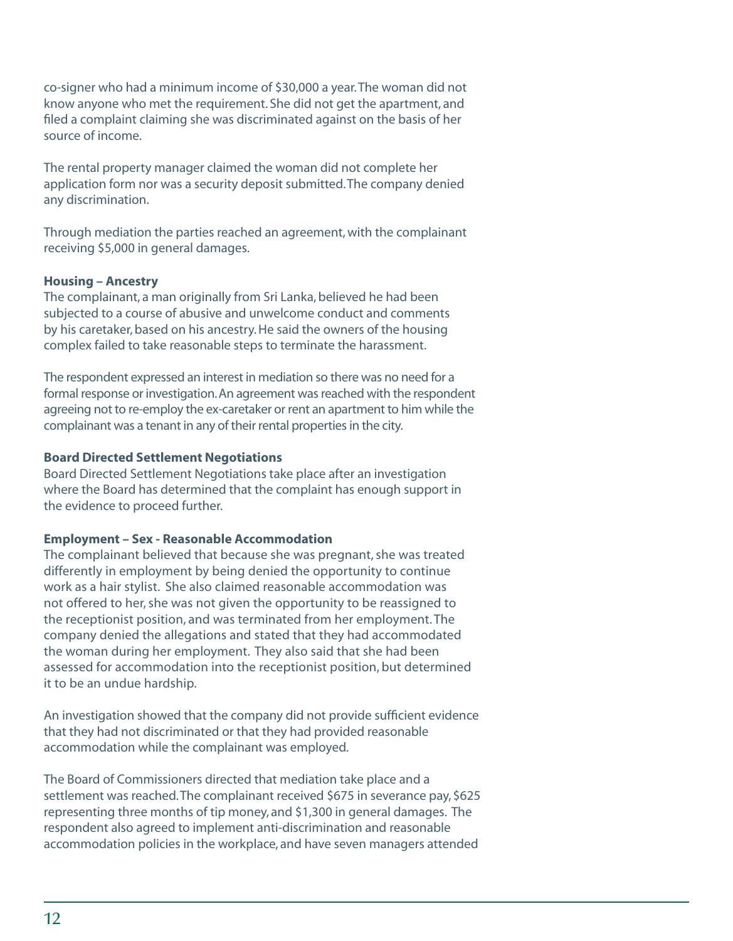co-signer who had a minimum income of \$30,000 a year. The woman did not know anyone who met the requirement. She did not get the apartment, and filed a complaint claiming she was discriminated against on the basis of her source of income.

The rental property manager claimed the woman did not complete her application form nor was a security deposit submitted. The company denied any discrimination.

Through mediation the parties reached an agreement, with the complainant receiving \$5,000 in general damages.

### **Housing – Ancestry**

The complainant, a man originally from Sri Lanka, believed he had been subjected to a course of abusive and unwelcome conduct and comments by his caretaker, based on his ancestry. He said the owners of the housing complex failed to take reasonable steps to terminate the harassment.

The respondent expressed an interest in mediation so there was no need for a formal response or investigation. An agreement was reached with the respondent agreeing not to re-employ the ex-caretaker or rent an apartment to him while the complainant was a tenant in any of their rental properties in the city.

#### **Board Directed Settlement Negotiations**

Board Directed Settlement Negotiations take place after an investigation where the Board has determined that the complaint has enough support in the evidence to proceed further.

#### **Employment – Sex - Reasonable Accommodation**

The complainant believed that because she was pregnant, she was treated differently in employment by being denied the opportunity to continue work as a hair stylist. She also claimed reasonable accommodation was not offered to her, she was not given the opportunity to be reassigned to the receptionist position, and was terminated from her employment. The company denied the allegations and stated that they had accommodated the woman during her employment. They also said that she had been assessed for accommodation into the receptionist position, but determined it to be an undue hardship.

An investigation showed that the company did not provide sufficient evidence that they had not discriminated or that they had provided reasonable accommodation while the complainant was employed.

The Board of Commissioners directed that mediation take place and a settlement was reached. The complainant received \$675 in severance pay, \$625 representing three months of tip money, and \$1,300 in general damages. The respondent also agreed to implement anti-discrimination and reasonable accommodation policies in the workplace, and have seven managers attended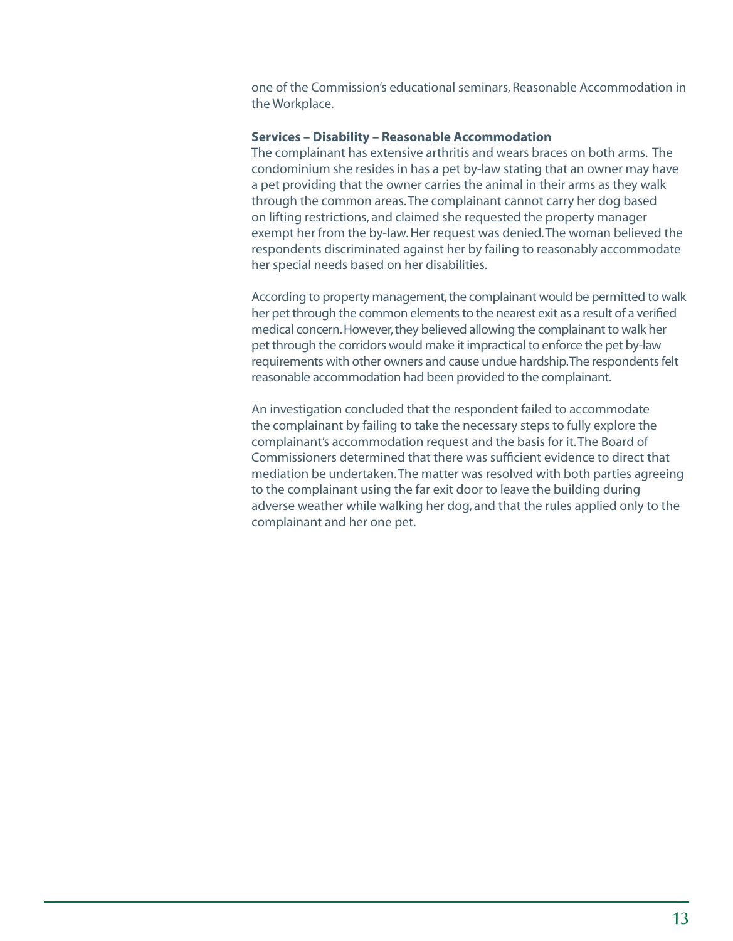one of the Commission's educational seminars, Reasonable Accommodation in the Workplace.

#### **Services – Disability – Reasonable Accommodation**

The complainant has extensive arthritis and wears braces on both arms. The condominium she resides in has a pet by-law stating that an owner may have a pet providing that the owner carries the animal in their arms as they walk through the common areas. The complainant cannot carry her dog based on lifting restrictions, and claimed she requested the property manager exempt her from the by-law. Her request was denied. The woman believed the respondents discriminated against her by failing to reasonably accommodate her special needs based on her disabilities.

According to property management, the complainant would be permitted to walk her pet through the common elements to the nearest exit as a result of a verified medical concern. However, they believed allowing the complainant to walk her pet through the corridors would make it impractical to enforce the pet by-law requirements with other owners and cause undue hardship. The respondents felt reasonable accommodation had been provided to the complainant.

An investigation concluded that the respondent failed to accommodate the complainant by failing to take the necessary steps to fully explore the complainant's accommodation request and the basis for it. The Board of Commissioners determined that there was sufficient evidence to direct that mediation be undertaken. The matter was resolved with both parties agreeing to the complainant using the far exit door to leave the building during adverse weather while walking her dog, and that the rules applied only to the complainant and her one pet.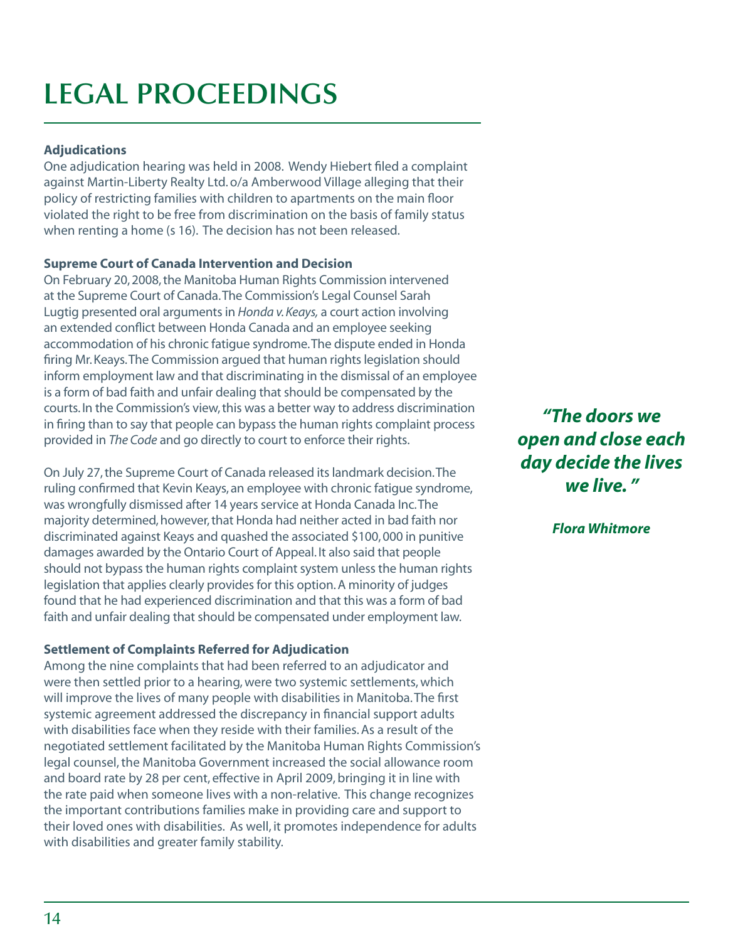## **Legal Proceedings**

### **Adjudications**

One adjudication hearing was held in 2008. Wendy Hiebert filed a complaint against Martin-Liberty Realty Ltd. o/a Amberwood Village alleging that their policy of restricting families with children to apartments on the main floor violated the right to be free from discrimination on the basis of family status when renting a home (s 16). The decision has not been released.

### **Supreme Court of Canada Intervention and Decision**

On February 20, 2008, the Manitoba Human Rights Commission intervened at the Supreme Court of Canada. The Commission's Legal Counsel Sarah Lugtig presented oral arguments in *Honda v. Keays,* a court action involving an extended conflict between Honda Canada and an employee seeking accommodation of his chronic fatigue syndrome. The dispute ended in Honda firing Mr. Keays. The Commission argued that human rights legislation should inform employment law and that discriminating in the dismissal of an employee is a form of bad faith and unfair dealing that should be compensated by the courts. In the Commission's view, this was a better way to address discrimination in firing than to say that people can bypass the human rights complaint process provided in *The Code* and go directly to court to enforce their rights.

On July 27, the Supreme Court of Canada released its landmark decision. The ruling confirmed that Kevin Keays, an employee with chronic fatigue syndrome, was wrongfully dismissed after 14 years service at Honda Canada Inc. The majority determined, however, that Honda had neither acted in bad faith nor discriminated against Keays and quashed the associated \$100, 000 in punitive damages awarded by the Ontario Court of Appeal. It also said that people should not bypass the human rights complaint system unless the human rights legislation that applies clearly provides for this option. A minority of judges found that he had experienced discrimination and that this was a form of bad faith and unfair dealing that should be compensated under employment law.

### **Settlement of Complaints Referred for Adjudication**

Among the nine complaints that had been referred to an adjudicator and were then settled prior to a hearing, were two systemic settlements, which will improve the lives of many people with disabilities in Manitoba. The first systemic agreement addressed the discrepancy in financial support adults with disabilities face when they reside with their families. As a result of the negotiated settlement facilitated by the Manitoba Human Rights Commission's legal counsel, the Manitoba Government increased the social allowance room and board rate by 28 per cent, effective in April 2009, bringing it in line with the rate paid when someone lives with a non-relative. This change recognizes the important contributions families make in providing care and support to their loved ones with disabilities. As well, it promotes independence for adults with disabilities and greater family stability.

*"The doors we open and close each day decide the lives we live. "* 

*Flora Whitmore*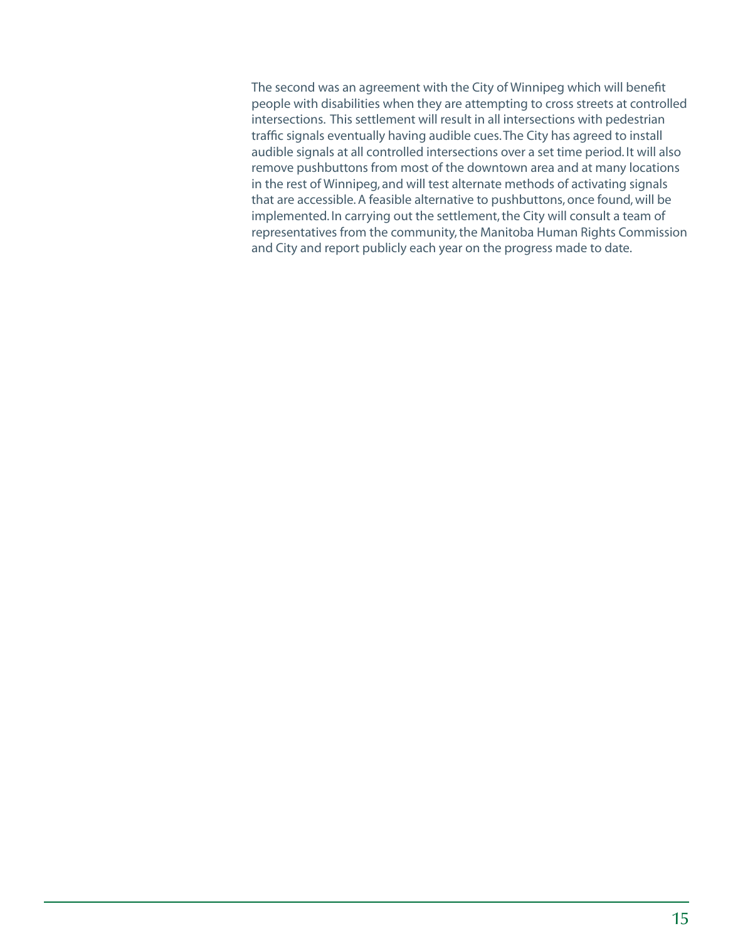The second was an agreement with the City of Winnipeg which will benefit people with disabilities when they are attempting to cross streets at controlled intersections. This settlement will result in all intersections with pedestrian traffic signals eventually having audible cues. The City has agreed to install audible signals at all controlled intersections over a set time period. It will also remove pushbuttons from most of the downtown area and at many locations in the rest of Winnipeg, and will test alternate methods of activating signals that are accessible. A feasible alternative to pushbuttons, once found, will be implemented. In carrying out the settlement, the City will consult a team of representatives from the community, the Manitoba Human Rights Commission and City and report publicly each year on the progress made to date.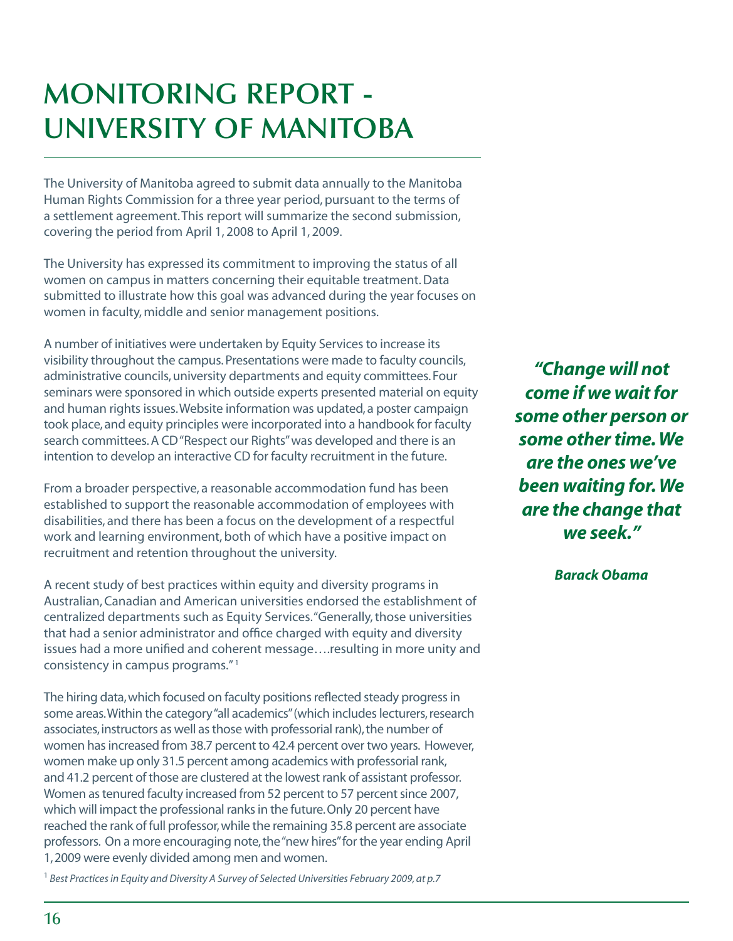### **Monitoring report university of manitoba**

The University of Manitoba agreed to submit data annually to the Manitoba Human Rights Commission for a three year period, pursuant to the terms of a settlement agreement. This report will summarize the second submission, covering the period from April 1, 2008 to April 1, 2009.

The University has expressed its commitment to improving the status of all women on campus in matters concerning their equitable treatment. Data submitted to illustrate how this goal was advanced during the year focuses on women in faculty, middle and senior management positions.

A number of initiatives were undertaken by Equity Services to increase its visibility throughout the campus. Presentations were made to faculty councils, administrative councils, university departments and equity committees. Four seminars were sponsored in which outside experts presented material on equity and human rights issues. Website information was updated, a poster campaign took place, and equity principles were incorporated into a handbook for faculty search committees. A CD "Respect our Rights" was developed and there is an intention to develop an interactive CD for faculty recruitment in the future.

From a broader perspective, a reasonable accommodation fund has been established to support the reasonable accommodation of employees with disabilities, and there has been a focus on the development of a respectful work and learning environment, both of which have a positive impact on recruitment and retention throughout the university.

A recent study of best practices within equity and diversity programs in Australian, Canadian and American universities endorsed the establishment of centralized departments such as Equity Services. "Generally, those universities that had a senior administrator and office charged with equity and diversity issues had a more unified and coherent message….resulting in more unity and consistency in campus programs." 1

The hiring data, which focused on faculty positions reflected steady progress in some areas. Within the category "all academics" (which includes lecturers, research associates, instructors as well as those with professorial rank), the number of women has increased from 38.7 percent to 42.4 percent over two years. However, women make up only 31.5 percent among academics with professorial rank, and 41.2 percent of those are clustered at the lowest rank of assistant professor. Women as tenured faculty increased from 52 percent to 57 percent since 2007, which will impact the professional ranks in the future. Only 20 percent have reached the rank of full professor, while the remaining 35.8 percent are associate professors. On a more encouraging note, the "new hires" for the year ending April 1, 2009 were evenly divided among men and women.

1  *Best Practices in Equity and Diversity A Survey of Selected Universities February 2009, at p.7*

*"Change will not come if we wait for some other person or some other time. We are the ones we've been waiting for. We are the change that we seek."*

*Barack Obama*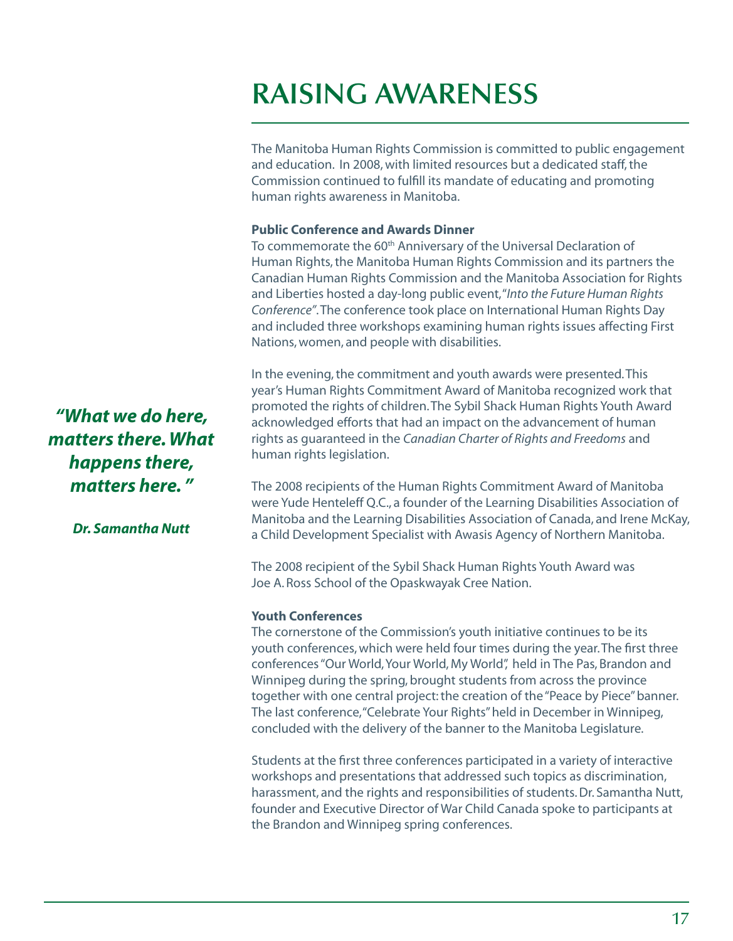## **Raising Awareness**

The Manitoba Human Rights Commission is committed to public engagement and education. In 2008, with limited resources but a dedicated staff, the Commission continued to fulfill its mandate of educating and promoting human rights awareness in Manitoba.

### **Public Conference and Awards Dinner**

To commemorate the 60<sup>th</sup> Anniversary of the Universal Declaration of Human Rights, the Manitoba Human Rights Commission and its partners the Canadian Human Rights Commission and the Manitoba Association for Rights and Liberties hosted a day-long public event, "*Into the Future Human Rights Conference"*. The conference took place on International Human Rights Day and included three workshops examining human rights issues affecting First Nations, women, and people with disabilities.

In the evening, the commitment and youth awards were presented. This year's Human Rights Commitment Award of Manitoba recognized work that promoted the rights of children. The Sybil Shack Human Rights Youth Award acknowledged efforts that had an impact on the advancement of human rights as guaranteed in the *Canadian Charter of Rights and Freedoms* and human rights legislation.

The 2008 recipients of the Human Rights Commitment Award of Manitoba were Yude Henteleff Q.C., a founder of the Learning Disabilities Association of Manitoba and the Learning Disabilities Association of Canada, and Irene McKay, a Child Development Specialist with Awasis Agency of Northern Manitoba.

The 2008 recipient of the Sybil Shack Human Rights Youth Award was Joe A. Ross School of the Opaskwayak Cree Nation.

### **Youth Conferences**

The cornerstone of the Commission's youth initiative continues to be its youth conferences, which were held four times during the year. The first three conferences "Our World, Your World, My World", held in The Pas, Brandon and Winnipeg during the spring, brought students from across the province together with one central project: the creation of the "Peace by Piece" banner. The last conference, "Celebrate Your Rights" held in December in Winnipeg, concluded with the delivery of the banner to the Manitoba Legislature.

Students at the first three conferences participated in a variety of interactive workshops and presentations that addressed such topics as discrimination, harassment, and the rights and responsibilities of students. Dr. Samantha Nutt, founder and Executive Director of War Child Canada spoke to participants at the Brandon and Winnipeg spring conferences.

*"What we do here, matters there. What happens there, matters here. "* 

*Dr. Samantha Nutt*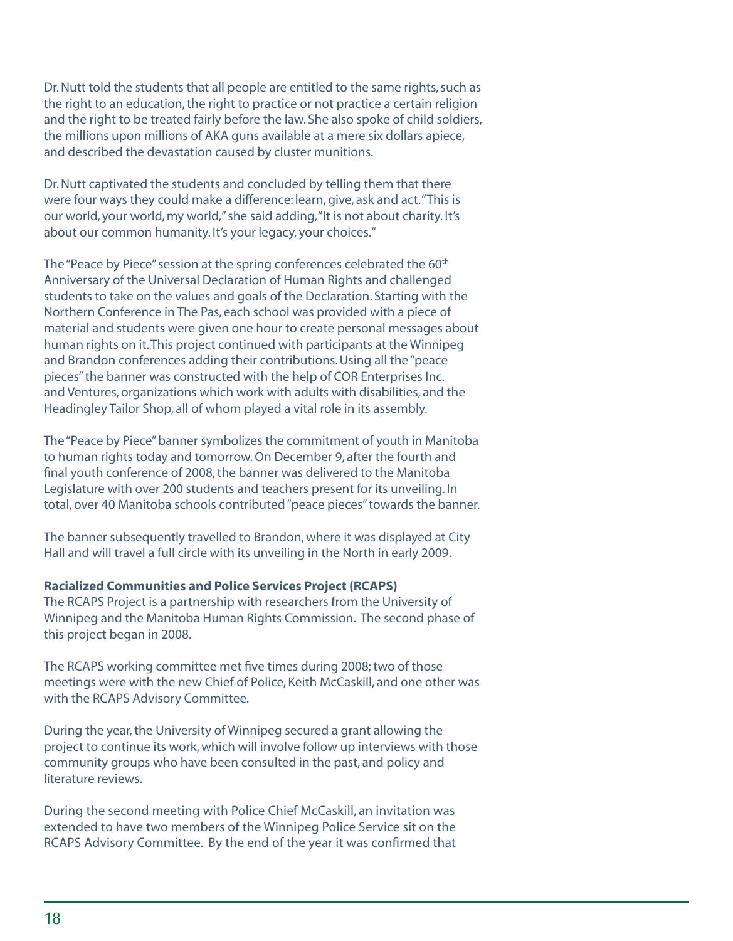Dr. Nutt told the students that all people are entitled to the same rights, such as the right to an education, the right to practice or not practice a certain religion and the right to be treated fairly before the law. She also spoke of child soldiers, the millions upon millions of AKA guns available at a mere six dollars apiece, and described the devastation caused by cluster munitions.

Dr. Nutt captivated the students and concluded by telling them that there were four ways they could make a difference: learn, give, ask and act. "This is our world, your world, my world," she said adding, "It is not about charity. It's about our common humanity. It's your legacy, your choices."

The "Peace by Piece" session at the spring conferences celebrated the 60<sup>th</sup> Anniversary of the Universal Declaration of Human Rights and challenged students to take on the values and goals of the Declaration. Starting with the Northern Conference in The Pas, each school was provided with a piece of material and students were given one hour to create personal messages about human rights on it. This project continued with participants at the Winnipeg and Brandon conferences adding their contributions. Using all the "peace pieces" the banner was constructed with the help of COR Enterprises Inc. and Ventures, organizations which work with adults with disabilities, and the Headingley Tailor Shop, all of whom played a vital role in its assembly.

The "Peace by Piece" banner symbolizes the commitment of youth in Manitoba to human rights today and tomorrow. On December 9, after the fourth and final youth conference of 2008, the banner was delivered to the Manitoba Legislature with over 200 students and teachers present for its unveiling. In total, over 40 Manitoba schools contributed "peace pieces" towards the banner.

The banner subsequently travelled to Brandon, where it was displayed at City Hall and will travel a full circle with its unveiling in the North in early 2009.

#### **Racialized Communities and Police Services Project (RCAPS)**

The RCAPS Project is a partnership with researchers from the University of Winnipeg and the Manitoba Human Rights Commission. The second phase of this project began in 2008.

The RCAPS working committee met five times during 2008; two of those meetings were with the new Chief of Police, Keith McCaskill, and one other was with the RCAPS Advisory Committee.

During the year, the University of Winnipeg secured a grant allowing the project to continue its work, which will involve follow up interviews with those community groups who have been consulted in the past, and policy and literature reviews.

During the second meeting with Police Chief McCaskill, an invitation was extended to have two members of the Winnipeg Police Service sit on the RCAPS Advisory Committee. By the end of the year it was confirmed that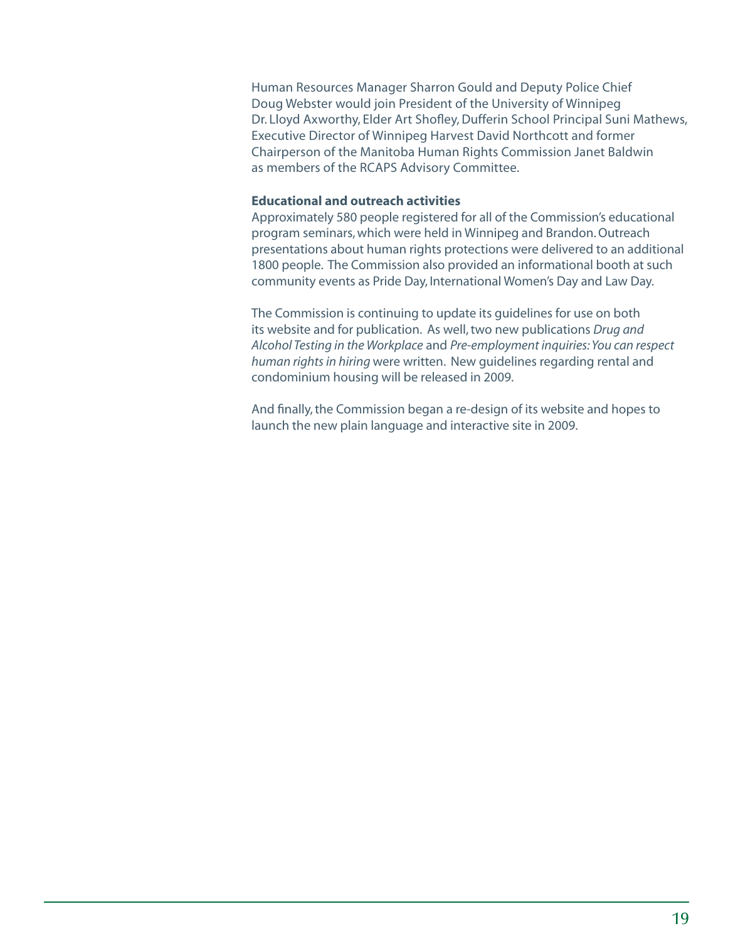Human Resources Manager Sharron Gould and Deputy Police Chief Doug Webster would join President of the University of Winnipeg Dr. Lloyd Axworthy, Elder Art Shofley, Dufferin School Principal Suni Mathews, Executive Director of Winnipeg Harvest David Northcott and former Chairperson of the Manitoba Human Rights Commission Janet Baldwin as members of the RCAPS Advisory Committee.

#### **Educational and outreach activities**

Approximately 580 people registered for all of the Commission's educational program seminars, which were held in Winnipeg and Brandon. Outreach presentations about human rights protections were delivered to an additional 1800 people. The Commission also provided an informational booth at such community events as Pride Day, International Women's Day and Law Day.

The Commission is continuing to update its guidelines for use on both its website and for publication. As well, two new publications *Drug and Alcohol Testing in the Workplace* and *Pre-employment inquiries: You can respect human rights in hiring* were written. New guidelines regarding rental and condominium housing will be released in 2009.

And finally, the Commission began a re-design of its website and hopes to launch the new plain language and interactive site in 2009.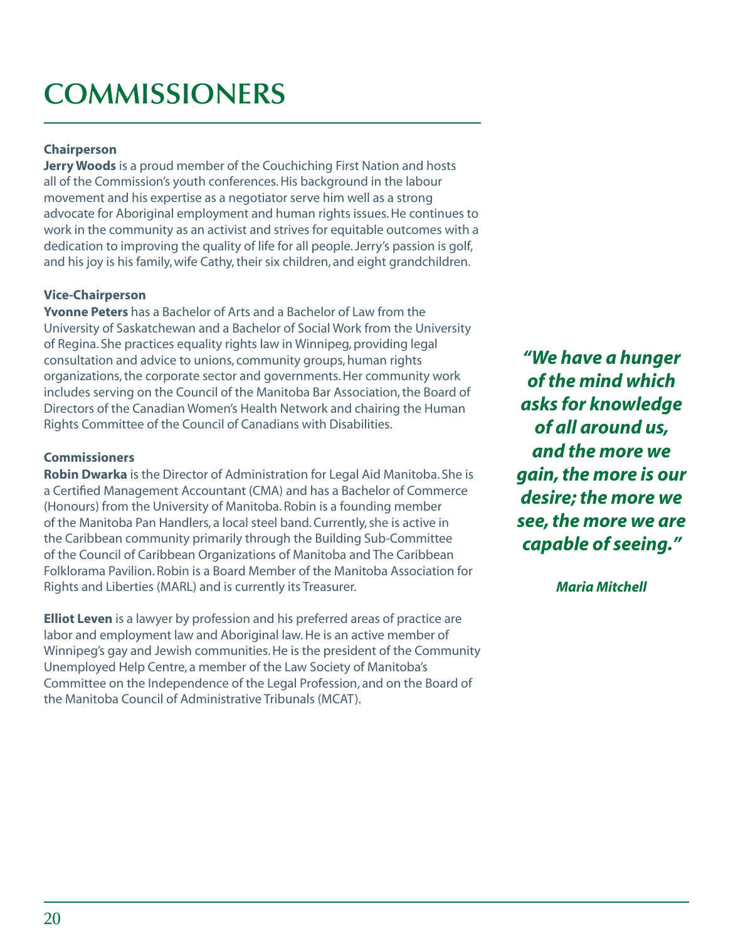## **Commissioners**

### **Chairperson**

**Jerry Woods** is a proud member of the Couchiching First Nation and hosts all of the Commission's youth conferences. His background in the labour movement and his expertise as a negotiator serve him well as a strong advocate for Aboriginal employment and human rights issues. He continues to work in the community as an activist and strives for equitable outcomes with a dedication to improving the quality of life for all people. Jerry's passion is golf, and his joy is his family, wife Cathy, their six children, and eight grandchildren.

### **Vice-Chairperson**

**Yvonne Peters** has a Bachelor of Arts and a Bachelor of Law from the University of Saskatchewan and a Bachelor of Social Work from the University of Regina. She practices equality rights law in Winnipeg, providing legal consultation and advice to unions, community groups, human rights organizations, the corporate sector and governments.Her community work includes serving on the Council of the Manitoba Bar Association, the Board of Directors of the Canadian Women's Health Network and chairing the Human Rights Committee of the Council of Canadians with Disabilities.

### **Commissioners**

**Robin Dwarka** is the Director of Administration for Legal Aid Manitoba. She is a Certified Management Accountant (CMA) and has a Bachelor of Commerce (Honours) from the University of Manitoba. Robin is a founding member of the Manitoba Pan Handlers, a local steel band. Currently, she is active in the Caribbean community primarily through the Building Sub-Committee of the Council of Caribbean Organizations of Manitoba and The Caribbean Folklorama Pavilion. Robin is a Board Member of the Manitoba Association for Rights and Liberties (MARL) and is currently its Treasurer.

**Elliot Leven** is a lawyer by profession and his preferred areas of practice are labor and employment law and Aboriginal law. He is an active member of Winnipeg's gay and Jewish communities. He is the president of the Community Unemployed Help Centre, a member of the Law Society of Manitoba's Committee on the Independence of the Legal Profession, and on the Board of the Manitoba Council of Administrative Tribunals (MCAT).

*"We have a hunger of the mind which asks for knowledge of all around us, and the more we gain, the more is our desire; the more we see, the more we are capable of seeing."* 

*Maria Mitchell*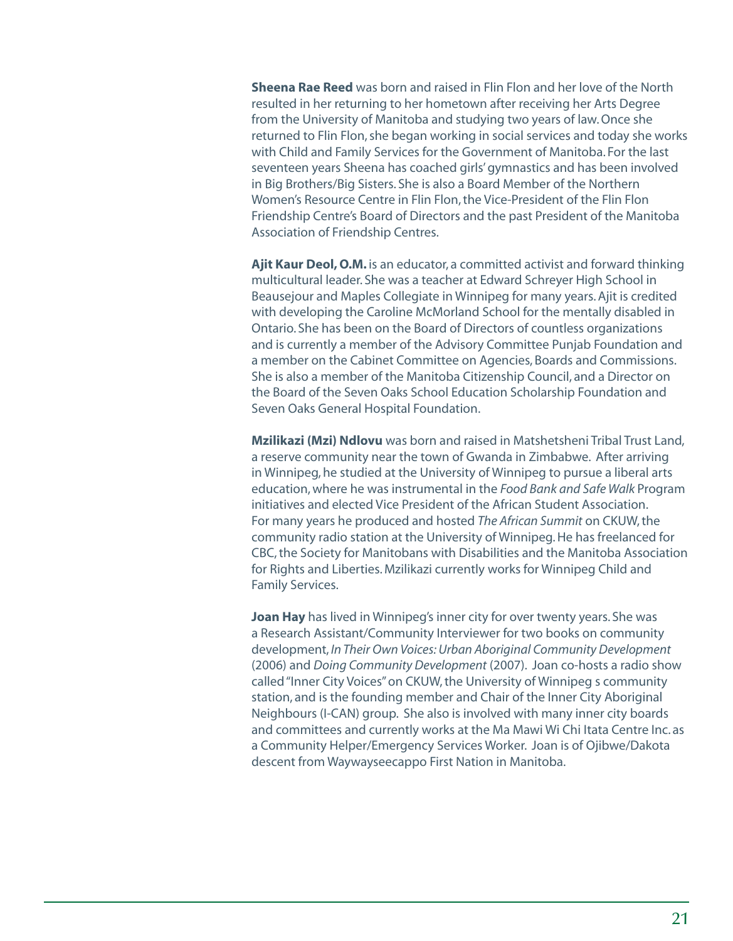**Sheena Rae Reed** was born and raised in Flin Flon and her love of the North resulted in her returning to her hometown after receiving her Arts Degree from the University of Manitoba and studying two years of law. Once she returned to Flin Flon, she began working in social services and today she works with Child and Family Services for the Government of Manitoba. For the last seventeen years Sheena has coached girls' gymnastics and has been involved in Big Brothers/Big Sisters. She is also a Board Member of the Northern Women's Resource Centre in Flin Flon, the Vice-President of the Flin Flon Friendship Centre's Board of Directors and the past President of the Manitoba Association of Friendship Centres.

**Ajit Kaur Deol, O.M.** is an educator, a committed activist and forward thinking multicultural leader. She was a teacher at Edward Schreyer High School in Beausejour and Maples Collegiate in Winnipeg for many years. Ajit is credited with developing the Caroline McMorland School for the mentally disabled in Ontario. She has been on the Board of Directors of countless organizations and is currently a member of the Advisory Committee Punjab Foundation and a member on the Cabinet Committee on Agencies, Boards and Commissions. She is also a member of the Manitoba Citizenship Council, and a Director on the Board of the Seven Oaks School Education Scholarship Foundation and Seven Oaks General Hospital Foundation.

**Mzilikazi (Mzi) Ndlovu** was born and raised in Matshetsheni Tribal Trust Land, a reserve community near the town of Gwanda in Zimbabwe. After arriving in Winnipeg, he studied at the University of Winnipeg to pursue a liberal arts education, where he was instrumental in the *Food Bank and Safe Walk* Program initiatives and elected Vice President of the African Student Association. For many years he produced and hosted *The African Summit* on CKUW, the community radio station at the University of Winnipeg. He has freelanced for CBC, the Society for Manitobans with Disabilities and the Manitoba Association for Rights and Liberties. Mzilikazi currently works for Winnipeg Child and Family Services.

**Joan Hay** has lived in Winnipeg's inner city for over twenty years. She was a Research Assistant/Community Interviewer for two books on community development, *In Their Own Voices: Urban Aboriginal Community Development* (2006) and *Doing Community Development* (2007). Joan co-hosts a radio show called "Inner City Voices" on CKUW, the University of Winnipeg s community station, and is the founding member and Chair of the Inner City Aboriginal Neighbours (I-CAN) group. She also is involved with many inner city boards and committees and currently works at the Ma Mawi Wi Chi Itata Centre Inc. as a Community Helper/Emergency Services Worker. Joan is of Ojibwe/Dakota descent from Waywayseecappo First Nation in Manitoba.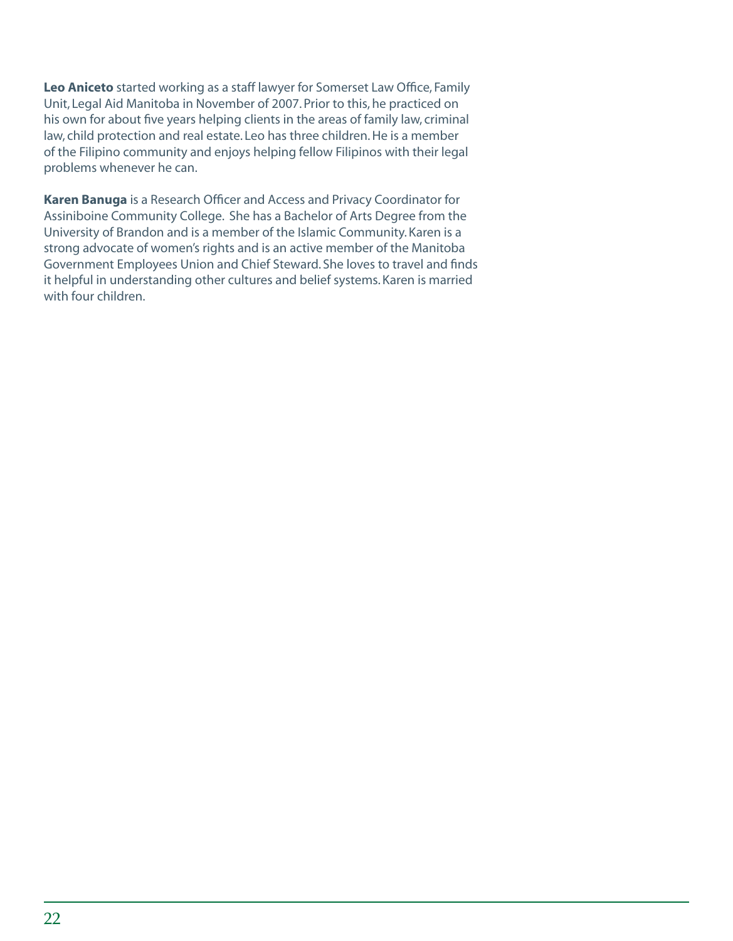**Leo Aniceto** started working as a staff lawyer for Somerset Law Office, Family Unit, Legal Aid Manitoba in November of 2007. Prior to this, he practiced on his own for about five years helping clients in the areas of family law, criminal law, child protection and real estate. Leo has three children. He is a member of the Filipino community and enjoys helping fellow Filipinos with their legal problems whenever he can.

**Karen Banuga** is a Research Officer and Access and Privacy Coordinator for Assiniboine Community College. She has a Bachelor of Arts Degree from the University of Brandon and is a member of the Islamic Community. Karen is a strong advocate of women's rights and is an active member of the Manitoba Government Employees Union and Chief Steward. She loves to travel and finds it helpful in understanding other cultures and belief systems. Karen is married with four children.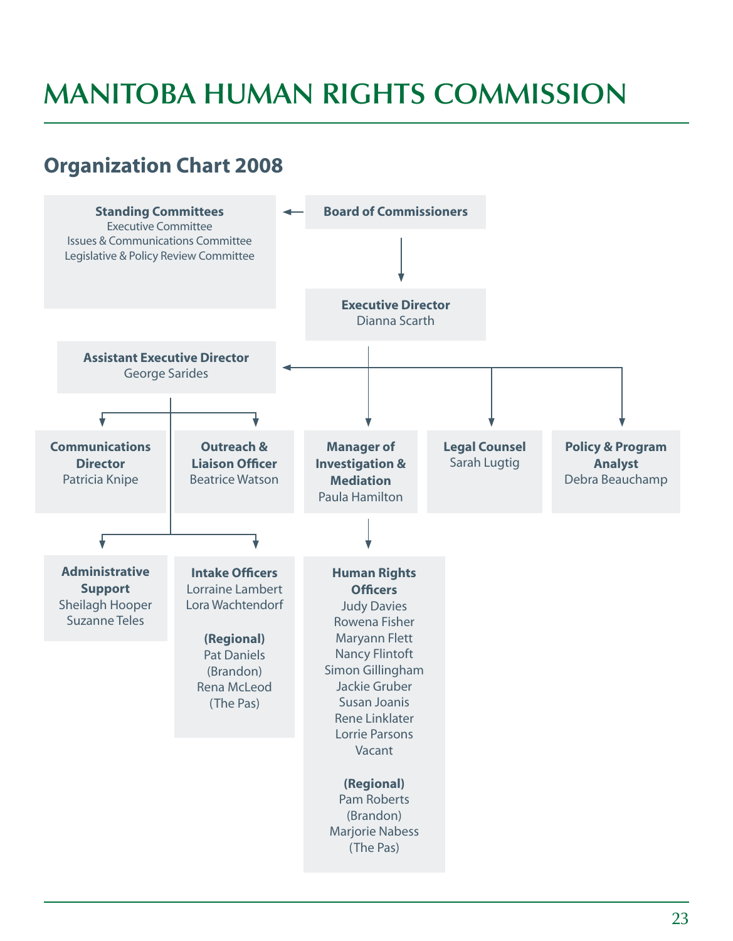### **Manitoba Human Rights Commission**

### **Organization Chart 2008**

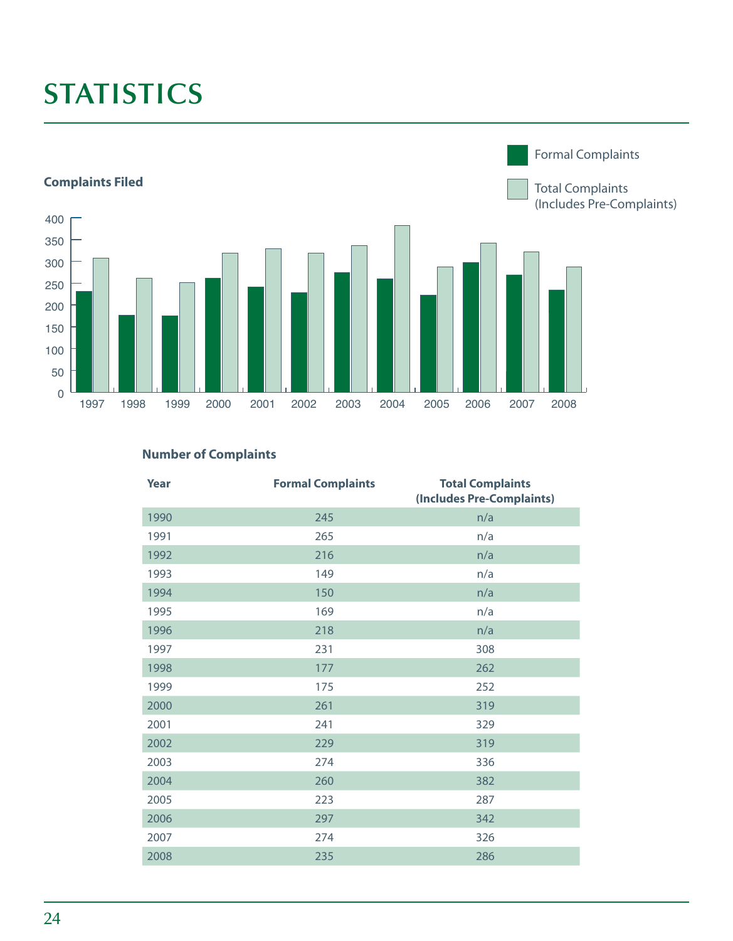## **STATISTICS**



### **Number of Complaints**

| Year | <b>Formal Complaints</b> | <b>Total Complaints</b><br>(Includes Pre-Complaints) |
|------|--------------------------|------------------------------------------------------|
| 1990 | 245                      | n/a                                                  |
| 1991 | 265                      | n/a                                                  |
| 1992 | 216                      | n/a                                                  |
| 1993 | 149                      | n/a                                                  |
| 1994 | 150                      | n/a                                                  |
| 1995 | 169                      | n/a                                                  |
| 1996 | 218                      | n/a                                                  |
| 1997 | 231                      | 308                                                  |
| 1998 | 177                      | 262                                                  |
| 1999 | 175                      | 252                                                  |
| 2000 | 261                      | 319                                                  |
| 2001 | 241                      | 329                                                  |
| 2002 | 229                      | 319                                                  |
| 2003 | 274                      | 336                                                  |
| 2004 | 260                      | 382                                                  |
| 2005 | 223                      | 287                                                  |
| 2006 | 297                      | 342                                                  |
| 2007 | 274                      | 326                                                  |
| 2008 | 235                      | 286                                                  |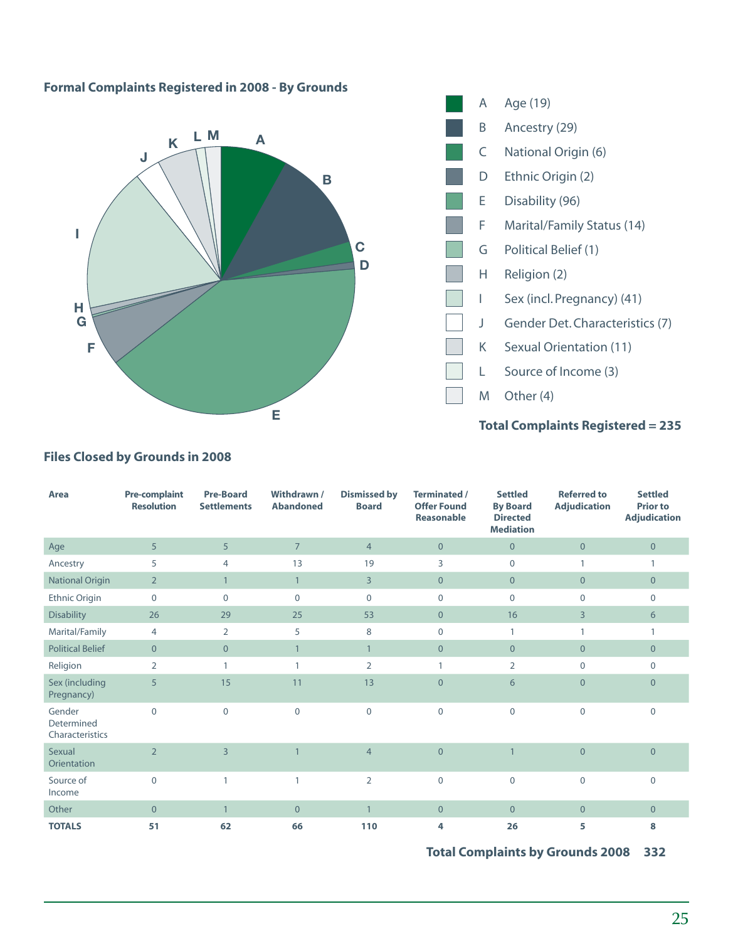

| Area                                    | Pre-complaint<br><b>Resolution</b> | <b>Pre-Board</b><br><b>Settlements</b> | Withdrawn /<br><b>Abandoned</b> | <b>Dismissed by</b><br><b>Board</b> | <b>Terminated /</b><br><b>Offer Found</b><br>Reasonable | <b>Settled</b><br><b>By Board</b><br><b>Directed</b><br><b>Mediation</b> | <b>Referred to</b><br><b>Adjudication</b> | <b>Settled</b><br><b>Prior to</b><br><b>Adjudication</b> |
|-----------------------------------------|------------------------------------|----------------------------------------|---------------------------------|-------------------------------------|---------------------------------------------------------|--------------------------------------------------------------------------|-------------------------------------------|----------------------------------------------------------|
| Age                                     | 5                                  | 5                                      | $\overline{7}$                  | $\overline{4}$                      | $\overline{0}$                                          | $\overline{0}$                                                           | $\overline{0}$                            | $\overline{0}$                                           |
| Ancestry                                | 5                                  | $\overline{4}$                         | 13                              | 19                                  | 3                                                       | $\mathbf 0$                                                              | $\mathbf{1}$                              | 1                                                        |
| <b>National Origin</b>                  | $\overline{2}$                     |                                        |                                 | $\overline{3}$                      | $\overline{0}$                                          | $\overline{0}$                                                           | $\overline{0}$                            | $\overline{0}$                                           |
| Ethnic Origin                           | $\mathbf 0$                        | $\overline{0}$                         | $\Omega$                        | $\mathbf{0}$                        | $\mathbf 0$                                             | $\mathbf 0$                                                              | $\mathbf 0$                               | $\mathbf 0$                                              |
| <b>Disability</b>                       | 26                                 | 29                                     | 25                              | 53                                  | $\overline{0}$                                          | 16                                                                       | 3                                         | 6                                                        |
| Marital/Family                          | 4                                  | 2                                      | 5                               | 8                                   | 0                                                       | 1                                                                        | 1                                         | -1                                                       |
| <b>Political Belief</b>                 | $\overline{0}$                     | $\overline{0}$                         |                                 | $\mathbf{1}$                        | $\overline{0}$                                          | $\overline{0}$                                                           | $\mathbf{0}$                              | $\overline{0}$                                           |
| Religion                                | $\overline{2}$                     |                                        |                                 | $\overline{2}$                      |                                                         | $\overline{2}$                                                           | $\mathbf 0$                               | $\mathbf 0$                                              |
| Sex (including<br>Pregnancy)            | 5                                  | 15                                     | 11                              | 13                                  | $\overline{0}$                                          | 6                                                                        | $\overline{0}$                            | $\overline{0}$                                           |
| Gender<br>Determined<br>Characteristics | $\mathbf 0$                        | 0                                      | $\mathbf 0$                     | $\mathbf 0$                         | 0                                                       | $\pmb{0}$                                                                | $\mathbf 0$                               | $\mathbf 0$                                              |
| Sexual<br>Orientation                   | $\overline{2}$                     | $\overline{3}$                         |                                 | $\overline{4}$                      | $\mathbf 0$                                             | $\mathbf{1}$                                                             | $\mathbf 0$                               | $\overline{0}$                                           |
| Source of<br>Income                     | $\mathbf 0$                        | 1                                      |                                 | $\overline{2}$                      | $\mathbf 0$                                             | $\mathbf 0$                                                              | $\mathbf 0$                               | $\mathbf 0$                                              |
| Other                                   | $\overline{0}$                     | $\mathbf{1}$                           | $\overline{0}$                  | $\mathbf{1}$                        | $\overline{0}$                                          | $\overline{0}$                                                           | $\overline{0}$                            | $\overline{0}$                                           |
| <b>TOTALS</b>                           | 51                                 | 62                                     | 66                              | 110                                 | 4                                                       | 26                                                                       | 5                                         | 8                                                        |

#### **Files Closed by Grounds in 2008**

**Total Complaints by Grounds 2008 332**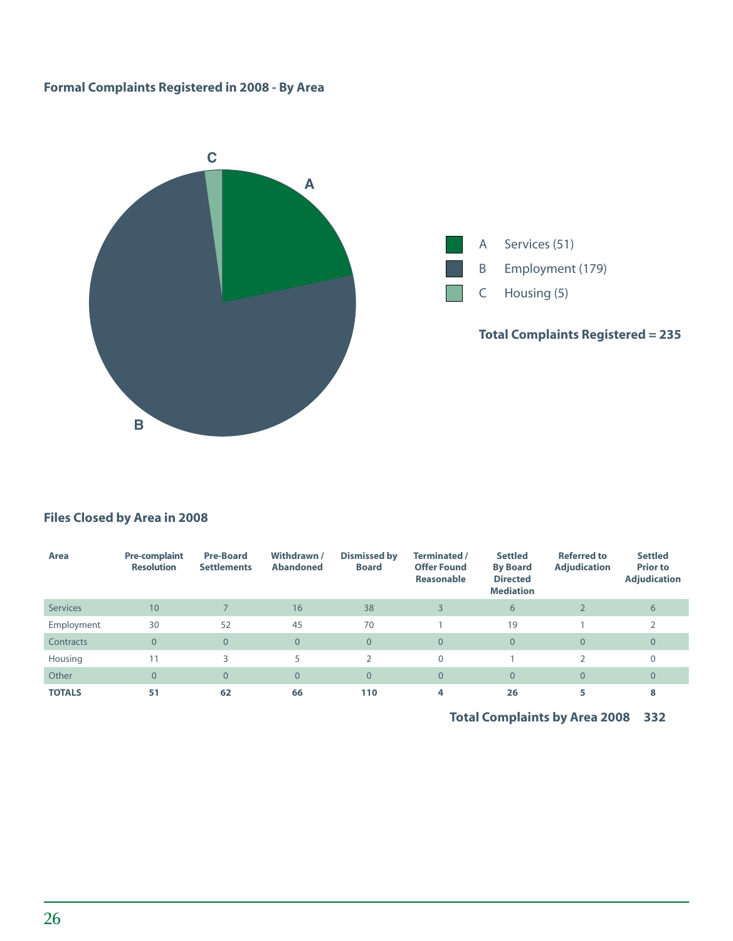### **Formal Complaints Registered in 2008 - By Area**



### **Files Closed by Area in 2008**

| Area          | <b>Pre-complaint</b><br><b>Resolution</b> | <b>Pre-Board</b><br><b>Settlements</b> | Withdrawn /<br><b>Abandoned</b> | Dismissed by<br><b>Board</b> | Terminated /<br><b>Offer Found</b><br>Reasonable | <b>Settled</b><br><b>By Board</b><br><b>Directed</b><br><b>Mediation</b> | <b>Referred to</b><br><b>Adjudication</b> | <b>Settled</b><br><b>Prior to</b><br><b>Adjudication</b> |
|---------------|-------------------------------------------|----------------------------------------|---------------------------------|------------------------------|--------------------------------------------------|--------------------------------------------------------------------------|-------------------------------------------|----------------------------------------------------------|
| Services      | 10                                        |                                        | 16                              | 38                           |                                                  | 6                                                                        |                                           | 6                                                        |
| Employment    | 30                                        | 52                                     | 45                              | 70                           |                                                  | 19                                                                       |                                           |                                                          |
| Contracts     | $\Omega$                                  | $\Omega$                               | $\Omega$                        | $\overline{0}$               | $\overline{0}$                                   | $\overline{0}$                                                           | $\overline{0}$                            | $\mathbf{0}$                                             |
| Housing       | 11                                        | 3                                      | 5                               | $\mathcal{D}$                | $\Omega$                                         |                                                                          |                                           | 0                                                        |
| Other         | $\Omega$                                  | $\Omega$                               | $\Omega$                        | $\overline{0}$               | $\overline{0}$                                   | $\overline{0}$                                                           | $\overline{0}$                            | $\overline{0}$                                           |
| <b>TOTALS</b> | 51                                        | 62                                     | 66                              | 110                          | 4                                                | 26                                                                       |                                           | 8                                                        |

**Total Complaints by Area 2008 332**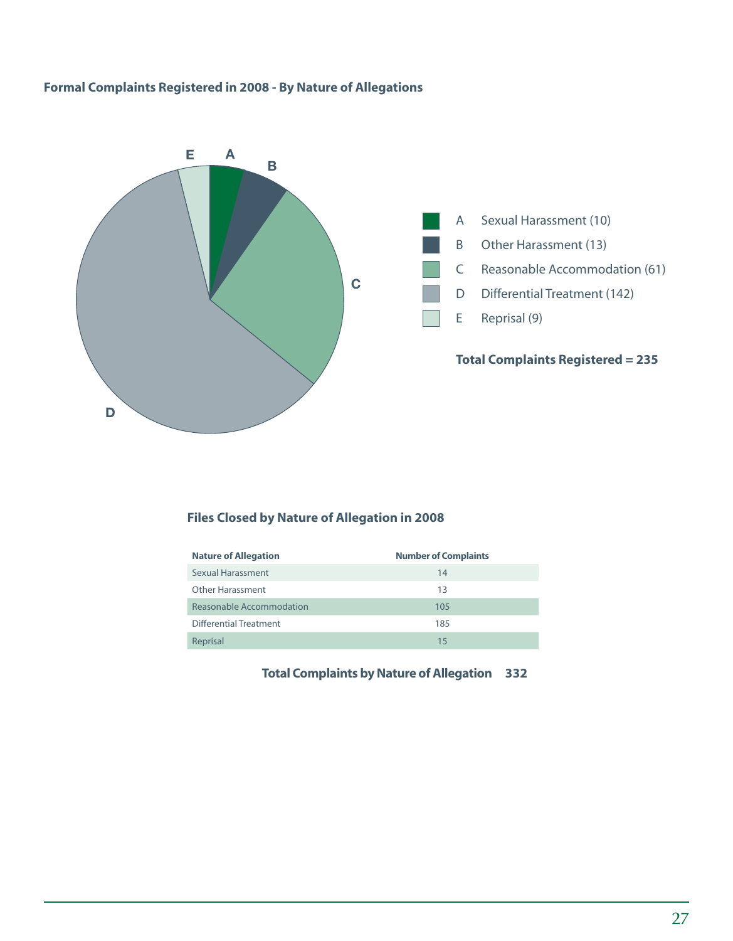### **Formal Complaints Registered in 2008 - By Nature of Allegations**



### **Files Closed by Nature of Allegation in 2008**

| <b>Nature of Allegation</b>   | <b>Number of Complaints</b> |
|-------------------------------|-----------------------------|
| Sexual Harassment             | 14                          |
| <b>Other Harassment</b>       | 13                          |
| Reasonable Accommodation      | 105                         |
| <b>Differential Treatment</b> | 185                         |
| Reprisal                      | 15                          |

**Total Complaints by Nature of Allegation 332**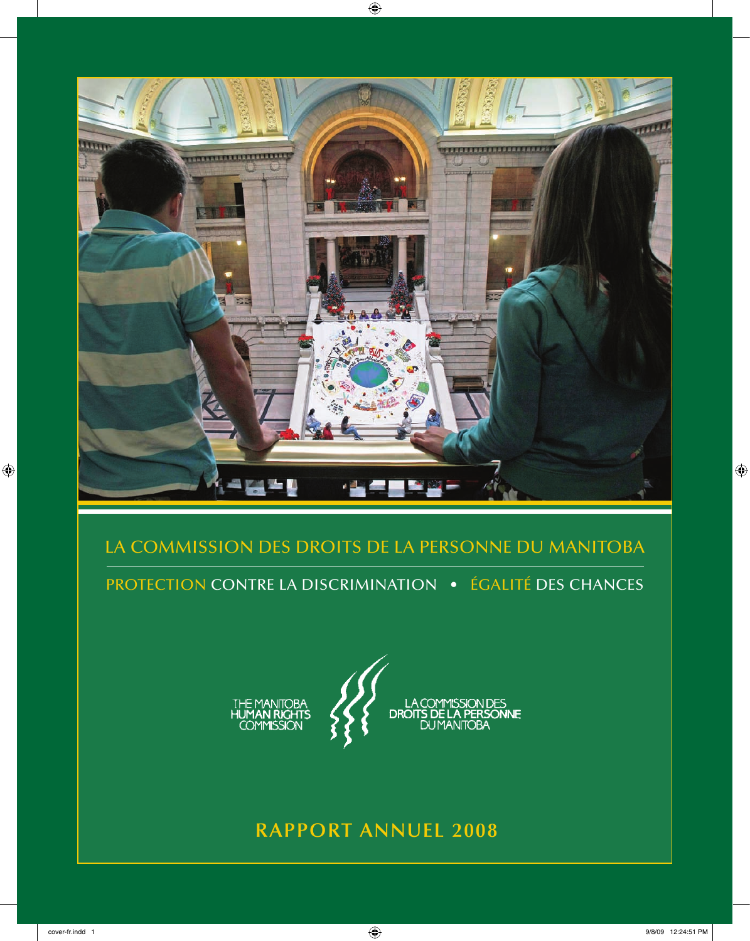

### La Commission des droits de la personne du Manitoba

Protection contre la discrimination • Égalité des chances



### **Rapport annuel 2008**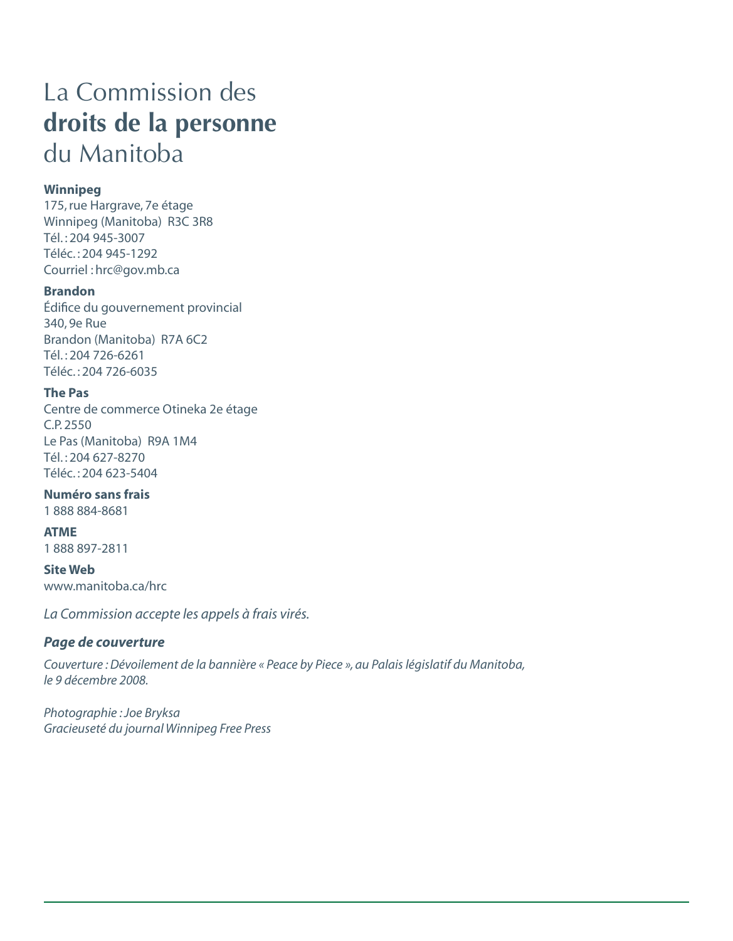### La Commission des **droits de la personne** du Manitoba

### **Winnipeg**

175, rue Hargrave, 7e étage Winnipeg (Manitoba) R3C 3R8 Tél. : 204 945‑3007 Téléc. : 204 945‑1292 Courriel : hrc@gov.mb.ca

### **Brandon**

Édifice du gouvernement provincial 340, 9e Rue Brandon (Manitoba) R7A 6C2 Tél. : 204 726‑6261 Téléc. : 204 726‑6035

### **The Pas**

Centre de commerce Otineka 2e étage C.P. 2550 Le Pas (Manitoba) R9A 1M4 Tél. : 204 627‑8270 Téléc. : 204 623‑5404

**Numéro sans frais** 1 888 884‑8681

**ATME** 1 888 897‑2811

**Site Web** www.manitoba.ca/hrc

*La Commission accepte les appels à frais virés.*

### *Page de couverture*

*Couverture : Dévoilement de la bannière « Peace by Piece », au Palais législatif du Manitoba, le 9 décembre 2008.*

*Photographie : Joe Bryksa Gracieuseté du journal Winnipeg Free Press*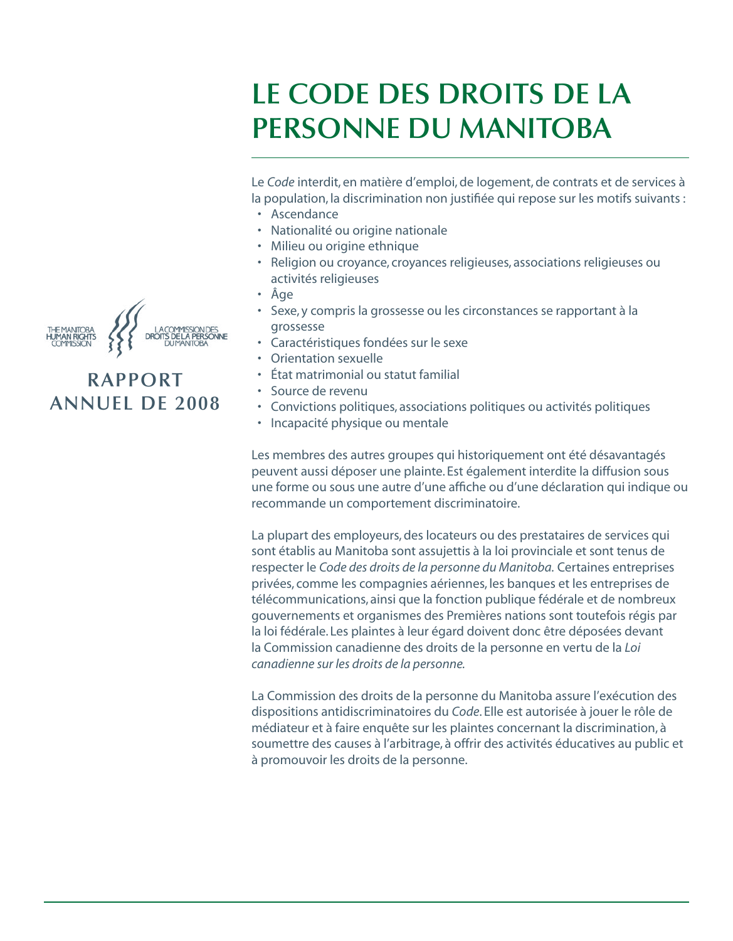### **Le Code des droits de la personne du Manitoba**

Le *Code* interdit, en matière d'emploi, de logement, de contrats et de services à la population, la discrimination non justifiée qui repose sur les motifs suivants :

- Ascendance
- Nationalité ou origine nationale
- Milieu ou origine ethnique
- Religion ou croyance, croyances religieuses, associations religieuses ou activités religieuses
- Âge
- Sexe, y compris la grossesse ou les circonstances se rapportant à la grossesse
- Caractéristiques fondées sur le sexe
- Orientation sexuelle
- État matrimonial ou statut familial
- Source de revenu
- Convictions politiques, associations politiques ou activités politiques
- Incapacité physique ou mentale

Les membres des autres groupes qui historiquement ont été désavantagés peuvent aussi déposer une plainte. Est également interdite la diffusion sous une forme ou sous une autre d'une affiche ou d'une déclaration qui indique ou recommande un comportement discriminatoire.

La plupart des employeurs, des locateurs ou des prestataires de services qui sont établis au Manitoba sont assujettis à la loi provinciale et sont tenus de respecter le *Code des droits de la personne du Manitoba.* Certaines entreprises privées, comme les compagnies aériennes, les banques et les entreprises de télécommunications, ainsi que la fonction publique fédérale et de nombreux gouvernements et organismes des Premières nations sont toutefois régis par la loi fédérale. Les plaintes à leur égard doivent donc être déposées devant la Commission canadienne des droits de la personne en vertu de la *Loi canadienne sur les droits de la personne.*

La Commission des droits de la personne du Manitoba assure l'exécution des dispositions antidiscriminatoires du *Code*. Elle est autorisée à jouer le rôle de médiateur et à faire enquête sur les plaintes concernant la discrimination, à soumettre des causes à l'arbitrage, à offrir des activités éducatives au public et à promouvoir les droits de la personne.



### **Rapport annuel de 2008**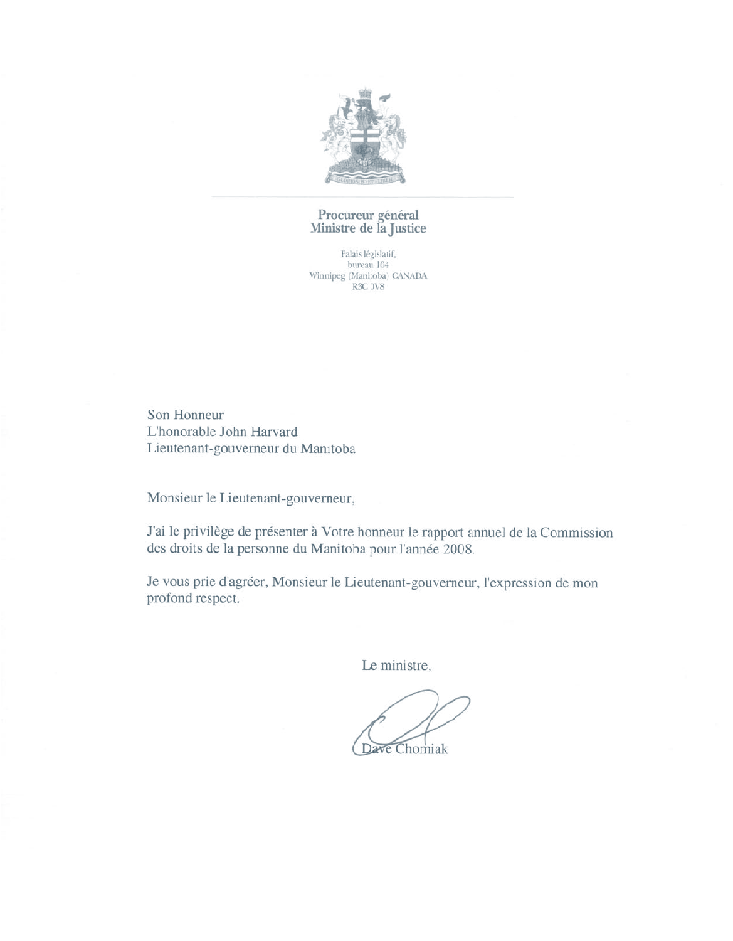

### Procureur général<br>Ministre de la Justice

Palais législatif, bureau 104<br>Winnipeg (Manitoba) CANADA **R3C 0V8** 

Son Honneur L'honorable John Harvard Lieutenant-gouverneur du Manitoba

Monsieur le Lieutenant-gouverneur,

J'ai le privilège de présenter à Votre honneur le rapport annuel de la Commission des droits de la personne du Manitoba pour l'année 2008.

Je vous prie d'agréer, Monsieur le Lieutenant-gouverneur, l'expression de mon profond respect.

Le ministre,

Dave Chomiak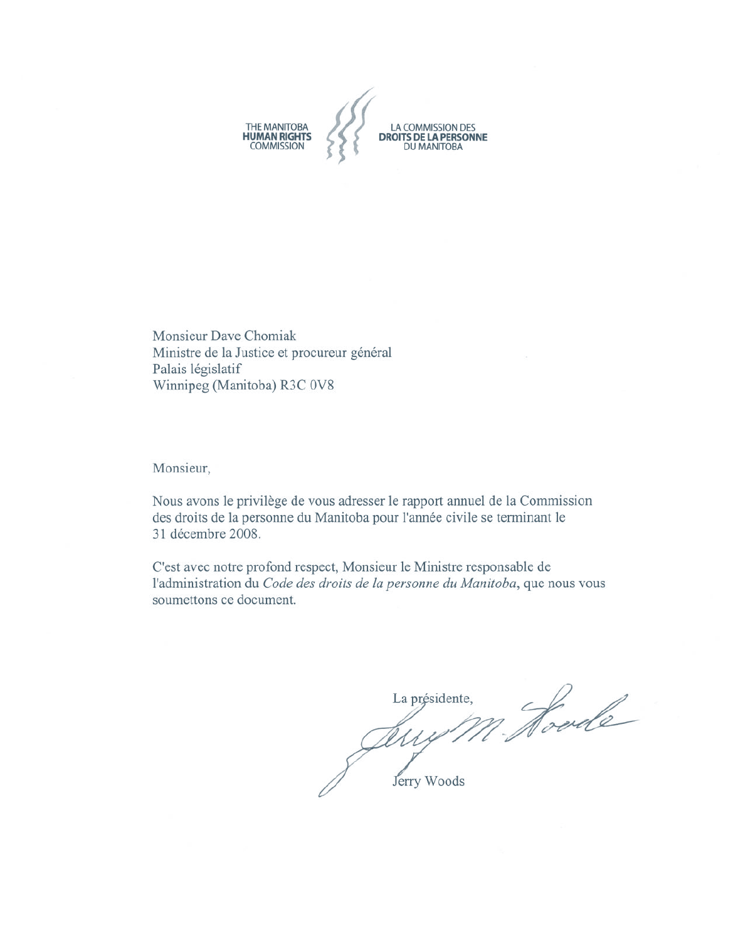THE MANITOBA<br>**HUMAN RIGHTS**<br>COMMISSION

LA COMMISSION DES<br>**DROITS DE LA PERSONNE DU MANITOBA** 

Monsieur Dave Chomiak Ministre de la Justice et procureur général Palais législatif Winnipeg (Manitoba) R3C 0V8

Monsieur,

Nous avons le privilège de vous adresser le rapport annuel de la Commission des droits de la personne du Manitoba pour l'année civile se terminant le 31 décembre 2008.

C'est avec notre profond respect, Monsieur le Ministre responsable de l'administration du Code des droits de la personne du Manitoba, que nous vous soumettons ce document.

n Hoode La présidente, Jerry Woods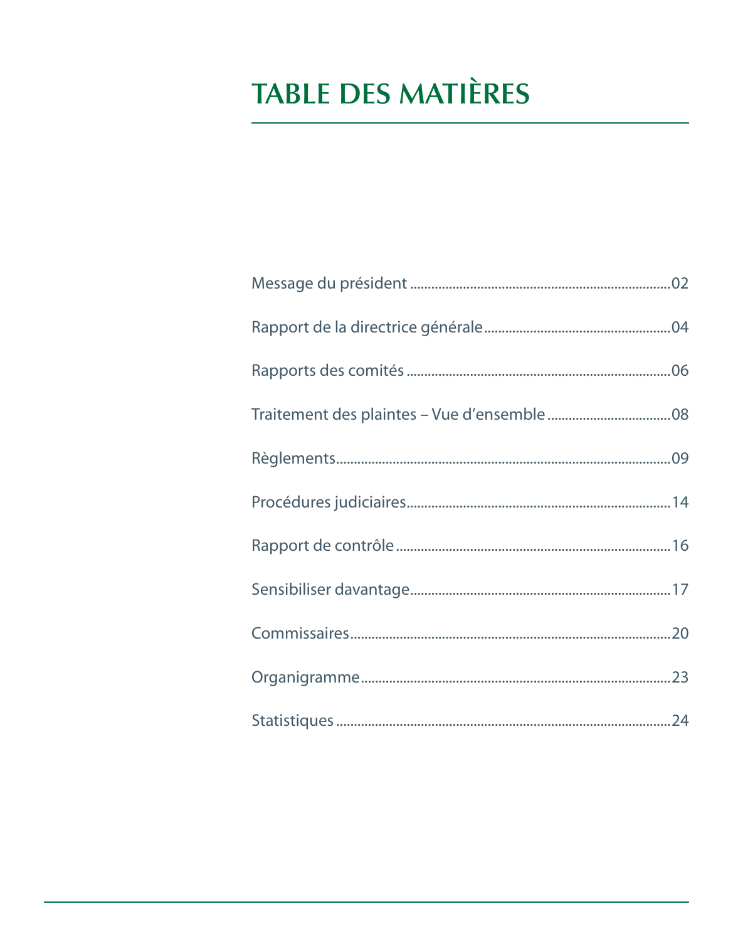# **TABLE DES MATIÈRES**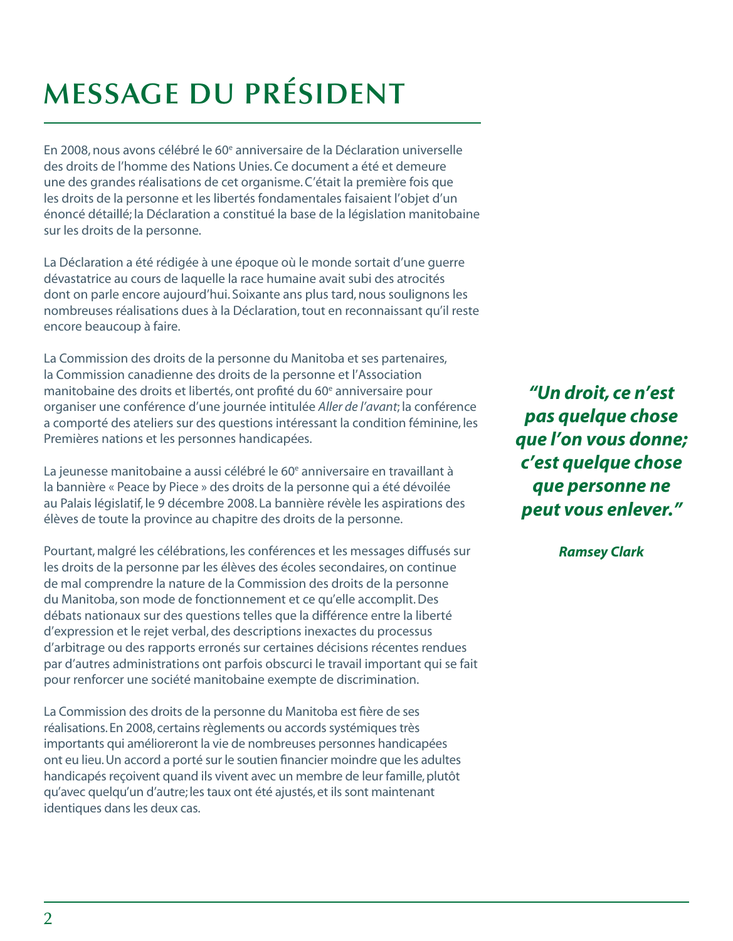## **Message du président**

En 2008, nous avons célébré le 60 $^{\circ}$  anniversaire de la Déclaration universelle des droits de l'homme des Nations Unies. Ce document a été et demeure une des grandes réalisations de cet organisme. C'était la première fois que les droits de la personne et les libertés fondamentales faisaient l'objet d'un énoncé détaillé; la Déclaration a constitué la base de la législation manitobaine sur les droits de la personne.

La Déclaration a été rédigée à une époque où le monde sortait d'une guerre dévastatrice au cours de laquelle la race humaine avait subi des atrocités dont on parle encore aujourd'hui. Soixante ans plus tard, nous soulignons les nombreuses réalisations dues à la Déclaration, tout en reconnaissant qu'il reste encore beaucoup à faire.

La Commission des droits de la personne du Manitoba et ses partenaires, la Commission canadienne des droits de la personne et l'Association manitobaine des droits et libertés, ont profité du 60<sup>e</sup> anniversaire pour organiser une conférence d'une journée intitulée *Aller de l'avant*; la conférence a comporté des ateliers sur des questions intéressant la condition féminine, les Premières nations et les personnes handicapées.

La jeunesse manitobaine a aussi célébré le 60<sup>e</sup> anniversaire en travaillant à la bannière « Peace by Piece » des droits de la personne qui a été dévoilée au Palais législatif, le 9 décembre 2008. La bannière révèle les aspirations des élèves de toute la province au chapitre des droits de la personne.

Pourtant, malgré les célébrations, les conférences et les messages diffusés sur les droits de la personne par les élèves des écoles secondaires, on continue de mal comprendre la nature de la Commission des droits de la personne du Manitoba, son mode de fonctionnement et ce qu'elle accomplit. Des débats nationaux sur des questions telles que la différence entre la liberté d'expression et le rejet verbal, des descriptions inexactes du processus d'arbitrage ou des rapports erronés sur certaines décisions récentes rendues par d'autres administrations ont parfois obscurci le travail important qui se fait pour renforcer une société manitobaine exempte de discrimination.

La Commission des droits de la personne du Manitoba est fière de ses réalisations. En 2008, certains règlements ou accords systémiques très importants qui amélioreront la vie de nombreuses personnes handicapées ont eu lieu. Un accord a porté sur le soutien financier moindre que les adultes handicapés reçoivent quand ils vivent avec un membre de leur famille, plutôt qu'avec quelqu'un d'autre; les taux ont été ajustés, et ils sont maintenant identiques dans les deux cas.

*"Un droit, ce n'est pas quelque chose que l'on vous donne; c'est quelque chose que personne ne peut vous enlever."*

*Ramsey Clark*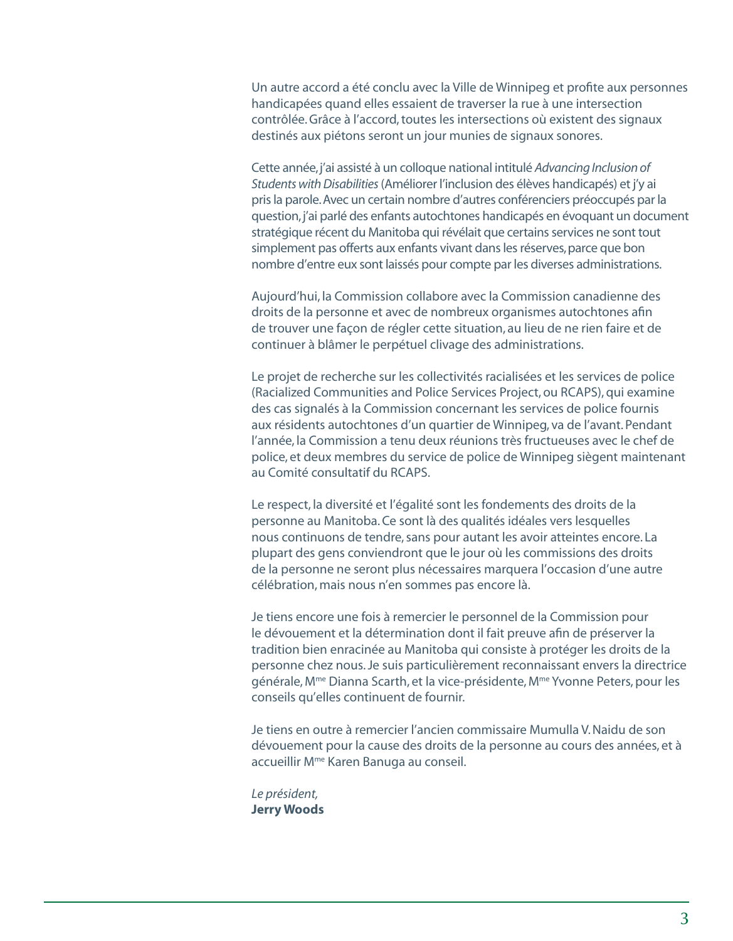Un autre accord a été conclu avec la Ville de Winnipeg et profite aux personnes handicapées quand elles essaient de traverser la rue à une intersection contrôlée. Grâce à l'accord, toutes les intersections où existent des signaux destinés aux piétons seront un jour munies de signaux sonores.

Cette année, j'ai assisté à un colloque national intitulé *Advancing Inclusion of Students with Disabilities* (Améliorer l'inclusion des élèves handicapés) et j'y ai pris la parole. Avec un certain nombre d'autres conférenciers préoccupés par la question, j'ai parlé des enfants autochtones handicapés en évoquant un document stratégique récent du Manitoba qui révélait que certains services ne sont tout simplement pas offerts aux enfants vivant dans les réserves, parce que bon nombre d'entre eux sont laissés pour compte par les diverses administrations.

Aujourd'hui, la Commission collabore avec la Commission canadienne des droits de la personne et avec de nombreux organismes autochtones afin de trouver une façon de régler cette situation, au lieu de ne rien faire et de continuer à blâmer le perpétuel clivage des administrations.

Le projet de recherche sur les collectivités racialisées et les services de police (Racialized Communities and Police Services Project, ou RCAPS), qui examine des cas signalés à la Commission concernant les services de police fournis aux résidents autochtones d'un quartier de Winnipeg, va de l'avant. Pendant l'année, la Commission a tenu deux réunions très fructueuses avec le chef de police, et deux membres du service de police de Winnipeg siègent maintenant au Comité consultatif du RCAPS.

Le respect, la diversité et l'égalité sont les fondements des droits de la personne au Manitoba. Ce sont là des qualités idéales vers lesquelles nous continuons de tendre, sans pour autant les avoir atteintes encore. La plupart des gens conviendront que le jour où les commissions des droits de la personne ne seront plus nécessaires marquera l'occasion d'une autre célébration, mais nous n'en sommes pas encore là.

Je tiens encore une fois à remercier le personnel de la Commission pour le dévouement et la détermination dont il fait preuve afin de préserver la tradition bien enracinée au Manitoba qui consiste à protéger les droits de la personne chez nous. Je suis particulièrement reconnaissant envers la directrice générale, Mme Dianna Scarth, et la vice-présidente, Mme Yvonne Peters, pour les conseils qu'elles continuent de fournir.

Je tiens en outre à remercier l'ancien commissaire Mumulla V. Naidu de son dévouement pour la cause des droits de la personne au cours des années, et à accueillir Mme Karen Banuga au conseil.

*Le président,* **Jerry Woods**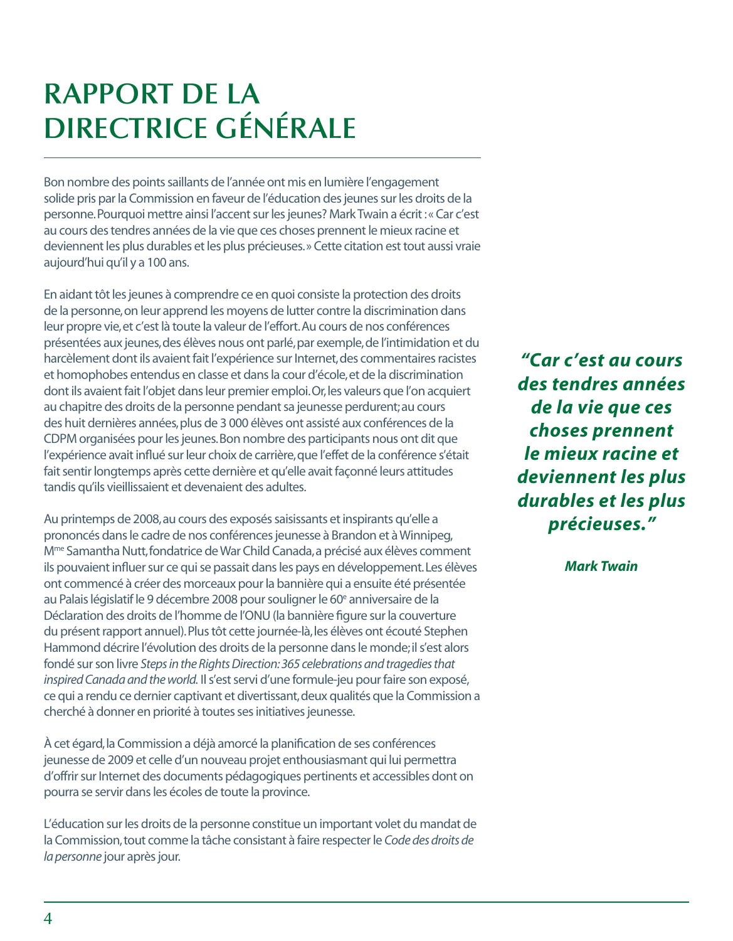### **Rapport de la DIRECTRICE GÉNÉRAIF**

Bon nombre des points saillants de l'année ont mis en lumière l'engagement solide pris par la Commission en faveur de l'éducation des jeunes sur les droits de la personne. Pourquoi mettre ainsi l'accent sur les jeunes? Mark Twain a écrit: « Car c'est au cours des tendres années de la vie que ces choses prennent le mieux racine et deviennent les plus durables et les plus précieuses.» Cette citation est tout aussi vraie aujourd'hui qu'il y a 100 ans.

En aidant tôt les jeunes à comprendre ce en quoi consiste la protection des droits de la personne, on leur apprend les moyens de lutter contre la discrimination dans leur propre vie, et c'est là toute la valeur de l'effort. Au cours de nos conférences présentées aux jeunes, des élèves nous ont parlé, par exemple, de l'intimidation et du harcèlement dont ils avaient fait l'expérience sur Internet, des commentaires racistes et homophobes entendus en classe et dans la cour d'école, et de la discrimination dont ils avaient fait l'objet dans leur premier emploi. Or, les valeurs que l'on acquiert au chapitre des droits de la personne pendant sa jeunesse perdurent; au cours des huit dernières années, plus de 3 000 élèves ont assisté aux conférences de la CDPM organisées pour les jeunes. Bon nombre des participants nous ont dit que l'expérience avait influé sur leur choix de carrière, que l'effet de la conférence s'était fait sentir longtemps après cette dernière et qu'elle avait façonné leurs attitudes tandis qu'ils vieillissaient et devenaient des adultes.

Au printemps de 2008, au cours des exposés saisissants et inspirants qu'elle a prononcés dans le cadre de nos conférences jeunesse à Brandon et à Winnipeg, Mme Samantha Nutt, fondatrice de War Child Canada, a précisé aux élèves comment ils pouvaient influer sur ce qui se passait dans les pays en développement. Les élèves ont commencé à créer des morceaux pour la bannière qui a ensuite été présentée au Palais législatif le 9 décembre 2008 pour souligner le 60<sup>e</sup> anniversaire de la Déclaration des droits de l'homme de l'ONU (la bannière figure sur la couverture du présent rapport annuel). Plus tôt cette journée-là, les élèves ont écouté Stephen Hammond décrire l'évolution des droits de la personne dans le monde; il s'est alors fondé sur son livre *Steps in the Rights Direction: 365 celebrations and tragedies that inspired Canada and the world.* Il s'est servi d'une formule-jeu pour faire son exposé, ce qui a rendu ce dernier captivant et divertissant, deux qualités que la Commission a cherché à donner en priorité à toutes ses initiatives jeunesse.

À cet égard, la Commission a déjà amorcé la planification de ses conférences jeunesse de 2009 et celle d'un nouveau projet enthousiasmant qui lui permettra d'offrir sur Internet des documents pédagogiques pertinents et accessibles dont on pourra se servir dans les écoles de toute la province.

L'éducation sur les droits de la personne constitue un important volet du mandat de la Commission, tout comme la tâche consistant à faire respecter le *Code des droits de la personne* jour après jour.

*"Car c'est au cours des tendres années de la vie que ces choses prennent le mieux racine et deviennent les plus durables et les plus précieuses."*

*Mark Twain*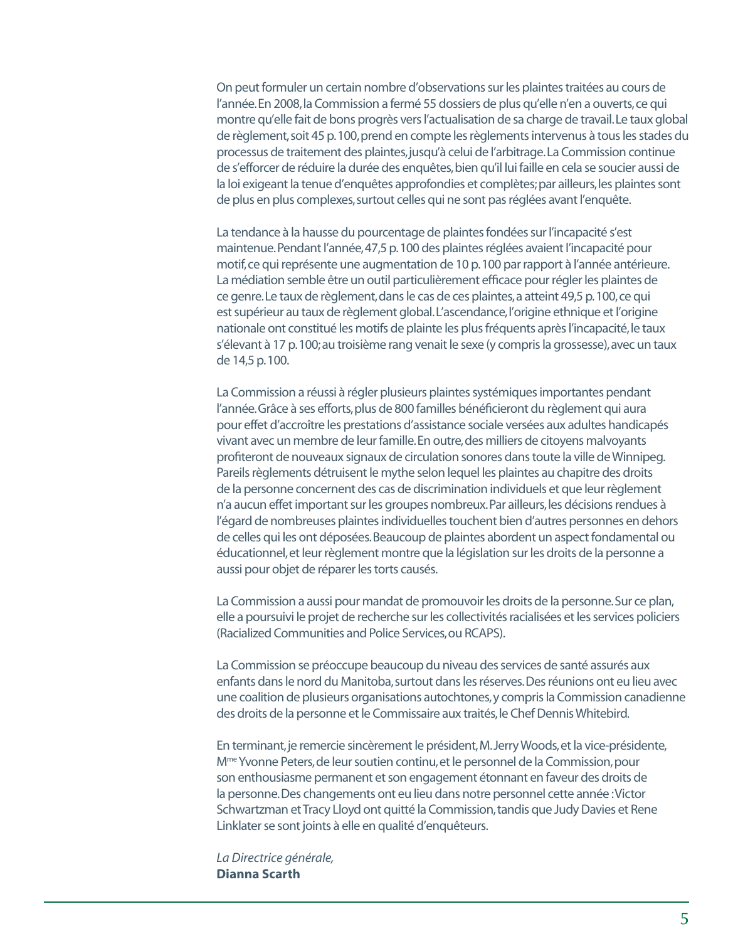On peut formuler un certain nombre d'observations sur les plaintes traitées au cours de l'année. En 2008, la Commission a fermé 55 dossiers de plus qu'elle n'en a ouverts, ce qui montre qu'elle fait de bons progrès vers l'actualisation de sa charge de travail. Le taux global de règlement, soit 45 p.100, prend en compte les règlements intervenus à tous les stades du processus de traitement des plaintes, jusqu'à celui de l'arbitrage. La Commission continue de s'efforcer de réduire la durée des enquêtes, bien qu'il lui faille en cela se soucier aussi de la loi exigeant la tenue d'enquêtes approfondies et complètes; par ailleurs, les plaintes sont de plus en plus complexes, surtout celles qui ne sont pas réglées avant l'enquête.

La tendance à la hausse du pourcentage de plaintes fondées sur l'incapacité s'est maintenue. Pendant l'année, 47,5 p.100 des plaintes réglées avaient l'incapacité pour motif, ce qui représente une augmentation de 10 p.100 par rapport à l'année antérieure. La médiation semble être un outil particulièrement efficace pour régler les plaintes de ce genre. Le taux de règlement, dans le cas de ces plaintes, a atteint 49,5 p.100, ce qui est supérieur au taux de règlement global. L'ascendance, l'origine ethnique et l'origine nationale ont constitué les motifs de plainte les plus fréquents après l'incapacité, le taux s'élevant à 17 p. 100; au troisième rang venait le sexe (y compris la grossesse), avec un taux de 14,5 p.100.

La Commission a réussi à régler plusieurs plaintes systémiques importantes pendant l'année. Grâce à ses efforts, plus de 800 familles bénéficieront du règlement qui aura pour effet d'accroître les prestations d'assistance sociale versées aux adultes handicapés vivant avec un membre de leur famille. En outre, des milliers de citoyens malvoyants profiteront de nouveaux signaux de circulation sonores dans toute la ville de Winnipeg. Pareils règlements détruisent le mythe selon lequel les plaintes au chapitre des droits de la personne concernent des cas de discrimination individuels et que leur règlement n'a aucun effet important sur les groupes nombreux. Par ailleurs, les décisions rendues à l'égard de nombreuses plaintes individuelles touchent bien d'autres personnes en dehors de celles qui les ont déposées. Beaucoup de plaintes abordent un aspect fondamental ou éducationnel, et leur règlement montre que la législation sur les droits de la personne a aussi pour objet de réparer les torts causés.

La Commission a aussi pour mandat de promouvoir les droits de la personne. Sur ce plan, elle a poursuivi le projet de recherche sur les collectivités racialisées et les services policiers (Racialized Communities and Police Services, ou RCAPS).

La Commission se préoccupe beaucoup du niveau des services de santé assurés aux enfants dans le nord du Manitoba, surtout dans les réserves. Des réunions ont eu lieu avec une coalition de plusieurs organisations autochtones, y compris la Commission canadienne des droits de la personne et le Commissaire aux traités, le Chef Dennis Whitebird.

En terminant, je remercie sincèrement le président, M.Jerry Woods, et la vice-présidente, MmeYvonne Peters, de leur soutien continu, et le personnel de la Commission, pour son enthousiasme permanent et son engagement étonnant en faveur des droits de la personne. Des changements ont eu lieu dans notre personnel cette année : Victor Schwartzman et Tracy Lloyd ont quitté la Commission, tandis que Judy Davies et Rene Linklater se sont joints à elle en qualité d'enquêteurs.

*La Directrice générale,* **Dianna Scarth**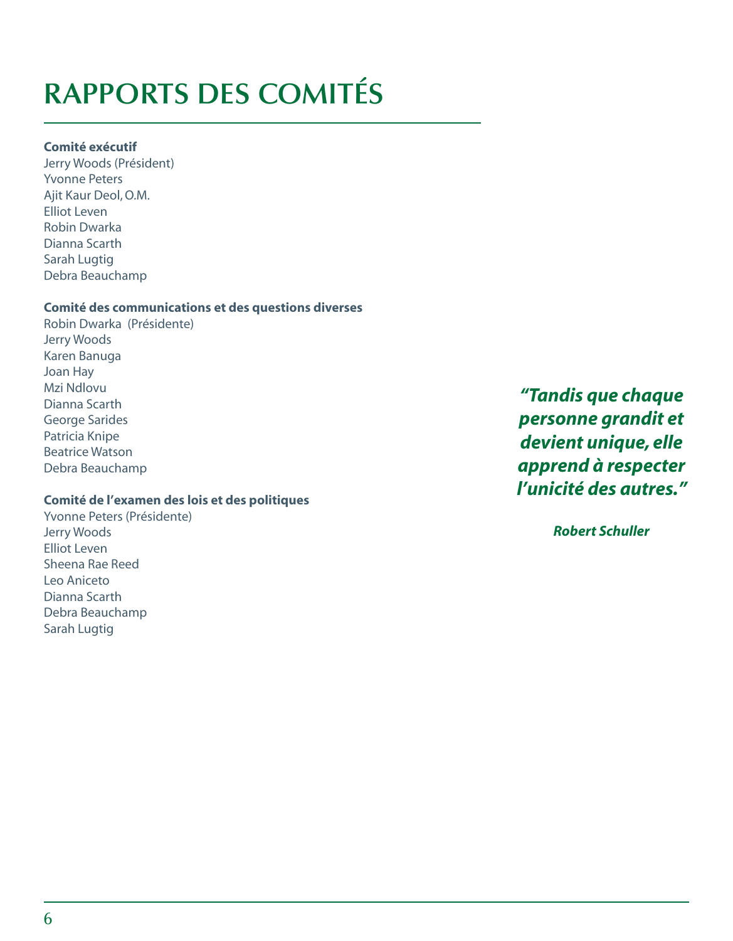## **Rapports des comités**

### **Comité exécutif**

Jerry Woods (Président) Yvonne Peters Ajit Kaur Deol, O.M. Elliot Leven Robin Dwarka Dianna Scarth Sarah Lugtig Debra Beauchamp

#### **Comité des communications et des questions diverses**

Robin Dwarka (Présidente) Jerry Woods Karen Banuga Joan Hay Mzi Ndlovu Dianna Scarth George Sarides Patricia Knipe Beatrice Watson Debra Beauchamp

### **Comité de l'examen des lois et des politiques**

Yvonne Peters (Présidente) Jerry Woods Elliot Leven Sheena Rae Reed Leo Aniceto Dianna Scarth Debra Beauchamp Sarah Lugtig

*"Tandis que chaque personne grandit et devient unique, elle apprend à respecter l'unicité des autres."*

*Robert Schuller*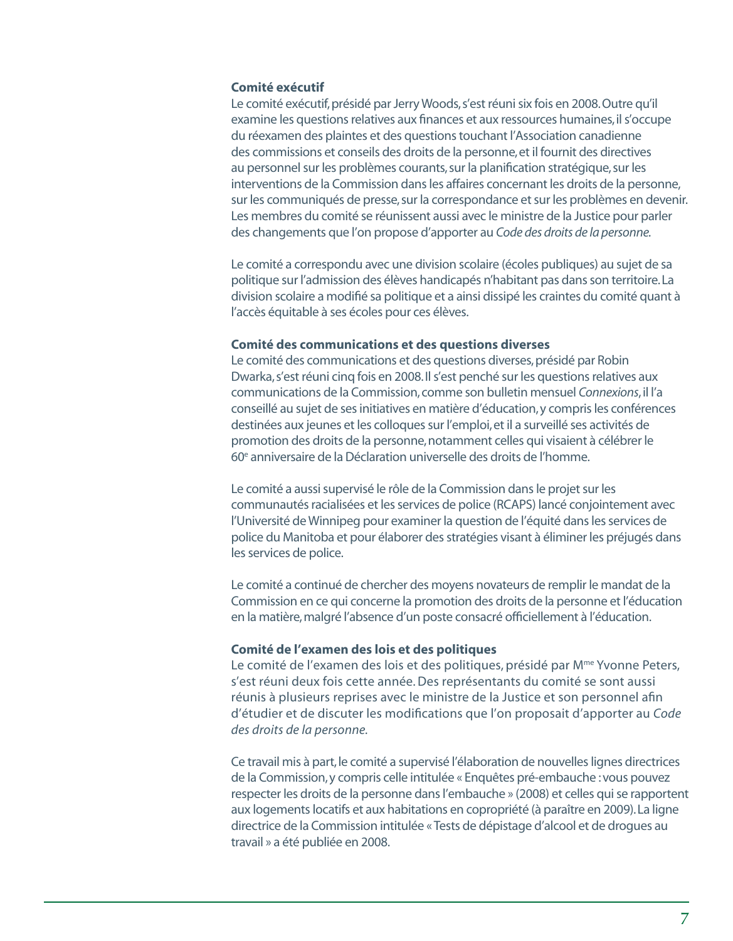#### **Comité exécutif**

Le comité exécutif, présidé par Jerry Woods, s'est réuni six fois en 2008. Outre qu'il examine les questions relatives aux finances et aux ressources humaines, il s'occupe du réexamen des plaintes et des questions touchant l'Association canadienne des commissions et conseils des droits de la personne, et il fournit des directives au personnel sur les problèmes courants, sur la planification stratégique, sur les interventions de la Commission dans les affaires concernant les droits de la personne, sur les communiqués de presse, sur la correspondance et sur les problèmes en devenir. Les membres du comité se réunissent aussi avec le ministre de la Justice pour parler des changements que l'on propose d'apporter au *Code des droits de la personne.*

Le comité a correspondu avec une division scolaire (écoles publiques) au sujet de sa politique sur l'admission des élèves handicapés n'habitant pas dans son territoire. La division scolaire a modifié sa politique et a ainsi dissipé les craintes du comité quant à l'accès équitable à ses écoles pour ces élèves.

#### **Comité des communications et des questions diverses**

Le comité des communications et des questions diverses, présidé par Robin Dwarka, s'est réuni cinq fois en 2008. Il s'est penché sur les questions relatives aux communications de la Commission, comme son bulletin mensuel *Connexions*, il l'a conseillé au sujet de ses initiatives en matière d'éducation, y compris les conférences destinées aux jeunes et les colloques sur l'emploi, et il a surveillé ses activités de promotion des droits de la personne, notamment celles qui visaient à célébrer le 60e anniversaire de la Déclaration universelle des droits de l'homme.

Le comité a aussi supervisé le rôle de la Commission dans le projet sur les communautés racialisées et les services de police (RCAPS) lancé conjointement avec l'Université de Winnipeg pour examiner la question de l'équité dans les services de police du Manitoba et pour élaborer des stratégies visant à éliminer les préjugés dans les services de police.

Le comité a continué de chercher des moyens novateurs de remplir le mandat de la Commission en ce qui concerne la promotion des droits de la personne et l'éducation en la matière, malgré l'absence d'un poste consacré officiellement à l'éducation.

#### **Comité de l'examen des lois et des politiques**

Le comité de l'examen des lois et des politiques, présidé par M<sup>me</sup> Yvonne Peters, s'est réuni deux fois cette année. Des représentants du comité se sont aussi réunis à plusieurs reprises avec le ministre de la Justice et son personnel afin d'étudier et de discuter les modifications que l'on proposait d'apporter au *Code des droits de la personne.*

Ce travail mis à part, le comité a supervisé l'élaboration de nouvelles lignes directrices de la Commission, y compris celle intitulée « Enquêtes pré-embauche : vous pouvez respecter les droits de la personne dans l'embauche » (2008) et celles qui se rapportent aux logements locatifs et aux habitations en copropriété (à paraître en 2009). La ligne directrice de la Commission intitulée « Tests de dépistage d'alcool et de drogues au travail » a été publiée en 2008.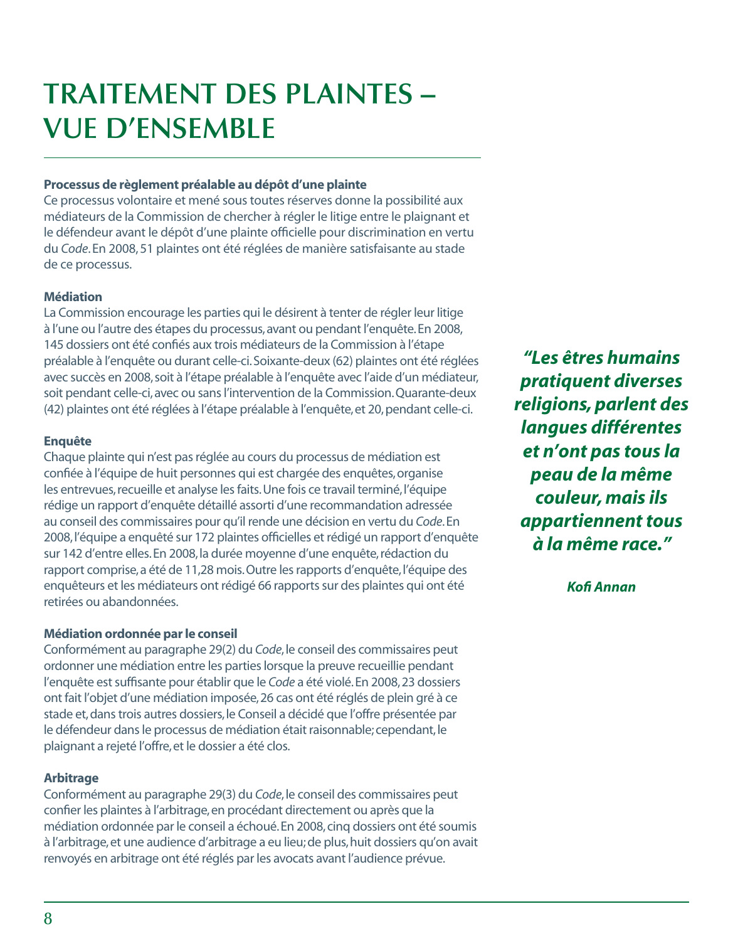### **Traitement des plaintes – Vue d'ensemble**

### **Processus de règlement préalable au dépôt d'une plainte**

Ce processus volontaire et mené sous toutes réserves donne la possibilité aux médiateurs de la Commission de chercher à régler le litige entre le plaignant et le défendeur avant le dépôt d'une plainte officielle pour discrimination en vertu du *Code*. En 2008, 51 plaintes ont été réglées de manière satisfaisante au stade de ce processus.

### **Médiation**

La Commission encourage les parties qui le désirent à tenter de régler leur litige à l'une ou l'autre des étapes du processus, avant ou pendant l'enquête. En 2008, 145 dossiers ont été confiés aux trois médiateurs de la Commission à l'étape préalable à l'enquête ou durant celle-ci. Soixante-deux (62) plaintes ont été réglées avec succès en 2008, soit à l'étape préalable à l'enquête avec l'aide d'un médiateur, soit pendant celle-ci, avec ou sans l'intervention de la Commission. Quarante-deux (42) plaintes ont été réglées à l'étape préalable à l'enquête, et 20, pendant celle-ci.

### **Enquête**

Chaque plainte qui n'est pas réglée au cours du processus de médiation est confiée à l'équipe de huit personnes qui est chargée des enquêtes, organise les entrevues, recueille et analyse les faits. Une fois ce travail terminé, l'équipe rédige un rapport d'enquête détaillé assorti d'une recommandation adressée au conseil des commissaires pour qu'il rende une décision en vertu du *Code*. En 2008, l'équipe a enquêté sur 172 plaintes officielles et rédigé un rapport d'enquête sur 142 d'entre elles. En 2008, la durée moyenne d'une enquête, rédaction du rapport comprise, a été de 11,28 mois. Outre les rapports d'enquête, l'équipe des enquêteurs et les médiateurs ont rédigé 66 rapports sur des plaintes qui ont été retirées ou abandonnées.

#### **Médiation ordonnée par le conseil**

Conformément au paragraphe 29(2) du *Code*, le conseil des commissaires peut ordonner une médiation entre les parties lorsque la preuve recueillie pendant l'enquête est suffisante pour établir que le *Code* a été violé. En 2008, 23 dossiers ont fait l'objet d'une médiation imposée, 26 cas ont été réglés de plein gré à ce stade et, dans trois autres dossiers, le Conseil a décidé que l'offre présentée par le défendeur dans le processus de médiation était raisonnable; cependant, le plaignant a rejeté l'offre, et le dossier a été clos.

### **Arbitrage**

Conformément au paragraphe 29(3) du *Code*, le conseil des commissaires peut confier les plaintes à l'arbitrage, en procédant directement ou après que la médiation ordonnée par le conseil a échoué. En 2008, cinq dossiers ont été soumis à l'arbitrage, et une audience d'arbitrage a eu lieu; de plus, huit dossiers qu'on avait renvoyés en arbitrage ont été réglés par les avocats avant l'audience prévue.

*"Les êtres humains pratiquent diverses religions, parlent des langues différentes et n'ont pas tous la peau de la même couleur, mais ils appartiennent tous à la même race."*

*Kofi Annan*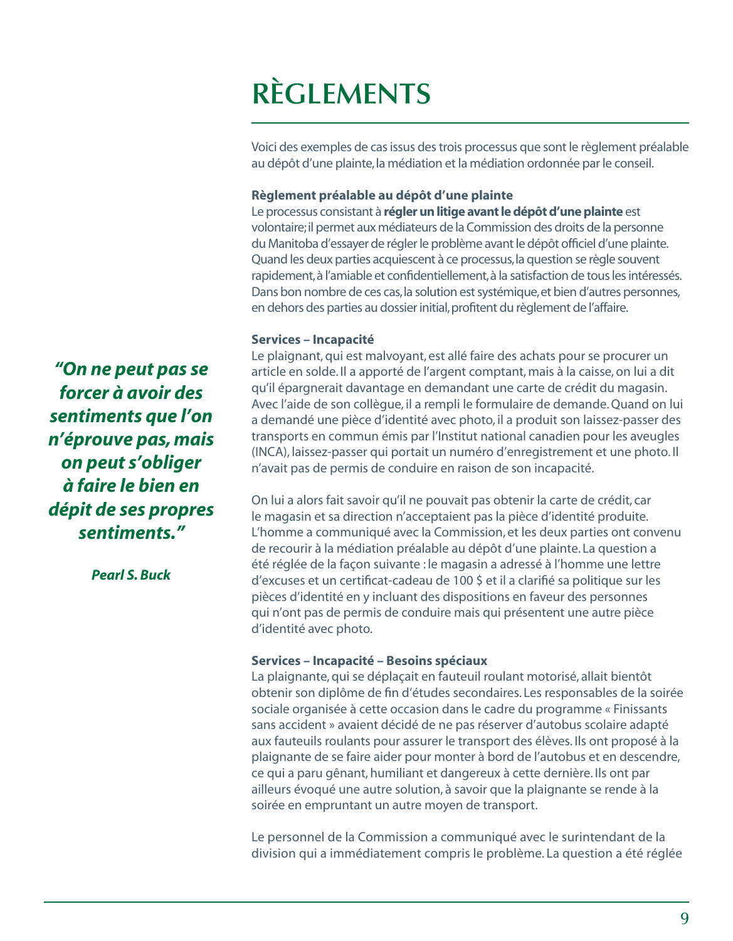## **Règlements**

Voici des exemples de cas issus des trois processus que sont le règlement préalable au dépôt d'une plainte, la médiation et la médiation ordonnée par le conseil.

### **Règlement préalable au dépôt d'une plainte**

Le processus consistant à **régler un litige avant le dépôt d'une plainte** est volontaire; il permet aux médiateurs de la Commission des droits de la personne du Manitoba d'essayer de régler le problème avant le dépôt officiel d'une plainte. Quand les deux parties acquiescent à ce processus, la question se règle souvent rapidement, à l'amiable et confidentiellement, à la satisfaction de tous les intéressés. Dans bon nombre de ces cas, la solution est systémique, et bien d'autres personnes, en dehors des parties au dossier initial, profitent du règlement de l'affaire.

#### **Services – Incapacité**

Le plaignant, qui est malvoyant, est allé faire des achats pour se procurer un article en solde. Il a apporté de l'argent comptant, mais à la caisse, on lui a dit qu'il épargnerait davantage en demandant une carte de crédit du magasin. Avec l'aide de son collègue, il a rempli le formulaire de demande. Quand on lui a demandé une pièce d'identité avec photo, il a produit son laissez-passer des transports en commun émis par l'Institut national canadien pour les aveugles (INCA), laissez-passer qui portait un numéro d'enregistrement et une photo. Il n'avait pas de permis de conduire en raison de son incapacité.

On lui a alors fait savoir qu'il ne pouvait pas obtenir la carte de crédit, car le magasin et sa direction n'acceptaient pas la pièce d'identité produite. L'homme a communiqué avec la Commission, et les deux parties ont convenu de recourir à la médiation préalable au dépôt d'une plainte. La question a été réglée de la façon suivante : le magasin a adressé à l'homme une lettre d'excuses et un certificat-cadeau de 100 \$ et il a clarifié sa politique sur les pièces d'identité en y incluant des dispositions en faveur des personnes qui n'ont pas de permis de conduire mais qui présentent une autre pièce d'identité avec photo.

#### **Services – Incapacité – Besoins spéciaux**

La plaignante, qui se déplaçait en fauteuil roulant motorisé, allait bientôt obtenir son diplôme de fin d'études secondaires. Les responsables de la soirée sociale organisée à cette occasion dans le cadre du programme « Finissants sans accident » avaient décidé de ne pas réserver d'autobus scolaire adapté aux fauteuils roulants pour assurer le transport des élèves. Ils ont proposé à la plaignante de se faire aider pour monter à bord de l'autobus et en descendre, ce qui a paru gênant, humiliant et dangereux à cette dernière. Ils ont par ailleurs évoqué une autre solution, à savoir que la plaignante se rende à la soirée en empruntant un autre moyen de transport.

Le personnel de la Commission a communiqué avec le surintendant de la division qui a immédiatement compris le problème. La question a été réglée

*"On ne peut pas se forcer à avoir des sentiments que l'on n'éprouve pas, mais on peut s'obliger à faire le bien en dépit de ses propres sentiments."* 

*Pearl S. Buck*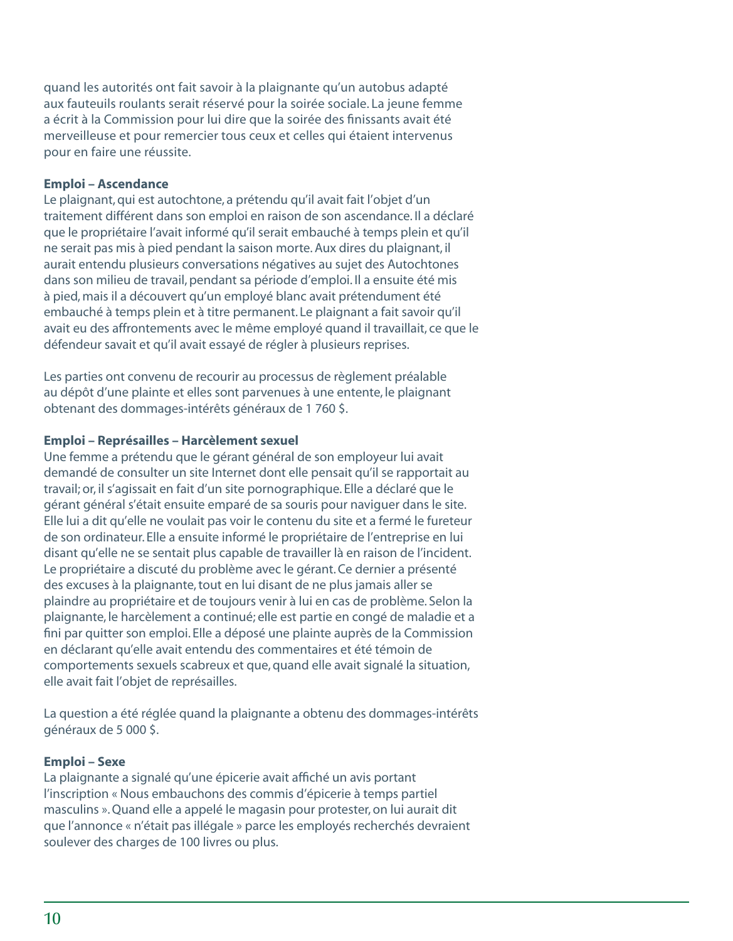quand les autorités ont fait savoir à la plaignante qu'un autobus adapté aux fauteuils roulants serait réservé pour la soirée sociale. La jeune femme a écrit à la Commission pour lui dire que la soirée des finissants avait été merveilleuse et pour remercier tous ceux et celles qui étaient intervenus pour en faire une réussite.

### **Emploi – Ascendance**

Le plaignant, qui est autochtone, a prétendu qu'il avait fait l'objet d'un traitement différent dans son emploi en raison de son ascendance. Il a déclaré que le propriétaire l'avait informé qu'il serait embauché à temps plein et qu'il ne serait pas mis à pied pendant la saison morte. Aux dires du plaignant, il aurait entendu plusieurs conversations négatives au sujet des Autochtones dans son milieu de travail, pendant sa période d'emploi. Il a ensuite été mis à pied, mais il a découvert qu'un employé blanc avait prétendument été embauché à temps plein et à titre permanent. Le plaignant a fait savoir qu'il avait eu des affrontements avec le même employé quand il travaillait, ce que le défendeur savait et qu'il avait essayé de régler à plusieurs reprises.

Les parties ont convenu de recourir au processus de règlement préalable au dépôt d'une plainte et elles sont parvenues à une entente, le plaignant obtenant des dommages-intérêts généraux de 1 760 \$.

### **Emploi – Représailles – Harcèlement sexuel**

Une femme a prétendu que le gérant général de son employeur lui avait demandé de consulter un site Internet dont elle pensait qu'il se rapportait au travail; or, il s'agissait en fait d'un site pornographique. Elle a déclaré que le gérant général s'était ensuite emparé de sa souris pour naviguer dans le site. Elle lui a dit qu'elle ne voulait pas voir le contenu du site et a fermé le fureteur de son ordinateur. Elle a ensuite informé le propriétaire de l'entreprise en lui disant qu'elle ne se sentait plus capable de travailler là en raison de l'incident. Le propriétaire a discuté du problème avec le gérant. Ce dernier a présenté des excuses à la plaignante, tout en lui disant de ne plus jamais aller se plaindre au propriétaire et de toujours venir à lui en cas de problème. Selon la plaignante, le harcèlement a continué; elle est partie en congé de maladie et a fini par quitter son emploi. Elle a déposé une plainte auprès de la Commission en déclarant qu'elle avait entendu des commentaires et été témoin de comportements sexuels scabreux et que, quand elle avait signalé la situation, elle avait fait l'objet de représailles.

La question a été réglée quand la plaignante a obtenu des dommages-intérêts généraux de 5 000 \$.

#### **Emploi – Sexe**

La plaignante a signalé qu'une épicerie avait affiché un avis portant l'inscription « Nous embauchons des commis d'épicerie à temps partiel masculins ». Quand elle a appelé le magasin pour protester, on lui aurait dit que l'annonce « n'était pas illégale » parce les employés recherchés devraient soulever des charges de 100 livres ou plus.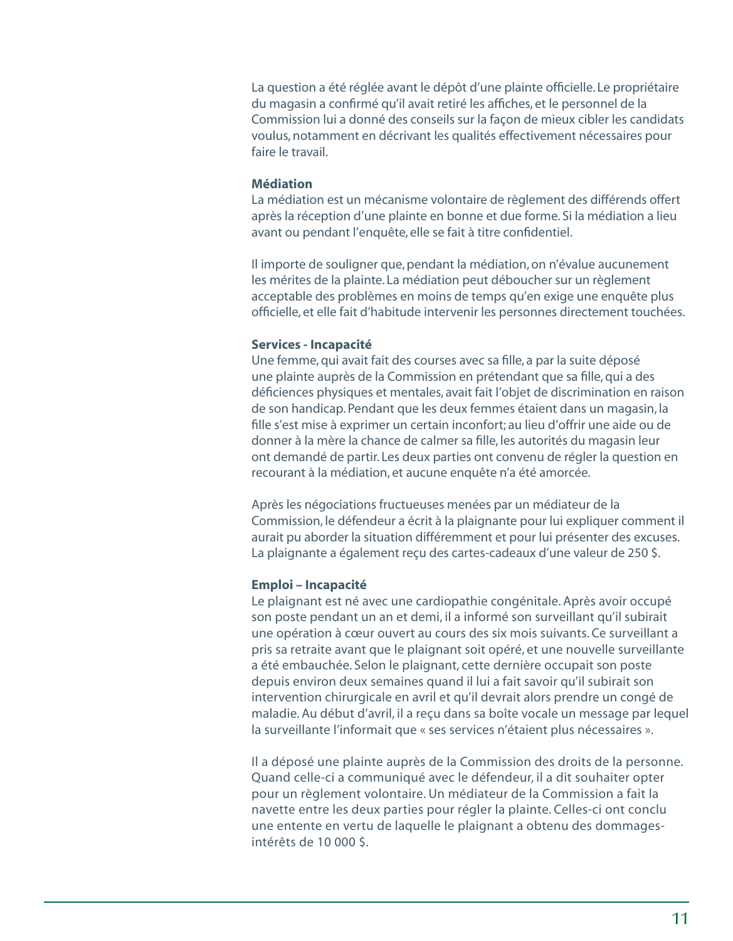La question a été réglée avant le dépôt d'une plainte officielle. Le propriétaire du magasin a confirmé qu'il avait retiré les affiches, et le personnel de la Commission lui a donné des conseils sur la façon de mieux cibler les candidats voulus, notamment en décrivant les qualités effectivement nécessaires pour faire le travail.

#### **Médiation**

La médiation est un mécanisme volontaire de règlement des différends offert après la réception d'une plainte en bonne et due forme. Si la médiation a lieu avant ou pendant l'enquête, elle se fait à titre confidentiel.

Il importe de souligner que, pendant la médiation, on n'évalue aucunement les mérites de la plainte. La médiation peut déboucher sur un règlement acceptable des problèmes en moins de temps qu'en exige une enquête plus officielle, et elle fait d'habitude intervenir les personnes directement touchées.

#### **Services - Incapacité**

Une femme, qui avait fait des courses avec sa fille, a par la suite déposé une plainte auprès de la Commission en prétendant que sa fille, qui a des déficiences physiques et mentales, avait fait l'objet de discrimination en raison de son handicap. Pendant que les deux femmes étaient dans un magasin, la fille s'est mise à exprimer un certain inconfort; au lieu d'offrir une aide ou de donner à la mère la chance de calmer sa fille, les autorités du magasin leur ont demandé de partir. Les deux parties ont convenu de régler la question en recourant à la médiation, et aucune enquête n'a été amorcée.

Après les négociations fructueuses menées par un médiateur de la Commission, le défendeur a écrit à la plaignante pour lui expliquer comment il aurait pu aborder la situation différemment et pour lui présenter des excuses. La plaignante a également reçu des cartes-cadeaux d'une valeur de 250 \$.

#### **Emploi – Incapacité**

Le plaignant est né avec une cardiopathie congénitale. Après avoir occupé son poste pendant un an et demi, il a informé son surveillant qu'il subirait une opération à cœur ouvert au cours des six mois suivants. Ce surveillant a pris sa retraite avant que le plaignant soit opéré, et une nouvelle surveillante a été embauchée. Selon le plaignant, cette dernière occupait son poste depuis environ deux semaines quand il lui a fait savoir qu'il subirait son intervention chirurgicale en avril et qu'il devrait alors prendre un congé de maladie. Au début d'avril, il a reçu dans sa boîte vocale un message par lequel la surveillante l'informait que « ses services n'étaient plus nécessaires ».

Il a déposé une plainte auprès de la Commission des droits de la personne. Quand celle-ci a communiqué avec le défendeur, il a dit souhaiter opter pour un règlement volontaire. Un médiateur de la Commission a fait la navette entre les deux parties pour régler la plainte. Celles-ci ont conclu une entente en vertu de laquelle le plaignant a obtenu des dommagesintérêts de 10 000 \$.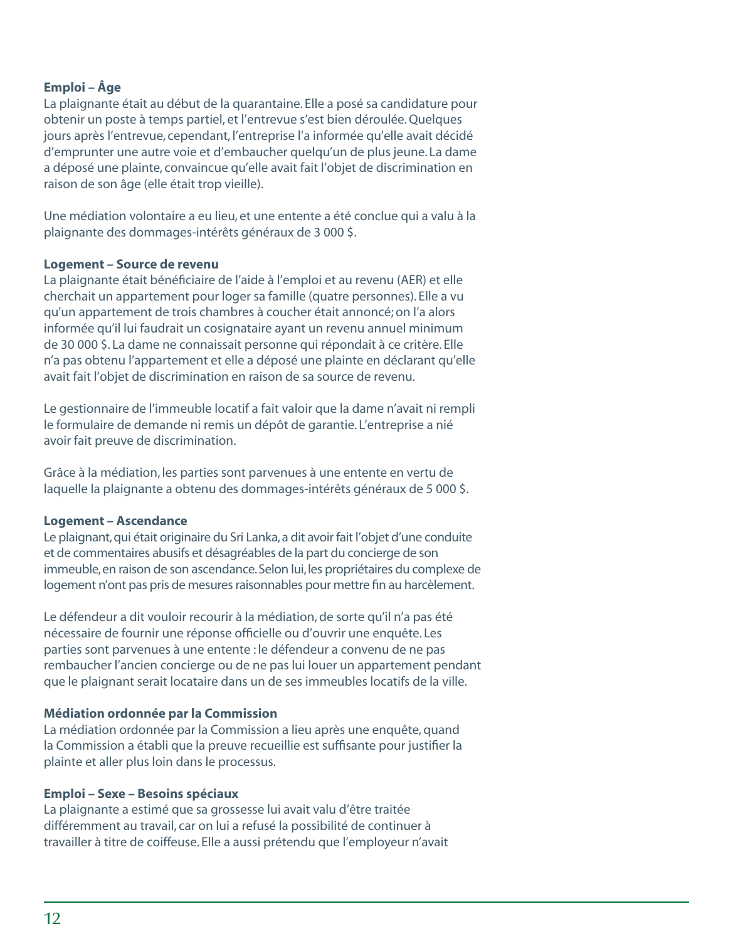### **Emploi – Âge**

La plaignante était au début de la quarantaine. Elle a posé sa candidature pour obtenir un poste à temps partiel, et l'entrevue s'est bien déroulée. Quelques jours après l'entrevue, cependant, l'entreprise l'a informée qu'elle avait décidé d'emprunter une autre voie et d'embaucher quelqu'un de plus jeune. La dame a déposé une plainte, convaincue qu'elle avait fait l'objet de discrimination en raison de son âge (elle était trop vieille).

Une médiation volontaire a eu lieu, et une entente a été conclue qui a valu à la plaignante des dommages-intérêts généraux de 3 000 \$.

#### **Logement – Source de revenu**

La plaignante était bénéficiaire de l'aide à l'emploi et au revenu (AER) et elle cherchait un appartement pour loger sa famille (quatre personnes). Elle a vu qu'un appartement de trois chambres à coucher était annoncé; on l'a alors informée qu'il lui faudrait un cosignataire ayant un revenu annuel minimum de 30 000 \$. La dame ne connaissait personne qui répondait à ce critère. Elle n'a pas obtenu l'appartement et elle a déposé une plainte en déclarant qu'elle avait fait l'objet de discrimination en raison de sa source de revenu.

Le gestionnaire de l'immeuble locatif a fait valoir que la dame n'avait ni rempli le formulaire de demande ni remis un dépôt de garantie. L'entreprise a nié avoir fait preuve de discrimination.

Grâce à la médiation, les parties sont parvenues à une entente en vertu de laquelle la plaignante a obtenu des dommages-intérêts généraux de 5 000 \$.

#### **Logement – Ascendance**

Le plaignant, qui était originaire du Sri Lanka, a dit avoir fait l'objet d'une conduite et de commentaires abusifs et désagréables de la part du concierge de son immeuble, en raison de son ascendance. Selon lui, les propriétaires du complexe de logement n'ont pas pris de mesures raisonnables pour mettre fin au harcèlement.

Le défendeur a dit vouloir recourir à la médiation, de sorte qu'il n'a pas été nécessaire de fournir une réponse officielle ou d'ouvrir une enquête. Les parties sont parvenues à une entente : le défendeur a convenu de ne pas rembaucher l'ancien concierge ou de ne pas lui louer un appartement pendant que le plaignant serait locataire dans un de ses immeubles locatifs de la ville.

### **Médiation ordonnée par la Commission**

La médiation ordonnée par la Commission a lieu après une enquête, quand la Commission a établi que la preuve recueillie est suffisante pour justifier la plainte et aller plus loin dans le processus.

#### **Emploi – Sexe – Besoins spéciaux**

La plaignante a estimé que sa grossesse lui avait valu d'être traitée différemment au travail, car on lui a refusé la possibilité de continuer à travailler à titre de coiffeuse. Elle a aussi prétendu que l'employeur n'avait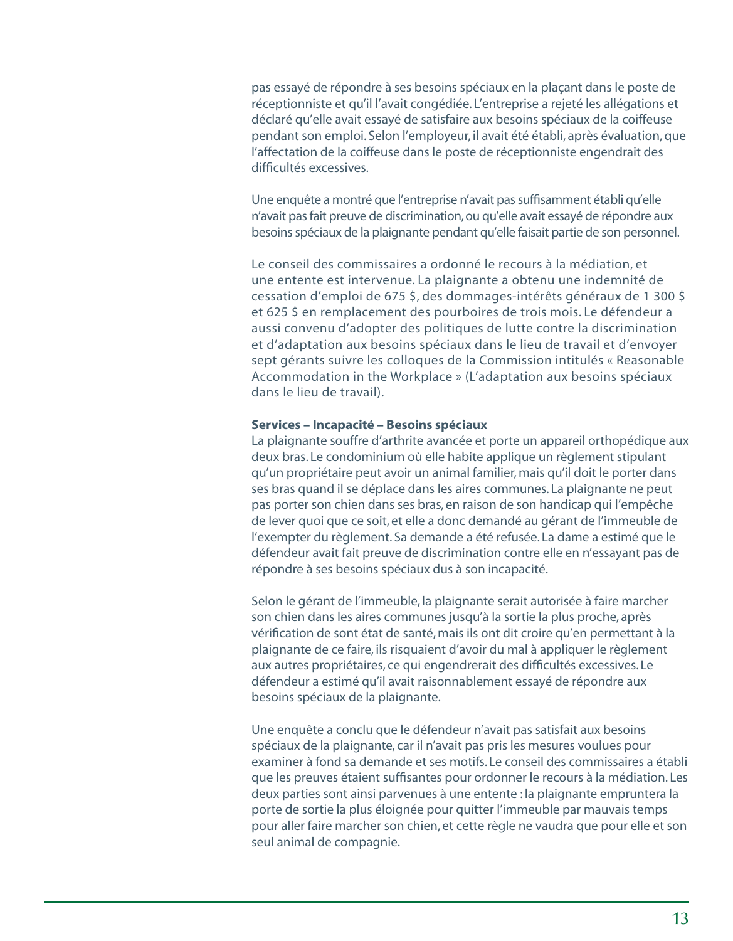pas essayé de répondre à ses besoins spéciaux en la plaçant dans le poste de réceptionniste et qu'il l'avait congédiée. L'entreprise a rejeté les allégations et déclaré qu'elle avait essayé de satisfaire aux besoins spéciaux de la coiffeuse pendant son emploi. Selon l'employeur, il avait été établi, après évaluation, que l'affectation de la coiffeuse dans le poste de réceptionniste engendrait des difficultés excessives.

Une enquête a montré que l'entreprise n'avait pas suffisamment établi qu'elle n'avait pas fait preuve de discrimination, ou qu'elle avait essayé de répondre aux besoins spéciaux de la plaignante pendant qu'elle faisait partie de son personnel.

Le conseil des commissaires a ordonné le recours à la médiation, et une entente est intervenue. La plaignante a obtenu une indemnité de cessation d'emploi de 675 \$, des dommages-intérêts généraux de 1 300 \$ et 625 \$ en remplacement des pourboires de trois mois. Le défendeur a aussi convenu d'adopter des politiques de lutte contre la discrimination et d'adaptation aux besoins spéciaux dans le lieu de travail et d'envoyer sept gérants suivre les colloques de la Commission intitulés « Reasonable Accommodation in the Workplace » (L'adaptation aux besoins spéciaux dans le lieu de travail).

#### **Services – Incapacité – Besoins spéciaux**

La plaignante souffre d'arthrite avancée et porte un appareil orthopédique aux deux bras. Le condominium où elle habite applique un règlement stipulant qu'un propriétaire peut avoir un animal familier, mais qu'il doit le porter dans ses bras quand il se déplace dans les aires communes. La plaignante ne peut pas porter son chien dans ses bras, en raison de son handicap qui l'empêche de lever quoi que ce soit, et elle a donc demandé au gérant de l'immeuble de l'exempter du règlement. Sa demande a été refusée. La dame a estimé que le défendeur avait fait preuve de discrimination contre elle en n'essayant pas de répondre à ses besoins spéciaux dus à son incapacité.

Selon le gérant de l'immeuble, la plaignante serait autorisée à faire marcher son chien dans les aires communes jusqu'à la sortie la plus proche, après vérification de sont état de santé, mais ils ont dit croire qu'en permettant à la plaignante de ce faire, ils risquaient d'avoir du mal à appliquer le règlement aux autres propriétaires, ce qui engendrerait des difficultés excessives. Le défendeur a estimé qu'il avait raisonnablement essayé de répondre aux besoins spéciaux de la plaignante.

Une enquête a conclu que le défendeur n'avait pas satisfait aux besoins spéciaux de la plaignante, car il n'avait pas pris les mesures voulues pour examiner à fond sa demande et ses motifs. Le conseil des commissaires a établi que les preuves étaient suffisantes pour ordonner le recours à la médiation. Les deux parties sont ainsi parvenues à une entente : la plaignante empruntera la porte de sortie la plus éloignée pour quitter l'immeuble par mauvais temps pour aller faire marcher son chien, et cette règle ne vaudra que pour elle et son seul animal de compagnie.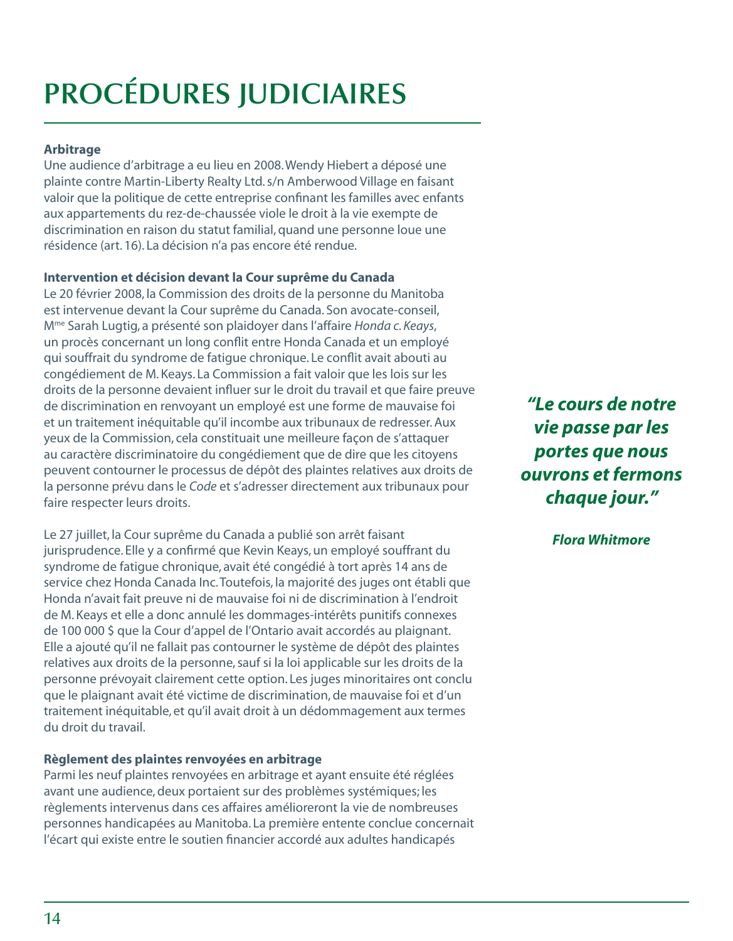## **Procédures judiciaires**

### **Arbitrage**

Une audience d'arbitrage a eu lieu en 2008. Wendy Hiebert a déposé une plainte contre Martin-Liberty Realty Ltd. s/n Amberwood Village en faisant valoir que la politique de cette entreprise confinant les familles avec enfants aux appartements du rez-de-chaussée viole le droit à la vie exempte de discrimination en raison du statut familial, quand une personne loue une résidence (art. 16). La décision n'a pas encore été rendue.

### **Intervention et décision devant la Cour suprême du Canada**

Le 20 février 2008, la Commission des droits de la personne du Manitoba est intervenue devant la Cour suprême du Canada. Son avocate-conseil, Mme Sarah Lugtig, a présenté son plaidoyer dans l'affaire *Honda c. Keays*, un procès concernant un long conflit entre Honda Canada et un employé qui souffrait du syndrome de fatigue chronique. Le conflit avait abouti au congédiement de M. Keays. La Commission a fait valoir que les lois sur les droits de la personne devaient influer sur le droit du travail et que faire preuve de discrimination en renvoyant un employé est une forme de mauvaise foi et un traitement inéquitable qu'il incombe aux tribunaux de redresser. Aux yeux de la Commission, cela constituait une meilleure façon de s'attaquer au caractère discriminatoire du congédiement que de dire que les citoyens peuvent contourner le processus de dépôt des plaintes relatives aux droits de la personne prévu dans le *Code* et s'adresser directement aux tribunaux pour faire respecter leurs droits.

Le 27 juillet, la Cour suprême du Canada a publié son arrêt faisant jurisprudence. Elle y a confirmé que Kevin Keays, un employé souffrant du syndrome de fatigue chronique, avait été congédié à tort après 14 ans de service chez Honda Canada Inc. Toutefois, la majorité des juges ont établi que Honda n'avait fait preuve ni de mauvaise foi ni de discrimination à l'endroit de M. Keays et elle a donc annulé les dommages-intérêts punitifs connexes de 100 000 \$ que la Cour d'appel de l'Ontario avait accordés au plaignant. Elle a ajouté qu'il ne fallait pas contourner le système de dépôt des plaintes relatives aux droits de la personne, sauf si la loi applicable sur les droits de la personne prévoyait clairement cette option. Les juges minoritaires ont conclu que le plaignant avait été victime de discrimination, de mauvaise foi et d'un traitement inéquitable, et qu'il avait droit à un dédommagement aux termes du droit du travail.

### **Règlement des plaintes renvoyées en arbitrage**

Parmi les neuf plaintes renvoyées en arbitrage et ayant ensuite été réglées avant une audience, deux portaient sur des problèmes systémiques; les règlements intervenus dans ces affaires amélioreront la vie de nombreuses personnes handicapées au Manitoba. La première entente conclue concernait l'écart qui existe entre le soutien financier accordé aux adultes handicapés

*"Le cours de notre vie passe par les portes que nous ouvrons et fermons chaque jour."* 

*Flora Whitmore*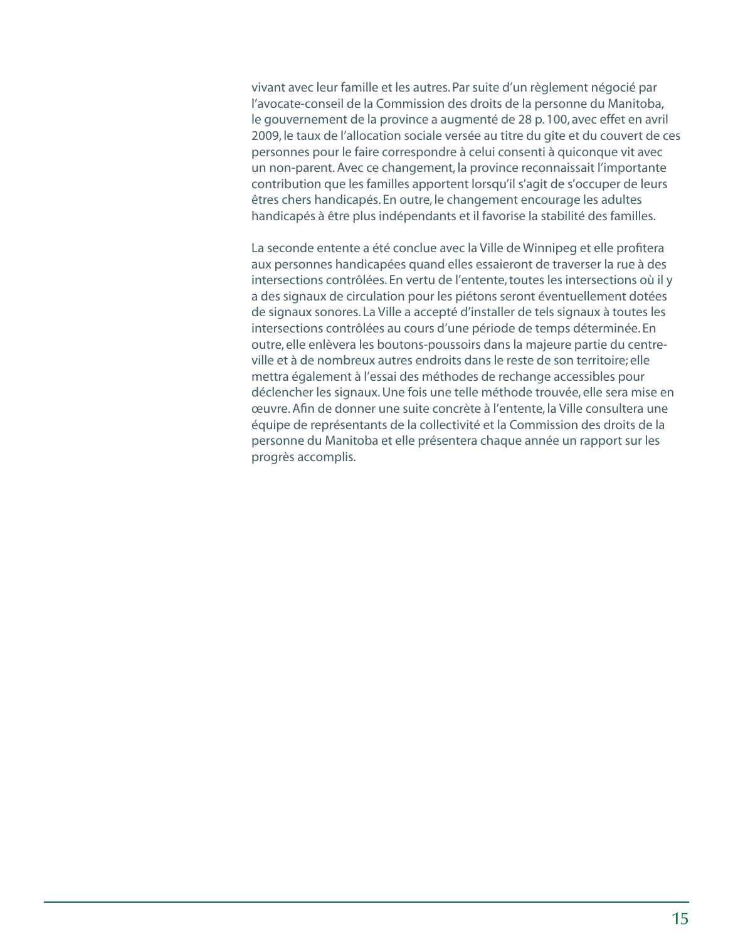vivant avec leur famille et les autres. Par suite d'un règlement négocié par l'avocate-conseil de la Commission des droits de la personne du Manitoba, le gouvernement de la province a augmenté de 28 p. 100, avec effet en avril 2009, le taux de l'allocation sociale versée au titre du gîte et du couvert de ces personnes pour le faire correspondre à celui consenti à quiconque vit avec un non-parent. Avec ce changement, la province reconnaissait l'importante contribution que les familles apportent lorsqu'il s'agit de s'occuper de leurs êtres chers handicapés. En outre, le changement encourage les adultes handicapés à être plus indépendants et il favorise la stabilité des familles.

La seconde entente a été conclue avec la Ville de Winnipeg et elle profitera aux personnes handicapées quand elles essaieront de traverser la rue à des intersections contrôlées. En vertu de l'entente, toutes les intersections où il y a des signaux de circulation pour les piétons seront éventuellement dotées de signaux sonores. La Ville a accepté d'installer de tels signaux à toutes les intersections contrôlées au cours d'une période de temps déterminée. En outre, elle enlèvera les boutons-poussoirs dans la majeure partie du centreville et à de nombreux autres endroits dans le reste de son territoire; elle mettra également à l'essai des méthodes de rechange accessibles pour déclencher les signaux. Une fois une telle méthode trouvée, elle sera mise en œuvre. Afin de donner une suite concrète à l'entente, la Ville consultera une équipe de représentants de la collectivité et la Commission des droits de la personne du Manitoba et elle présentera chaque année un rapport sur les progrès accomplis.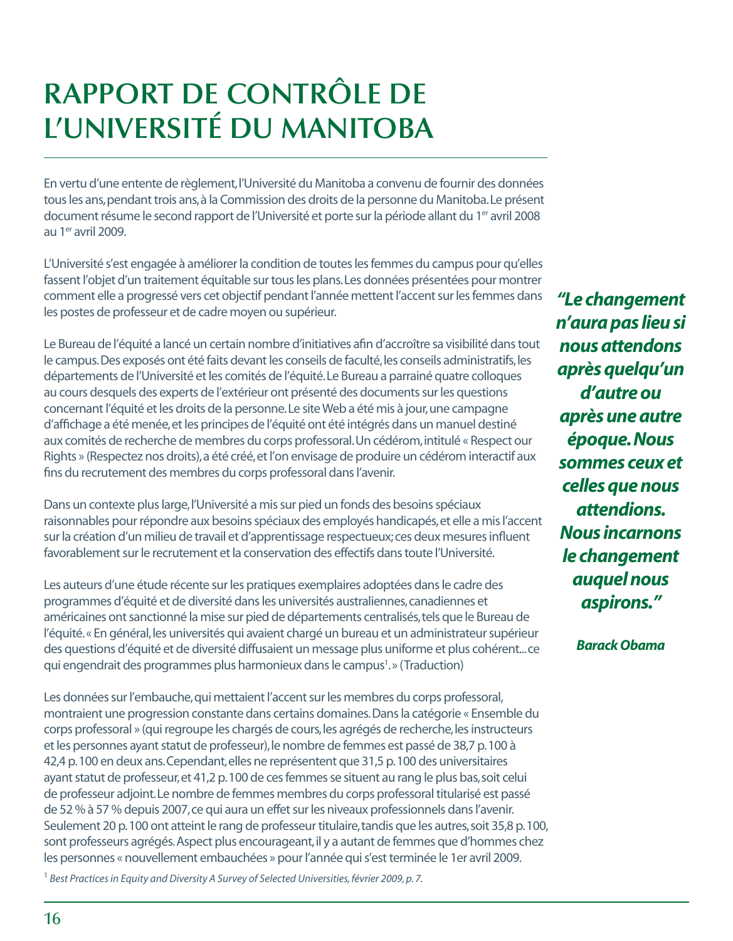### **Rapport de contrôle de l'Université du Manitoba**

En vertu d'une entente de règlement, l'Université du Manitoba a convenu de fournir des données tous les ans, pendant trois ans, à la Commission des droits de la personne du Manitoba. Le présent document résume le second rapport de l'Université et porte sur la période allant du 1<sup>er</sup> avril 2008 au 1er avril 2009.

L'Université s'est engagée à améliorer la condition de toutes les femmes du campus pour qu'elles fassent l'objet d'un traitement équitable sur tous les plans. Les données présentées pour montrer comment elle a progressé vers cet objectif pendant l'année mettent l'accent sur les femmes dans les postes de professeur et de cadre moyen ou supérieur.

Le Bureau de l'équité a lancé un certain nombre d'initiatives afin d'accroître sa visibilité dans tout le campus. Des exposés ont été faits devant les conseils de faculté, les conseils administratifs, les départements de l'Université et les comités de l'équité. Le Bureau a parrainé quatre colloques au cours desquels des experts de l'extérieur ont présenté des documents sur les questions concernant l'équité et les droits de la personne. Le site Web a été mis à jour, une campagne d'affichage a été menée, et les principes de l'équité ont été intégrés dans un manuel destiné aux comités de recherche de membres du corps professoral. Un cédérom, intitulé « Respect our Rights » (Respectez nos droits), a été créé, et l'on envisage de produire un cédérom interactif aux fins du recrutement des membres du corps professoral dans l'avenir.

Dans un contexte plus large, l'Université a mis sur pied un fonds des besoins spéciaux raisonnables pour répondre aux besoins spéciaux des employés handicapés, et elle a mis l'accent sur la création d'un milieu de travail et d'apprentissage respectueux; ces deux mesures influent favorablement sur le recrutement et la conservation des effectifs dans toute l'Université.

Les auteurs d'une étude récente sur les pratiques exemplaires adoptées dans le cadre des programmes d'équité et de diversité dans les universités australiennes, canadiennes et américaines ont sanctionné la mise sur pied de départements centralisés, tels que le Bureau de l'équité. « En général, les universités qui avaient chargé un bureau et un administrateur supérieur des questions d'équité et de diversité diffusaient un message plus uniforme et plus cohérent... ce qui engendrait des programmes plus harmonieux dans le campus<sup>1</sup>.» (Traduction)

Les données sur l'embauche, qui mettaient l'accent sur les membres du corps professoral, montraient une progression constante dans certains domaines. Dans la catégorie « Ensemble du corps professoral » (qui regroupe les chargés de cours, les agrégés de recherche, les instructeurs et les personnes ayant statut de professeur), le nombre de femmes est passé de 38,7 p.100 à 42,4 p.100 en deux ans. Cependant, elles ne représentent que 31,5 p.100 des universitaires ayant statut de professeur, et 41,2 p.100 de ces femmes se situent au rang le plus bas, soit celui de professeur adjoint. Le nombre de femmes membres du corps professoral titularisé est passé de 52% à 57% depuis 2007, ce qui aura un effet sur les niveaux professionnels dans l'avenir. Seulement 20 p.100 ont atteint le rang de professeur titulaire, tandis que les autres, soit 35,8 p.100, sont professeurs agrégés. Aspect plus encourageant, il y a autant de femmes que d'hommes chez les personnes « nouvellement embauchées » pour l'année qui s'est terminée le 1er avril 2009.

1  *Best Practices in Equity and Diversity A Survey of Selected Universities, février 2009, p.7.*

*"Le changement n'aura pas lieu si nous attendons après quelqu'un d'autre ou après une autre époque. Nous sommes ceux et celles que nous attendions. Nous incarnons le changement auquel nous aspirons."*

*Barack Obama*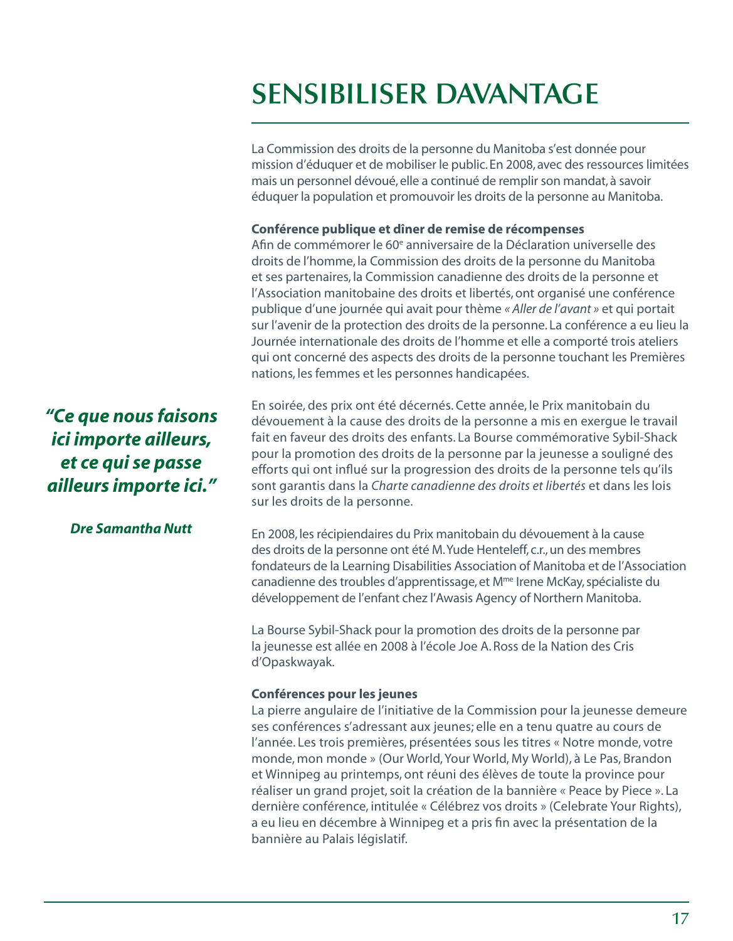## **Sensibiliser davantage**

La Commission des droits de la personne du Manitoba s'est donnée pour mission d'éduquer et de mobiliser le public. En 2008, avec des ressources limitées mais un personnel dévoué, elle a continué de remplir son mandat, à savoir éduquer la population et promouvoir les droits de la personne au Manitoba.

### **Conférence publique et dîner de remise de récompenses**

Afin de commémorer le 60<sup>e</sup> anniversaire de la Déclaration universelle des droits de l'homme, la Commission des droits de la personne du Manitoba et ses partenaires, la Commission canadienne des droits de la personne et l'Association manitobaine des droits et libertés, ont organisé une conférence publique d'une journée qui avait pour thème *« Aller de l'avant »* et qui portait sur l'avenir de la protection des droits de la personne. La conférence a eu lieu la Journée internationale des droits de l'homme et elle a comporté trois ateliers qui ont concerné des aspects des droits de la personne touchant les Premières nations, les femmes et les personnes handicapées.

En soirée, des prix ont été décernés. Cette année, le Prix manitobain du dévouement à la cause des droits de la personne a mis en exergue le travail fait en faveur des droits des enfants. La Bourse commémorative Sybil-Shack pour la promotion des droits de la personne par la jeunesse a souligné des efforts qui ont influé sur la progression des droits de la personne tels qu'ils sont garantis dans la *Charte canadienne des droits et libertés* et dans les lois sur les droits de la personne.

En 2008, les récipiendaires du Prix manitobain du dévouement à la cause des droits de la personne ont été M.Yude Henteleff, c.r., un des membres fondateurs de la Learning Disabilities Association of Manitoba et de l'Association canadienne des troubles d'apprentissage, et Mme Irene McKay, spécialiste du développement de l'enfant chez l'Awasis Agency of Northern Manitoba.

La Bourse Sybil-Shack pour la promotion des droits de la personne par la jeunesse est allée en 2008 à l'école Joe A. Ross de la Nation des Cris d'Opaskwayak.

### **Conférences pour les jeunes**

La pierre angulaire de l'initiative de la Commission pour la jeunesse demeure ses conférences s'adressant aux jeunes; elle en a tenu quatre au cours de l'année. Les trois premières, présentées sous les titres « Notre monde, votre monde, mon monde » (Our World, Your World, My World), à Le Pas, Brandon et Winnipeg au printemps, ont réuni des élèves de toute la province pour réaliser un grand projet, soit la création de la bannière « Peace by Piece ». La dernière conférence, intitulée « Célébrez vos droits » (Celebrate Your Rights), a eu lieu en décembre à Winnipeg et a pris fin avec la présentation de la bannière au Palais législatif.

*"Ce que nous faisons ici importe ailleurs, et ce qui se passe ailleurs importe ici."* 

### *Dre Samantha Nutt*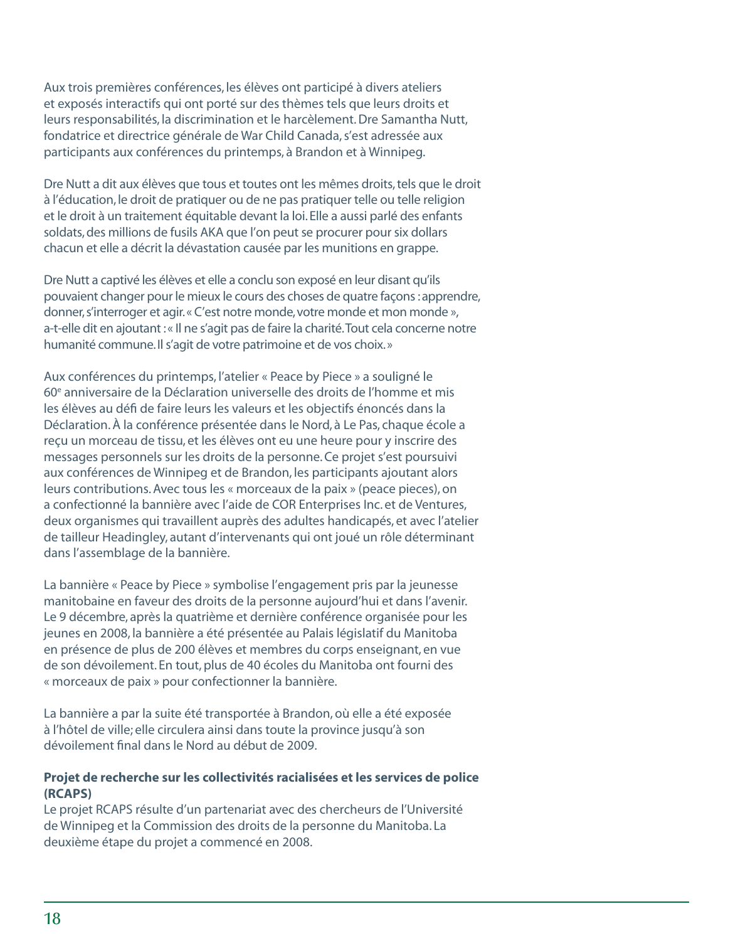Aux trois premières conférences, les élèves ont participé à divers ateliers et exposés interactifs qui ont porté sur des thèmes tels que leurs droits et leurs responsabilités, la discrimination et le harcèlement. Dre Samantha Nutt, fondatrice et directrice générale de War Child Canada, s'est adressée aux participants aux conférences du printemps, à Brandon et à Winnipeg.

Dre Nutt a dit aux élèves que tous et toutes ont les mêmes droits, tels que le droit à l'éducation, le droit de pratiquer ou de ne pas pratiquer telle ou telle religion et le droit à un traitement équitable devant la loi. Elle a aussi parlé des enfants soldats, des millions de fusils AKA que l'on peut se procurer pour six dollars chacun et elle a décrit la dévastation causée par les munitions en grappe.

Dre Nutt a captivé les élèves et elle a conclu son exposé en leur disant qu'ils pouvaient changer pour le mieux le cours des choses de quatre façons: apprendre, donner, s'interroger et agir. « C'est notre monde, votre monde et mon monde », a-t-elle dit en ajoutant : « Il ne s'agit pas de faire la charité. Tout cela concerne notre humanité commune. Il s'agit de votre patrimoine et de vos choix.»

Aux conférences du printemps, l'atelier « Peace by Piece » a souligné le 60e anniversaire de la Déclaration universelle des droits de l'homme et mis les élèves au défi de faire leurs les valeurs et les objectifs énoncés dans la Déclaration. À la conférence présentée dans le Nord, à Le Pas, chaque école a reçu un morceau de tissu, et les élèves ont eu une heure pour y inscrire des messages personnels sur les droits de la personne. Ce projet s'est poursuivi aux conférences de Winnipeg et de Brandon, les participants ajoutant alors leurs contributions. Avec tous les « morceaux de la paix » (peace pieces), on a confectionné la bannière avec l'aide de COR Enterprises Inc. et de Ventures, deux organismes qui travaillent auprès des adultes handicapés, et avec l'atelier de tailleur Headingley, autant d'intervenants qui ont joué un rôle déterminant dans l'assemblage de la bannière.

La bannière « Peace by Piece » symbolise l'engagement pris par la jeunesse manitobaine en faveur des droits de la personne aujourd'hui et dans l'avenir. Le 9 décembre, après la quatrième et dernière conférence organisée pour les jeunes en 2008, la bannière a été présentée au Palais législatif du Manitoba en présence de plus de 200 élèves et membres du corps enseignant, en vue de son dévoilement. En tout, plus de 40 écoles du Manitoba ont fourni des « morceaux de paix » pour confectionner la bannière.

La bannière a par la suite été transportée à Brandon, où elle a été exposée à l'hôtel de ville; elle circulera ainsi dans toute la province jusqu'à son dévoilement final dans le Nord au début de 2009.

### **Projet de recherche sur les collectivités racialisées et les services de police (RCAPS)**

Le projet RCAPS résulte d'un partenariat avec des chercheurs de l'Université de Winnipeg et la Commission des droits de la personne du Manitoba. La deuxième étape du projet a commencé en 2008.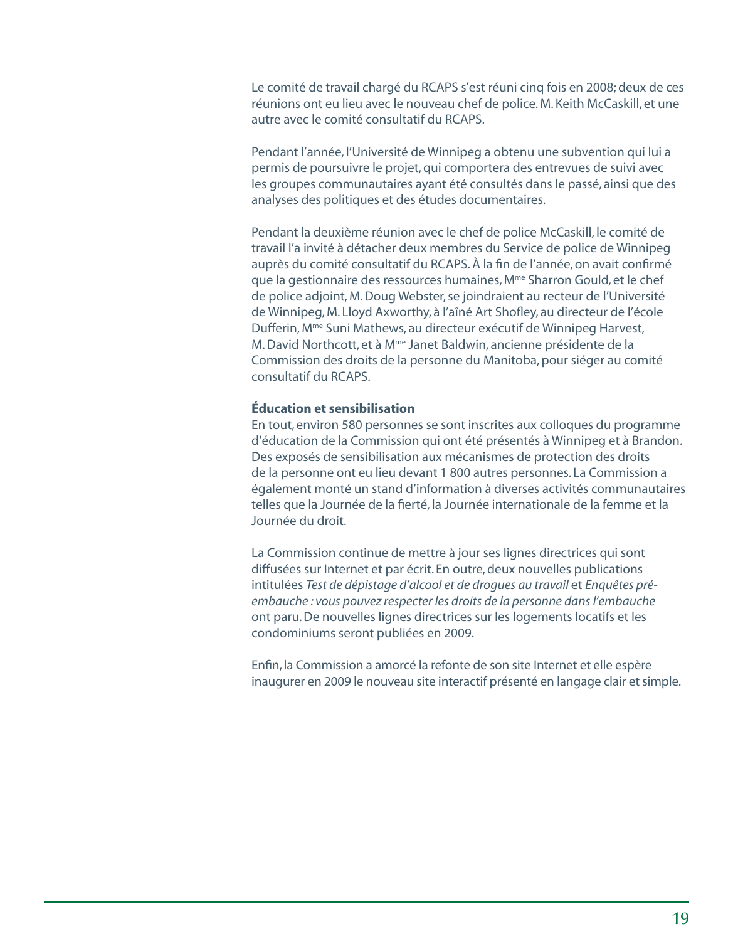Le comité de travail chargé du RCAPS s'est réuni cinq fois en 2008; deux de ces réunions ont eu lieu avec le nouveau chef de police. M. Keith McCaskill, et une autre avec le comité consultatif du RCAPS.

Pendant l'année, l'Université de Winnipeg a obtenu une subvention qui lui a permis de poursuivre le projet, qui comportera des entrevues de suivi avec les groupes communautaires ayant été consultés dans le passé, ainsi que des analyses des politiques et des études documentaires.

Pendant la deuxième réunion avec le chef de police McCaskill, le comité de travail l'a invité à détacher deux membres du Service de police de Winnipeg auprès du comité consultatif du RCAPS. À la fin de l'année, on avait confirmé que la gestionnaire des ressources humaines, M<sup>me</sup> Sharron Gould, et le chef de police adjoint, M.Doug Webster, se joindraient au recteur de l'Université de Winnipeg, M. Lloyd Axworthy, à l'aîné Art Shofley, au directeur de l'école Dufferin, Mme Suni Mathews, au directeur exécutif de Winnipeg Harvest, M.David Northcott, et à Mme Janet Baldwin, ancienne présidente de la Commission des droits de la personne du Manitoba, pour siéger au comité consultatif du RCAPS.

#### **Éducation et sensibilisation**

En tout, environ 580 personnes se sont inscrites aux colloques du programme d'éducation de la Commission qui ont été présentés à Winnipeg et à Brandon. Des exposés de sensibilisation aux mécanismes de protection des droits de la personne ont eu lieu devant 1 800 autres personnes. La Commission a également monté un stand d'information à diverses activités communautaires telles que la Journée de la fierté, la Journée internationale de la femme et la Journée du droit.

La Commission continue de mettre à jour ses lignes directrices qui sont diffusées sur Internet et par écrit. En outre, deux nouvelles publications intitulées *Test de dépistage d'alcool et de drogues au travail* et *Enquêtes préembauche : vous pouvez respecter les droits de la personne dans l'embauche*  ont paru. De nouvelles lignes directrices sur les logements locatifs et les condominiums seront publiées en 2009.

Enfin, la Commission a amorcé la refonte de son site Internet et elle espère inaugurer en 2009 le nouveau site interactif présenté en langage clair et simple.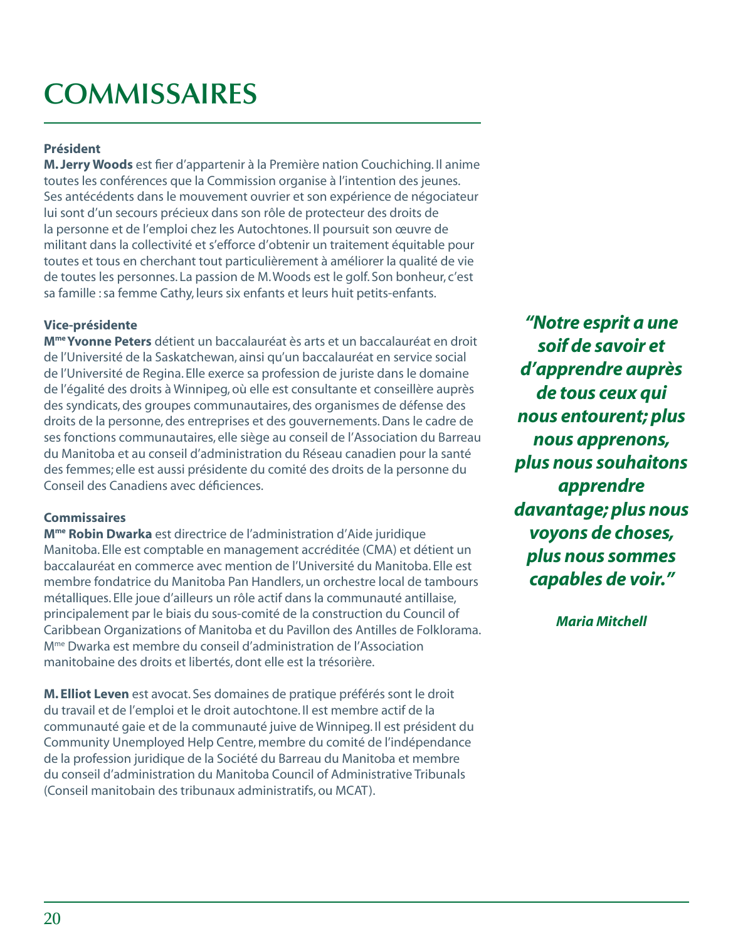### **Commissaires**

### **Président**

**M. Jerry Woods** est fier d'appartenir à la Première nation Couchiching. Il anime toutes les conférences que la Commission organise à l'intention des jeunes. Ses antécédents dans le mouvement ouvrier et son expérience de négociateur lui sont d'un secours précieux dans son rôle de protecteur des droits de la personne et de l'emploi chez les Autochtones. Il poursuit son œuvre de militant dans la collectivité et s'efforce d'obtenir un traitement équitable pour toutes et tous en cherchant tout particulièrement à améliorer la qualité de vie de toutes les personnes. La passion de M.Woods est le golf. Son bonheur, c'est sa famille : sa femme Cathy, leurs six enfants et leurs huit petits-enfants.

### **Vice-présidente**

**MmeYvonne Peters** détient un baccalauréat ès arts et un baccalauréat en droit de l'Université de la Saskatchewan, ainsi qu'un baccalauréat en service social de l'Université de Regina. Elle exerce sa profession de juriste dans le domaine de l'égalité des droits à Winnipeg, où elle est consultante et conseillère auprès des syndicats, des groupes communautaires, des organismes de défense des droits de la personne, des entreprises et des gouvernements.Dans le cadre de ses fonctions communautaires, elle siège au conseil de l'Association du Barreau du Manitoba et au conseil d'administration du Réseau canadien pour la santé des femmes; elle est aussi présidente du comité des droits de la personne du Conseil des Canadiens avec déficiences.

### **Commissaires**

**Mme Robin Dwarka** est directrice de l'administration d'Aide juridique Manitoba. Elle est comptable en management accréditée (CMA) et détient un baccalauréat en commerce avec mention de l'Université du Manitoba. Elle est membre fondatrice du Manitoba Pan Handlers, un orchestre local de tambours métalliques. Elle joue d'ailleurs un rôle actif dans la communauté antillaise, principalement par le biais du sous-comité de la construction du Council of Caribbean Organizations of Manitoba et du Pavillon des Antilles de Folklorama. Mme Dwarka est membre du conseil d'administration de l'Association manitobaine des droits et libertés, dont elle est la trésorière.

**M. Elliot Leven** est avocat. Ses domaines de pratique préférés sont le droit du travail et de l'emploi et le droit autochtone. Il est membre actif de la communauté gaie et de la communauté juive de Winnipeg. Il est président du Community Unemployed Help Centre, membre du comité de l'indépendance de la profession juridique de la Société du Barreau du Manitoba et membre du conseil d'administration du Manitoba Council of Administrative Tribunals (Conseil manitobain des tribunaux administratifs, ou MCAT).

*"Notre esprit a une soif de savoir et d'apprendre auprès de tous ceux qui nous entourent; plus nous apprenons, plus nous souhaitons apprendre davantage; plus nous voyons de choses, plus nous sommes capables de voir."* 

*Maria Mitchell*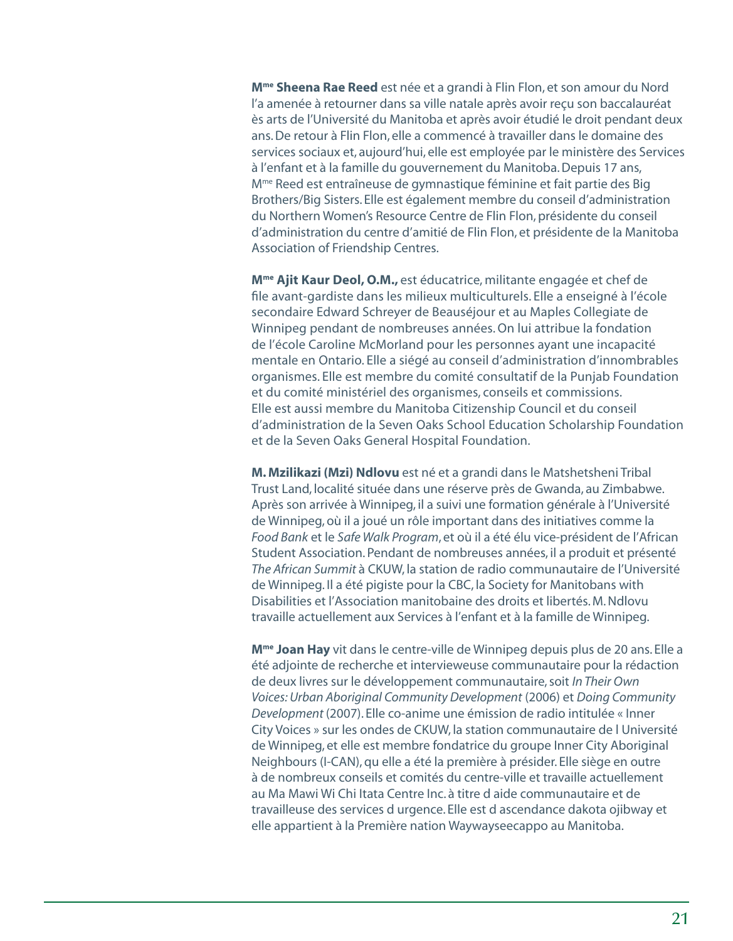**Mme Sheena Rae Reed** est née et a grandi à Flin Flon, et son amour du Nord l'a amenée à retourner dans sa ville natale après avoir reçu son baccalauréat ès arts de l'Université du Manitoba et après avoir étudié le droit pendant deux ans. De retour à Flin Flon, elle a commencé à travailler dans le domaine des services sociaux et, aujourd'hui, elle est employée par le ministère des Services à l'enfant et à la famille du gouvernement du Manitoba. Depuis 17 ans, Mme Reed est entraîneuse de gymnastique féminine et fait partie des Big Brothers/Big Sisters. Elle est également membre du conseil d'administration du Northern Women's Resource Centre de Flin Flon, présidente du conseil d'administration du centre d'amitié de Flin Flon, et présidente de la Manitoba Association of Friendship Centres.

**Mme Ajit Kaur Deol, O.M.,** est éducatrice, militante engagée et chef de file avant-gardiste dans les milieux multiculturels. Elle a enseigné à l'école secondaire Edward Schreyer de Beauséjour et au Maples Collegiate de Winnipeg pendant de nombreuses années. On lui attribue la fondation de l'école Caroline McMorland pour les personnes ayant une incapacité mentale en Ontario. Elle a siégé au conseil d'administration d'innombrables organismes. Elle est membre du comité consultatif de la Punjab Foundation et du comité ministériel des organismes, conseils et commissions. Elle est aussi membre du Manitoba Citizenship Council et du conseil d'administration de la Seven Oaks School Education Scholarship Foundation et de la Seven Oaks General Hospital Foundation.

**M. Mzilikazi (Mzi) Ndlovu** est né et a grandi dans le Matshetsheni Tribal Trust Land, localité située dans une réserve près de Gwanda, au Zimbabwe. Après son arrivée à Winnipeg, il a suivi une formation générale à l'Université de Winnipeg, où il a joué un rôle important dans des initiatives comme la *Food Bank* et le *Safe Walk Program*, et où il a été élu vice-président de l'African Student Association. Pendant de nombreuses années, il a produit et présenté *The African Summit* à CKUW, la station de radio communautaire de l'Université de Winnipeg. Il a été pigiste pour la CBC, la Society for Manitobans with Disabilities et l'Association manitobaine des droits et libertés. M.Ndlovu travaille actuellement aux Services à l'enfant et à la famille de Winnipeg.

**Mme Joan Hay** vit dans le centre-ville de Winnipeg depuis plus de 20 ans. Elle a été adjointe de recherche et intervieweuse communautaire pour la rédaction de deux livres sur le développement communautaire, soit *In Their Own Voices: Urban Aboriginal Community Development* (2006) et *Doing Community Development* (2007). Elle co-anime une émission de radio intitulée « Inner City Voices » sur les ondes de CKUW, la station communautaire de l Université de Winnipeg, et elle est membre fondatrice du groupe Inner City Aboriginal Neighbours (I-CAN), quelle a été la première à présider. Elle siège en outre à de nombreux conseils et comités du centre-ville et travaille actuellement au Ma Mawi Wi Chi Itata Centre Inc. à titre d aide communautaire et de travailleuse des services durgence. Elle est dascendance dakota ojibway et elle appartient à la Première nation Waywayseecappo au Manitoba.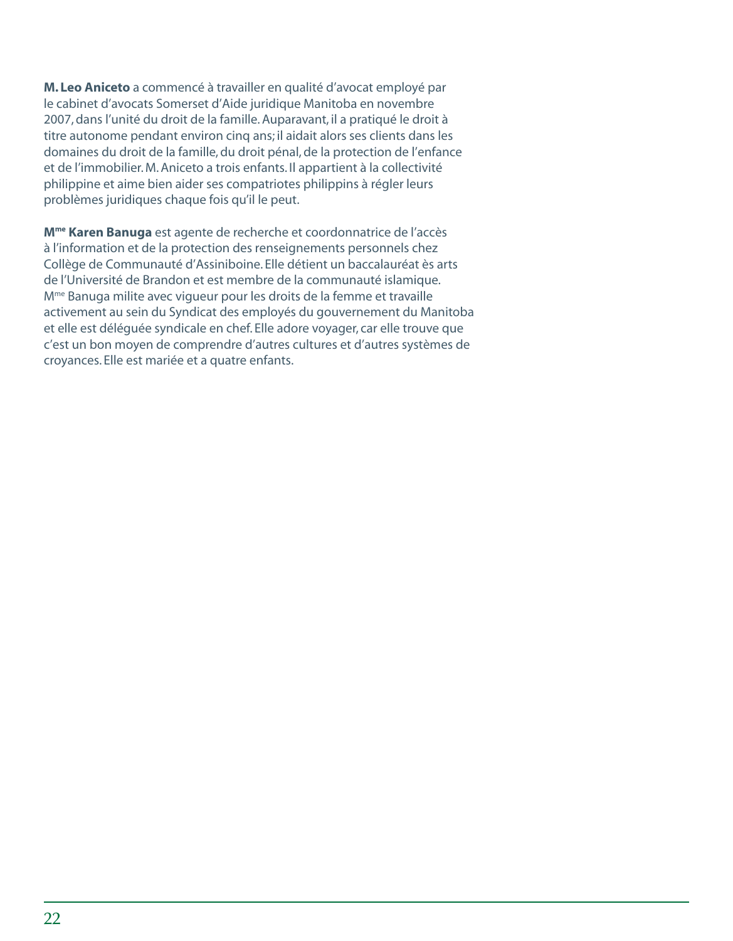**M. Leo Aniceto** a commencé à travailler en qualité d'avocat employé par le cabinet d'avocats Somerset d'Aide juridique Manitoba en novembre 2007, dans l'unité du droit de la famille. Auparavant, il a pratiqué le droit à titre autonome pendant environ cinq ans; il aidait alors ses clients dans les domaines du droit de la famille, du droit pénal, de la protection de l'enfance et de l'immobilier. M.Aniceto a trois enfants. Il appartient à la collectivité philippine et aime bien aider ses compatriotes philippins à régler leurs problèmes juridiques chaque fois qu'il le peut.

**Mme Karen Banuga** est agente de recherche et coordonnatrice de l'accès à l'information et de la protection des renseignements personnels chez Collège de Communauté d'Assiniboine. Elle détient un baccalauréat ès arts de l'Université de Brandon et est membre de la communauté islamique. Mme Banuga milite avec vigueur pour les droits de la femme et travaille activement au sein du Syndicat des employés du gouvernement du Manitoba et elle est déléguée syndicale en chef. Elle adore voyager, car elle trouve que c'est un bon moyen de comprendre d'autres cultures et d'autres systèmes de croyances. Elle est mariée et a quatre enfants.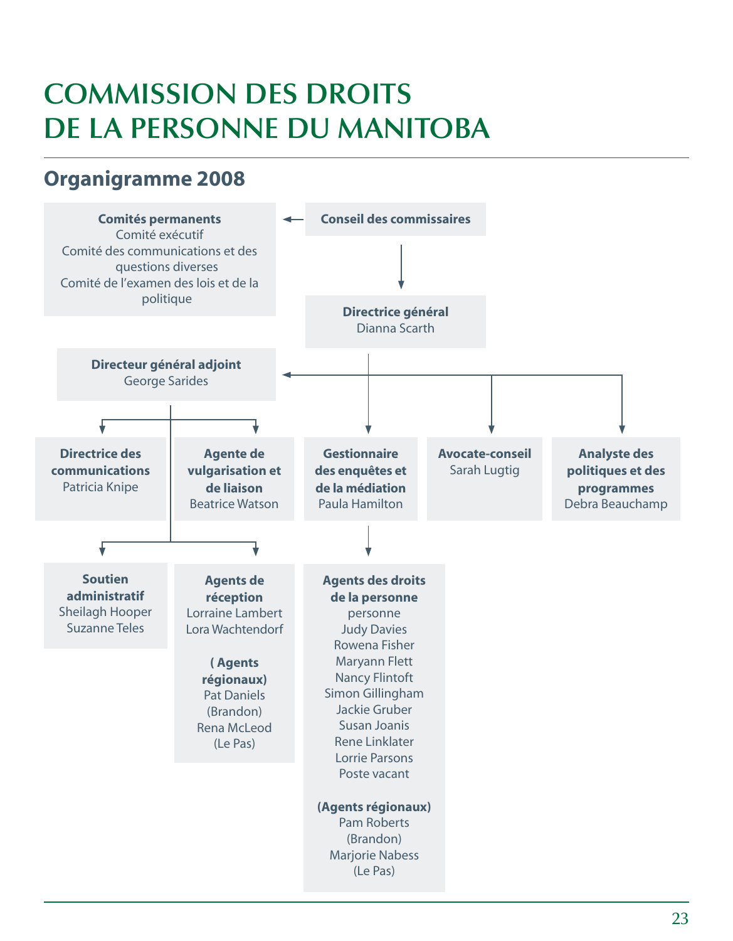### **Commission des droits de la personne du Manitoba**

### **Organigramme 2008**

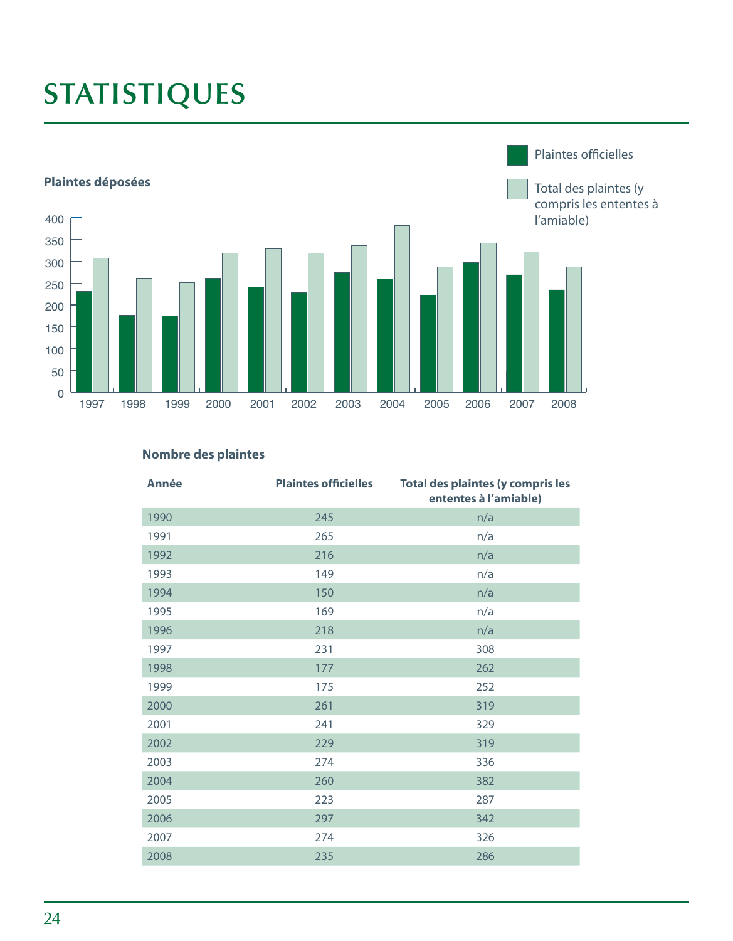## **Statistiques**



### **Nombre des plaintes**

| Année | <b>Plaintes officielles</b> | <b>Total des plaintes (y compris les</b><br>ententes à l'amiable) |
|-------|-----------------------------|-------------------------------------------------------------------|
| 1990  | 245                         | n/a                                                               |
| 1991  | 265                         | n/a                                                               |
| 1992  | 216                         | n/a                                                               |
| 1993  | 149                         | n/a                                                               |
| 1994  | 150                         | n/a                                                               |
| 1995  | 169                         | n/a                                                               |
| 1996  | 218                         | n/a                                                               |
| 1997  | 231                         | 308                                                               |
| 1998  | 177                         | 262                                                               |
| 1999  | 175                         | 252                                                               |
| 2000  | 261                         | 319                                                               |
| 2001  | 241                         | 329                                                               |
| 2002  | 229                         | 319                                                               |
| 2003  | 274                         | 336                                                               |
| 2004  | 260                         | 382                                                               |
| 2005  | 223                         | 287                                                               |
| 2006  | 297                         | 342                                                               |
| 2007  | 274                         | 326                                                               |
| 2008  | 235                         | 286                                                               |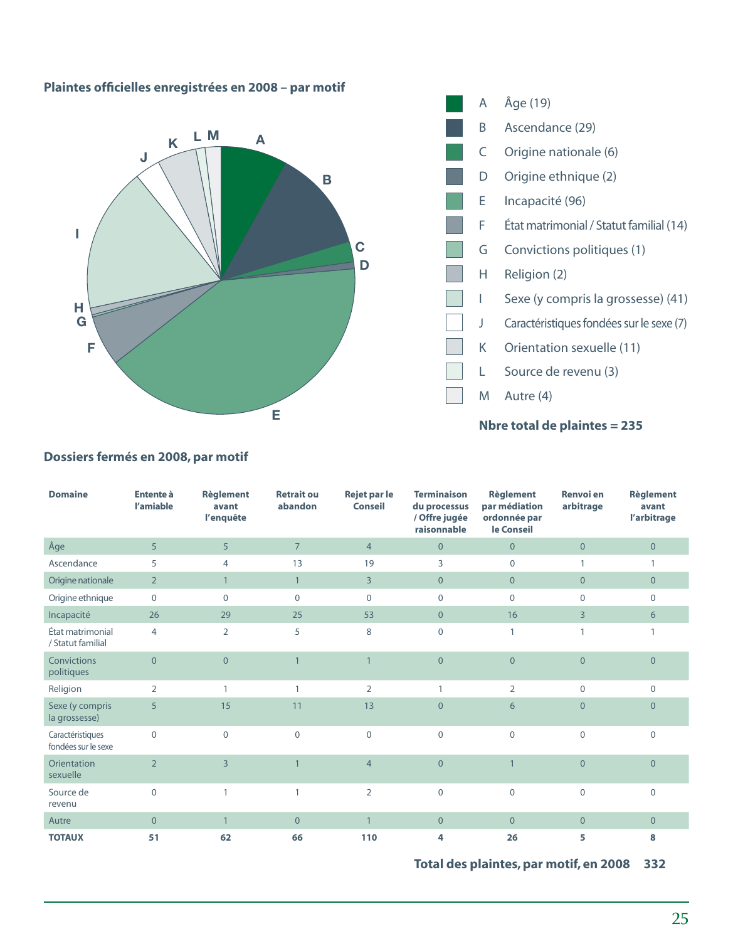

### **Dossiers fermés en 2008, par motif**

| <b>Domaine</b>                          | <b>Entente à</b> | <b>Règlement</b>   | <b>Retrait ou</b> | <b>Rejet par le</b> | <b>Terminaison</b>                           | <b>Règlement</b>                            | Renvoi en      | <b>Règlement</b>     |
|-----------------------------------------|------------------|--------------------|-------------------|---------------------|----------------------------------------------|---------------------------------------------|----------------|----------------------|
|                                         | l'amiable        | avant<br>l'enquête | abandon           | <b>Conseil</b>      | du processus<br>/ Offre jugée<br>raisonnable | par médiation<br>ordonnée par<br>le Conseil | arbitrage      | avant<br>l'arbitrage |
| Âge                                     | 5                | 5                  | $\overline{7}$    | $\overline{4}$      | $\overline{0}$                               | $\overline{0}$                              | $\overline{0}$ | $\overline{0}$       |
| Ascendance                              | 5                | 4                  | 13                | 19                  | 3                                            | $\mathbf{0}$                                | 1              | $\mathbf{1}$         |
| Origine nationale                       | $\overline{2}$   | $\mathbf{1}$       | $\mathbf{1}$      | $\overline{3}$      | $\overline{0}$                               | $\overline{0}$                              | $\overline{0}$ | $\overline{0}$       |
| Origine ethnique                        | $\mathbf 0$      | $\Omega$           | $\mathbf 0$       | $\Omega$            | $\mathbf 0$                                  | $\mathbf{0}$                                | $\mathbf 0$    | $\mathbf 0$          |
| Incapacité                              | 26               | 29                 | 25                | 53                  | $\overline{0}$                               | 16                                          | 3              | 6                    |
| État matrimonial<br>/ Statut familial   | 4                | $\overline{2}$     | 5                 | 8                   | $\mathbf 0$                                  | 1                                           | 1              | $\mathbf{1}$         |
| Convictions<br>politiques               | $\overline{0}$   | $\overline{0}$     | $\overline{1}$    | $\mathbf{1}$        | $\overline{0}$                               | $\mathbf 0$                                 | $\overline{0}$ | $\overline{0}$       |
| Religion                                | $\overline{2}$   | $\mathbf{1}$       | $\mathbf{1}$      | $\overline{2}$      | 1                                            | $\overline{2}$                              | $\mathbf 0$    | $\mathbf 0$          |
| Sexe (y compris<br>la grossesse)        | 5                | 15                 | 11                | 13                  | $\overline{0}$                               | 6                                           | $\overline{0}$ | $\overline{0}$       |
| Caractéristiques<br>fondées sur le sexe | $\mathbf 0$      | $\Omega$           | $\Omega$          | $\Omega$            | $\Omega$                                     | $\mathbf{0}$                                | $\Omega$       | $\mathbf 0$          |
| Orientation<br>sexuelle                 | $\overline{2}$   | $\overline{3}$     | 1                 | $\overline{4}$      | $\overline{0}$                               | $\mathbf{1}$                                | $\overline{0}$ | $\overline{0}$       |
| Source de<br>revenu                     | $\overline{0}$   | 1                  | $\mathbf{1}$      | $\overline{2}$      | $\overline{0}$                               | $\overline{0}$                              | $\overline{0}$ | $\mathbf 0$          |
| Autre                                   | $\mathbf 0$      | $\mathbf{1}$       | $\overline{0}$    | $\mathbf{1}$        | $\overline{0}$                               | $\overline{0}$                              | $\overline{0}$ | $\overline{0}$       |
| <b>TOTAUX</b>                           | 51               | 62                 | 66                | 110                 | 4                                            | 26                                          | 5              | 8                    |

**Total des plaintes, par motif, en 2008 332**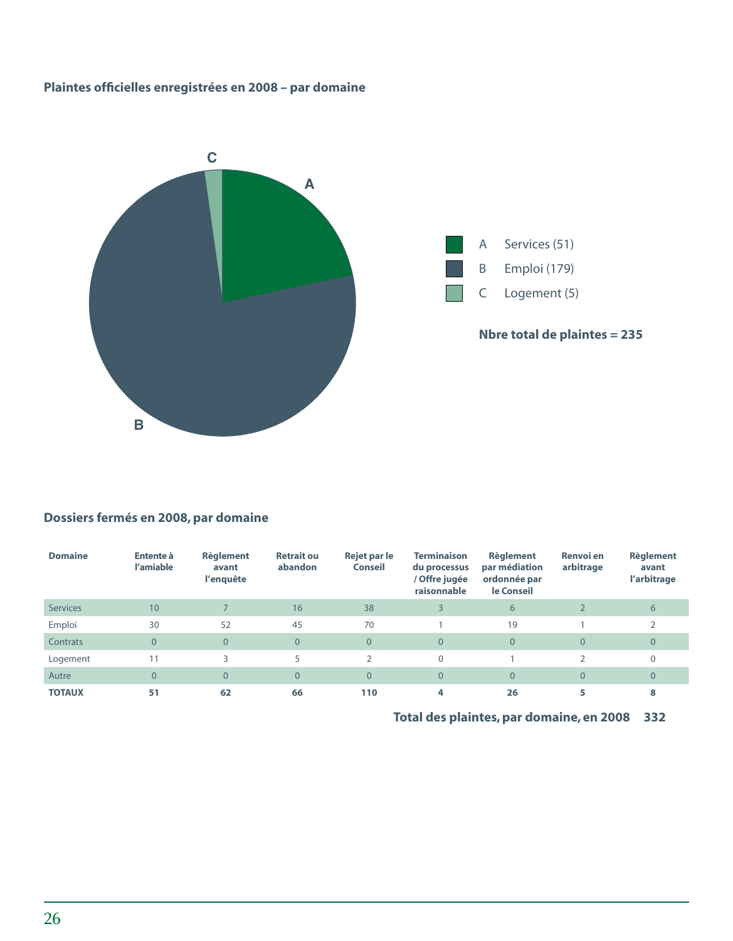### **Plaintes officielles enregistrées en 2008 – par domaine**



### **Dossiers fermés en 2008, par domaine**

| <b>Domaine</b>  | Entente à<br>l'amiable | Règlement<br>avant<br>l'enquête | <b>Retrait ou</b><br>abandon | Rejet par le<br><b>Conseil</b> | <b>Terminaison</b><br>du processus<br>/ Offre jugée<br>raisonnable | Règlement<br>par médiation<br>ordonnée par<br>le Conseil | Renvoi en<br>arbitrage | <b>Règlement</b><br>avant<br>l'arbitrage |
|-----------------|------------------------|---------------------------------|------------------------------|--------------------------------|--------------------------------------------------------------------|----------------------------------------------------------|------------------------|------------------------------------------|
| <b>Services</b> | 10                     |                                 | 16                           | 38                             |                                                                    | 6                                                        |                        | 6                                        |
| Emploi          | 30                     | 52                              | 45                           | 70                             |                                                                    | 19                                                       |                        |                                          |
| Contrats        | $\overline{0}$         | $\Omega$                        | $\Omega$                     | $\overline{0}$                 | $\overline{0}$                                                     | $\overline{0}$                                           | $\Omega$               | $\overline{0}$                           |
| Logement        | 11                     |                                 | 5                            |                                | $\Omega$                                                           |                                                          |                        | 0                                        |
| Autre           | $\overline{0}$         | $\Omega$                        | $\Omega$                     | $\overline{0}$                 | $\overline{0}$                                                     | $\overline{0}$                                           | $\overline{0}$         | $\overline{0}$                           |
| <b>TOTAUX</b>   | 51                     | 62                              | 66                           | 110                            | 4                                                                  | 26                                                       |                        | 8                                        |

**Total des plaintes, par domaine, en 2008 332**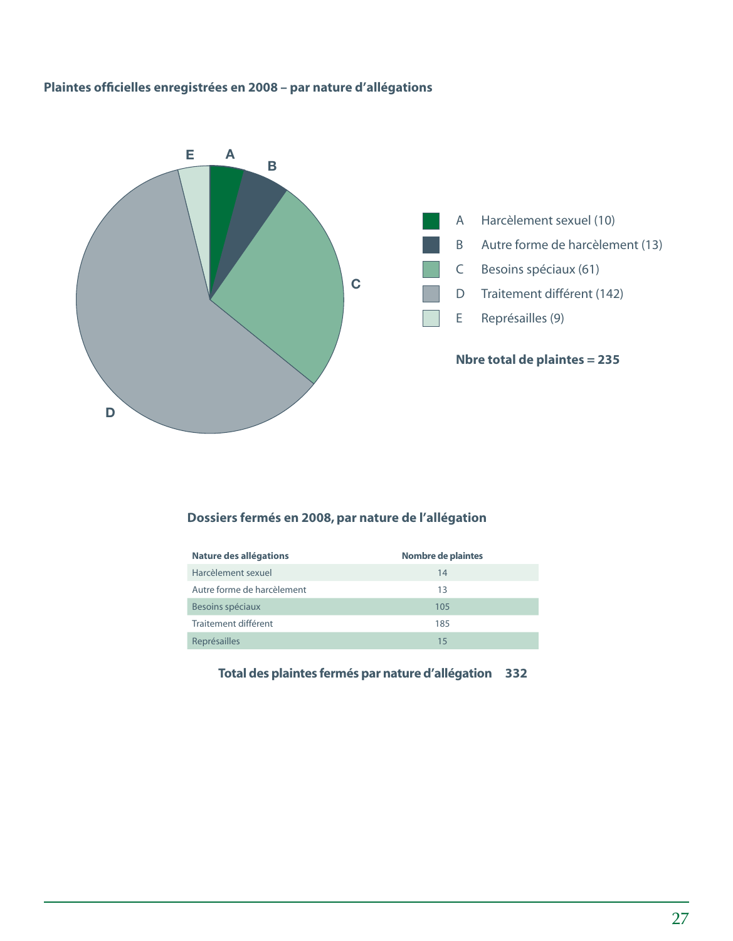### **Plaintes officielles enregistrées en 2008 – par nature d'allégations**



### **Dossiers fermés en 2008, par nature de l'allégation**

| Nature des allégations     | <b>Nombre de plaintes</b> |
|----------------------------|---------------------------|
| Harcèlement sexuel         | 14                        |
| Autre forme de harcèlement | 13                        |
| Besoins spéciaux           | 105                       |
| Traitement différent       | 185                       |
| Représailles               | 15                        |

### **Total des plaintes fermés par nature d'allégation 332**